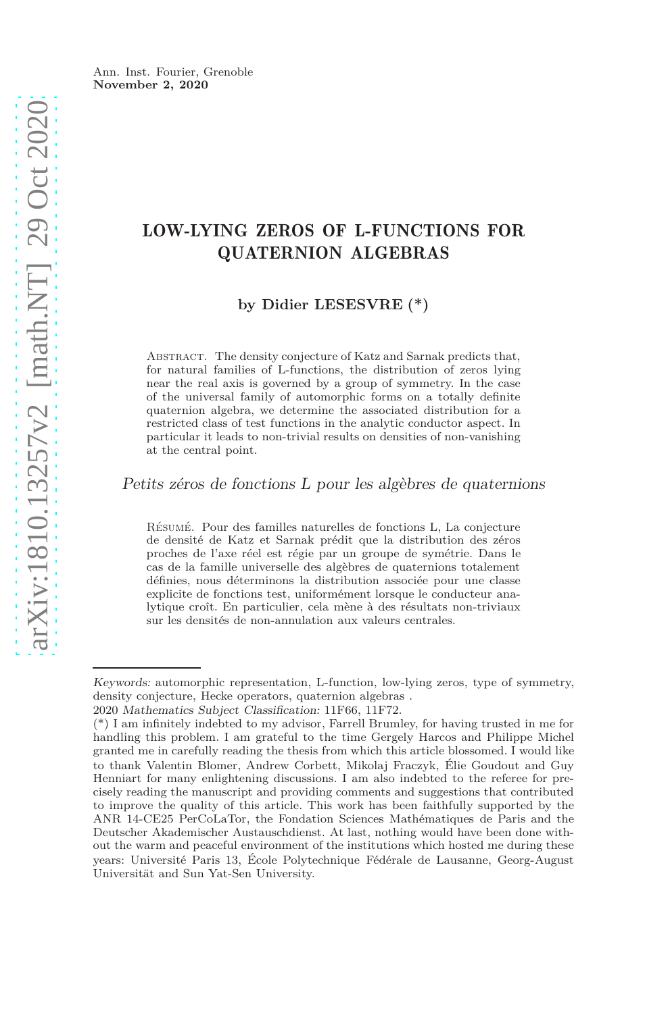# LOW-LYING ZEROS OF L-FUNCTIONS FOR QUATERNION ALGEBRAS

**by Didier LESESVRE (\*)**

Abstract. The density conjecture of Katz and Sarnak predicts that, for natural families of L-functions, the distribution of zeros lying near the real axis is governed by a group of symmetry. In the case of the universal family of automorphic forms on a totally definite quaternion algebra, we determine the associated distribution for a restricted class of test functions in the analytic conductor aspect. In particular it leads to non-trivial results on densities of non-vanishing at the central point.

Petits zéros de fonctions L pour les algèbres de quaternions

Résumé. Pour des familles naturelles de fonctions L, La conjecture de densité de Katz et Sarnak prédit que la distribution des zéros proches de l'axe réel est régie par un groupe de symétrie. Dans le cas de la famille universelle des algèbres de quaternions totalement définies, nous déterminons la distribution associée pour une classe explicite de fonctions test, uniformément lorsque le conducteur analytique croît. En particulier, cela mène à des résultats non-triviaux sur les densités de non-annulation aux valeurs centrales.

Keywords: automorphic representation, L-function, low-lying zeros, type of symmetry, density conjecture, Hecke operators, quaternion algebras .

<sup>2020</sup> Mathematics Subject Classification: 11F66, 11F72.

<sup>(\*)</sup> I am infinitely indebted to my advisor, Farrell Brumley, for having trusted in me for handling this problem. I am grateful to the time Gergely Harcos and Philippe Michel granted me in carefully reading the thesis from which this article blossomed. I would like to thank Valentin Blomer, Andrew Corbett, Mikolaj Fraczyk, Élie Goudout and Guy Henniart for many enlightening discussions. I am also indebted to the referee for precisely reading the manuscript and providing comments and suggestions that contributed to improve the quality of this article. This work has been faithfully supported by the ANR 14-CE25 PerCoLaTor, the Fondation Sciences Mathématiques de Paris and the Deutscher Akademischer Austauschdienst. At last, nothing would have been done without the warm and peaceful environment of the institutions which hosted me during these years: Université Paris 13, École Polytechnique Fédérale de Lausanne, Georg-August Universität and Sun Yat-Sen University.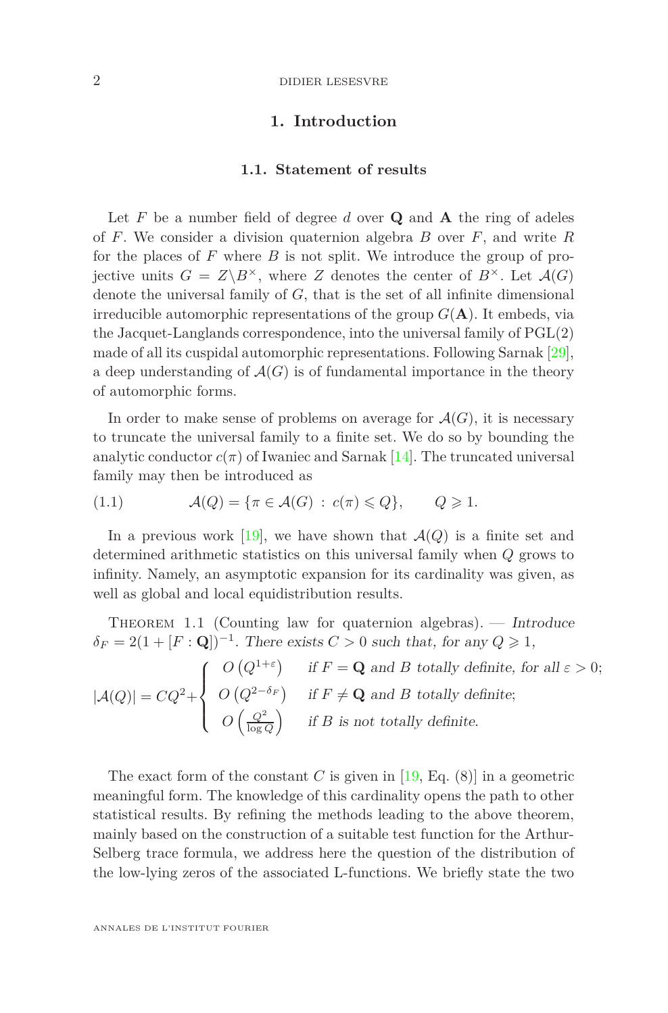#### 2 DIDIER LESESVRE

# **1. Introduction**

# **1.1. Statement of results**

Let  $F$  be a number field of degree  $d$  over  $Q$  and  $A$  the ring of adeles of *F*. We consider a division quaternion algebra *B* over *F*, and write *R* for the places of *F* where *B* is not split. We introduce the group of projective units  $G = Z \backslash B^{\times}$ , where *Z* denotes the center of  $B^{\times}$ . Let  $\mathcal{A}(G)$ denote the universal family of *G*, that is the set of all infinite dimensional irreducible automorphic representations of the group  $G(A)$ . It embeds, via the Jacquet-Langlands correspondence, into the universal family of PGL(2) made of all its cuspidal automorphic representations. Following Sarnak [\[29\]](#page-42-0), a deep understanding of  $\mathcal{A}(G)$  is of fundamental importance in the theory of automorphic forms.

In order to make sense of problems on average for  $\mathcal{A}(G)$ , it is necessary to truncate the universal family to a finite set. We do so by bounding the analytic conductor  $c(\pi)$  of Iwaniec and Sarnak [\[14\]](#page-41-0). The truncated universal family may then be introduced as

(1.1) 
$$
\mathcal{A}(Q) = \{\pi \in \mathcal{A}(G) : c(\pi) \leq Q\}, \qquad Q \geq 1.
$$

In a previous work [\[19\]](#page-42-1), we have shown that  $\mathcal{A}(Q)$  is a finite set and determined arithmetic statistics on this universal family when *Q* grows to infinity. Namely, an asymptotic expansion for its cardinality was given, as well as global and local equidistribution results.

THEOREM 1.1 (Counting law for quaternion algebras).  $-$  Introduce  $\delta_F = 2(1 + [F : \mathbf{Q}])^{-1}$ . There exists  $C > 0$  such that, for any  $Q \ge 1$ ,  $|A(Q)| = CQ^2 +$  $\sqrt{ }$  $\Big\}$ *O*  $(Q^{1+\epsilon})$  if  $F = \mathbf{Q}$  and *B* totally definite, for all  $\varepsilon > 0$ ;  $O(Q^{2-\delta_F})$  if  $F \neq \mathbf{Q}$  and *B* totally definite;

 $\overline{a}$  $O\left(\frac{Q^2}{\log Q}\right)$ if *B* is not totally definite*.*

The exact form of the constant *C* is given in  $[19, Eq. (8)]$  in a geometric meaningful form. The knowledge of this cardinality opens the path to other statistical results. By refining the methods leading to the above theorem, mainly based on the construction of a suitable test function for the Arthur-Selberg trace formula, we address here the question of the distribution of the low-lying zeros of the associated L-functions. We briefly state the two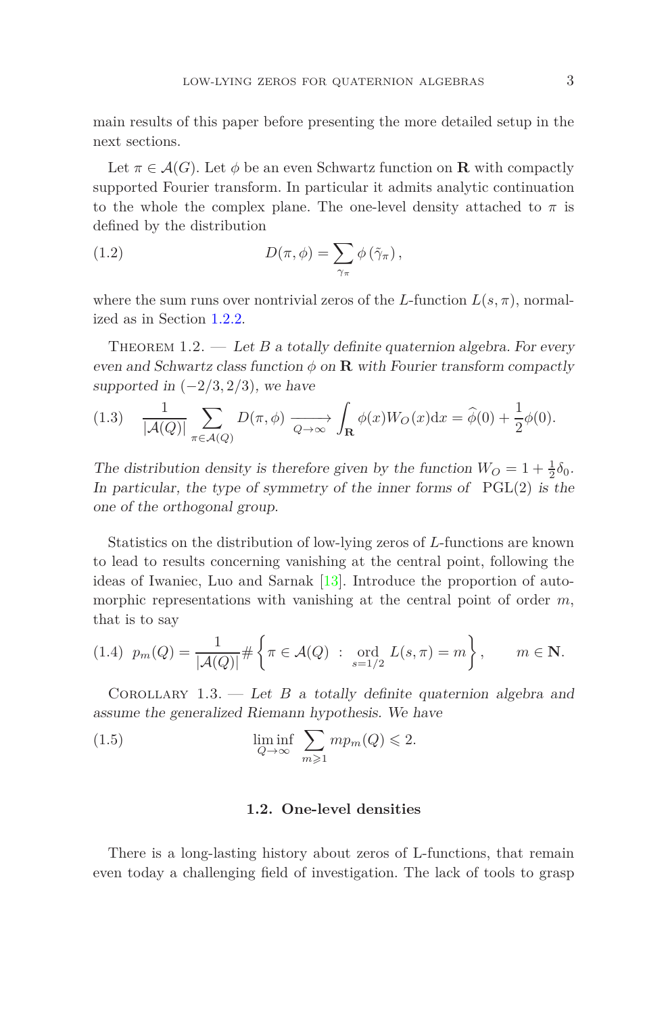main results of this paper before presenting the more detailed setup in the next sections.

Let  $\pi \in \mathcal{A}(G)$ . Let  $\phi$  be an even Schwartz function on **R** with compactly supported Fourier transform. In particular it admits analytic continuation to the whole the complex plane. The one-level density attached to  $\pi$  is defined by the distribution

(1.2) 
$$
D(\pi, \phi) = \sum_{\gamma_{\pi}} \phi(\tilde{\gamma}_{\pi}),
$$

<span id="page-2-0"></span>where the sum runs over nontrivial zeros of the *L*-function  $L(s, \pi)$ , normalized as in Section [1.2.2.](#page-4-0)

THEOREM  $1.2.$  — Let *B* a totally definite quaternion algebra. For every even and Schwartz class function  $\phi$  on **R** with Fourier transform compactly supported in  $(-2/3, 2/3)$ , we have

<span id="page-2-1"></span>(1.3) 
$$
\frac{1}{|\mathcal{A}(Q)|} \sum_{\pi \in \mathcal{A}(Q)} D(\pi, \phi) \xrightarrow[Q \to \infty]{} \int_{\mathbf{R}} \phi(x) W_O(x) dx = \widehat{\phi}(0) + \frac{1}{2} \phi(0).
$$

The distribution density is therefore given by the function  $W_O = 1 + \frac{1}{2}\delta_0$ . In particular, the type of symmetry of the inner forms of  $PGL(2)$  is the one of the orthogonal group.

Statistics on the distribution of low-lying zeros of *L*-functions are known to lead to results concerning vanishing at the central point, following the ideas of Iwaniec, Luo and Sarnak [\[13\]](#page-41-1). Introduce the proportion of automorphic representations with vanishing at the central point of order *m*, that is to say

(1.4) 
$$
p_m(Q) = \frac{1}{|\mathcal{A}(Q)|} \# \left\{ \pi \in \mathcal{A}(Q) : \text{ord}_{s=1/2} L(s, \pi) = m \right\}, \quad m \in \mathbb{N}.
$$

<span id="page-2-2"></span>COROLLARY  $1.3.$  — Let *B* a totally definite quaternion algebra and assume the generalized Riemann hypothesis. We have

(1.5) 
$$
\liminf_{Q \to \infty} \sum_{m \geq 1} m p_m(Q) \leq 2.
$$

### **1.2. One-level densities**

There is a long-lasting history about zeros of L-functions, that remain even today a challenging field of investigation. The lack of tools to grasp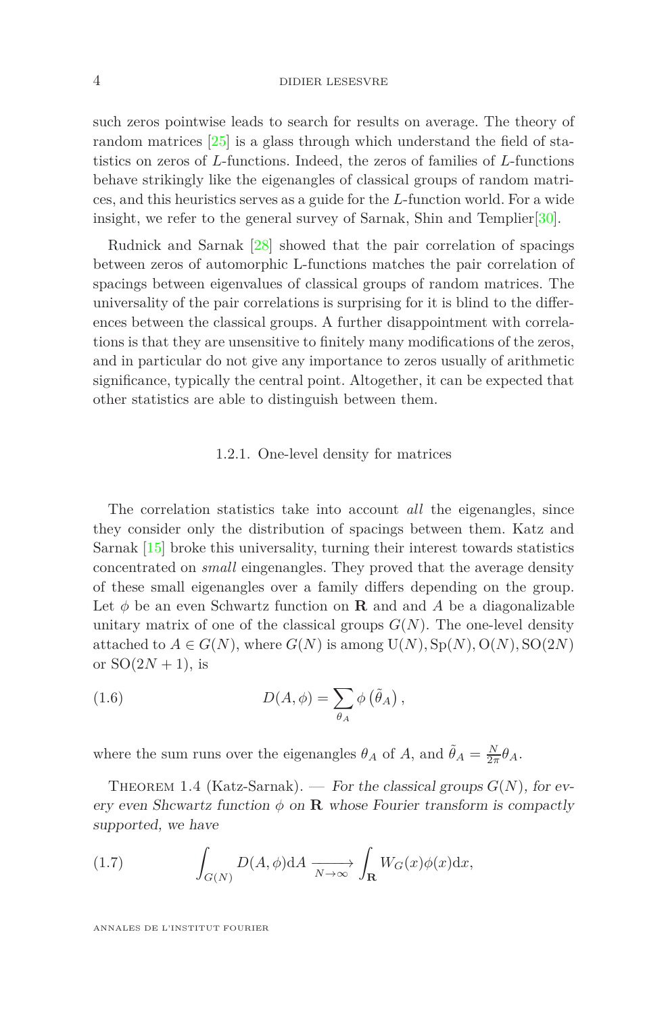#### 4 DIDIER LESESVRE

such zeros pointwise leads to search for results on average. The theory of random matrices [\[25\]](#page-42-2) is a glass through which understand the field of statistics on zeros of *L*-functions. Indeed, the zeros of families of *L*-functions behave strikingly like the eigenangles of classical groups of random matrices, and this heuristics serves as a guide for the *L*-function world. For a wide insight, we refer to the general survey of Sarnak, Shin and Templier[\[30\]](#page-42-3).

Rudnick and Sarnak [\[28\]](#page-42-4) showed that the pair correlation of spacings between zeros of automorphic L-functions matches the pair correlation of spacings between eigenvalues of classical groups of random matrices. The universality of the pair correlations is surprising for it is blind to the differences between the classical groups. A further disappointment with correlations is that they are unsensitive to finitely many modifications of the zeros, and in particular do not give any importance to zeros usually of arithmetic significance, typically the central point. Altogether, it can be expected that other statistics are able to distinguish between them.

### 1.2.1. One-level density for matrices

The correlation statistics take into account *all* the eigenangles, since they consider only the distribution of spacings between them. Katz and Sarnak [\[15\]](#page-41-2) broke this universality, turning their interest towards statistics concentrated on *small* eingenangles. They proved that the average density of these small eigenangles over a family differs depending on the group. Let  $\phi$  be an even Schwartz function on **R** and and *A* be a diagonalizable unitary matrix of one of the classical groups  $G(N)$ . The one-level density attached to  $A \in G(N)$ , where  $G(N)$  is among  $U(N), Sp(N), O(N), SO(2N)$ or  $SO(2N + 1)$ , is

(1.6) 
$$
D(A, \phi) = \sum_{\theta_A} \phi(\tilde{\theta}_A),
$$

where the sum runs over the eigenangles  $\theta_A$  of  $A$ , and  $\tilde{\theta}_A = \frac{N}{2\pi} \theta_A$ .

THEOREM 1.4 (Katz-Sarnak). — For the classical groups  $G(N)$ , for every even Shcwartz function  $\phi$  on **R** whose Fourier transform is compactly supported, we have

(1.7) 
$$
\int_{G(N)} D(A,\phi) dA \xrightarrow[N \to \infty]{} \int_{\mathbf{R}} W_G(x) \phi(x) dx,
$$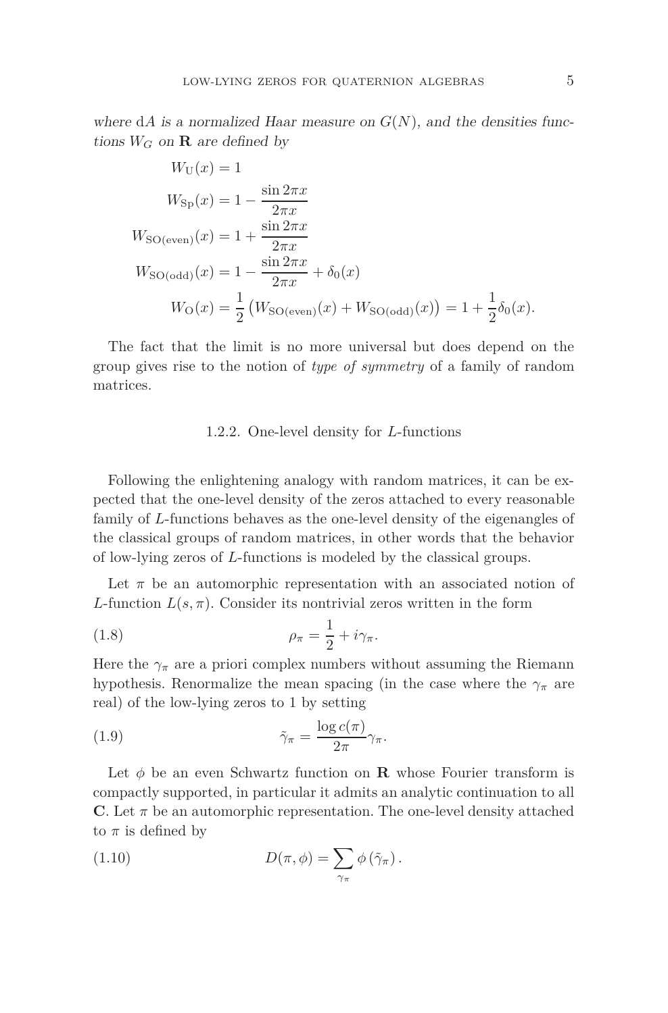$$
W_{\text{U}}(x) = 1
$$
  
\n
$$
W_{\text{Sp}}(x) = 1 - \frac{\sin 2\pi x}{2\pi x}
$$
  
\n
$$
W_{\text{SO(even)}}(x) = 1 + \frac{\sin 2\pi x}{2\pi x}
$$
  
\n
$$
W_{\text{SO(odd)}}(x) = 1 - \frac{\sin 2\pi x}{2\pi x} + \delta_0(x)
$$
  
\n
$$
W_{\text{O}}(x) = \frac{1}{2} (W_{\text{SO(even)}}(x) + W_{\text{SO(odd)}}(x)) = 1 + \frac{1}{2}\delta_0(x).
$$

<span id="page-4-0"></span>The fact that the limit is no more universal but does depend on the group gives rise to the notion of *type of symmetry* of a family of random matrices.

### 1.2.2. One-level density for *L*-functions

Following the enlightening analogy with random matrices, it can be expected that the one-level density of the zeros attached to every reasonable family of *L*-functions behaves as the one-level density of the eigenangles of the classical groups of random matrices, in other words that the behavior of low-lying zeros of *L*-functions is modeled by the classical groups.

Let  $\pi$  be an automorphic representation with an associated notion of *L*-function  $L(s, \pi)$ . Consider its nontrivial zeros written in the form

(1.8) 
$$
\rho_{\pi} = \frac{1}{2} + i\gamma_{\pi}.
$$

Here the  $\gamma_{\pi}$  are a priori complex numbers without assuming the Riemann hypothesis. Renormalize the mean spacing (in the case where the  $\gamma_{\pi}$  are real) of the low-lying zeros to 1 by setting

(1.9) 
$$
\tilde{\gamma}_{\pi} = \frac{\log c(\pi)}{2\pi} \gamma_{\pi}.
$$

Let  $\phi$  be an even Schwartz function on **R** whose Fourier transform is compactly supported, in particular it admits an analytic continuation to all **C**. Let  $\pi$  be an automorphic representation. The one-level density attached to  $\pi$  is defined by

<span id="page-4-1"></span>(1.10) 
$$
D(\pi, \phi) = \sum_{\gamma_{\pi}} \phi(\tilde{\gamma}_{\pi}).
$$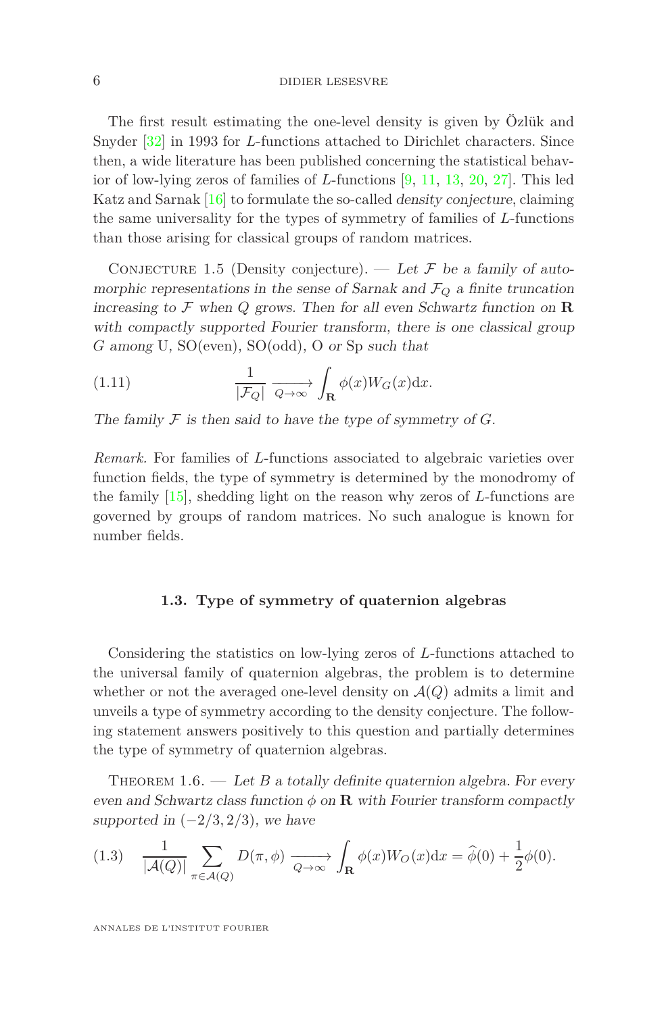### 6 DIDIER LESESVRE

The first result estimating the one-level density is given by Özlük and Snyder [\[32\]](#page-42-5) in 1993 for *L*-functions attached to Dirichlet characters. Since then, a wide literature has been published concerning the statistical behavior of low-lying zeros of families of *L*-functions [\[9,](#page-41-3) [11,](#page-41-4) [13,](#page-41-1) [20,](#page-42-6) [27\]](#page-42-7). This led Katz and Sarnak [\[16\]](#page-41-5) to formulate the so-called density conjecture, claiming the same universality for the types of symmetry of families of *L*-functions than those arising for classical groups of random matrices.

CONJECTURE 1.5 (Density conjecture). — Let  $\mathcal F$  be a family of automorphic representations in the sense of Sarnak and  $\mathcal{F}_Q$  a finite truncation increasing to  $\mathcal F$  when  $Q$  grows. Then for all even Schwartz function on  $\mathbb R$ with compactly supported Fourier transform, there is one classical group *G* among U, SO(even), SO(odd), O or Sp such that

(1.11) 
$$
\frac{1}{|\mathcal{F}_Q|} \xrightarrow[Q \to \infty]{} \int_{\mathbf{R}} \phi(x) W_G(x) dx.
$$

The family  $\mathcal F$  is then said to have the type of symmetry of  $G$ .

*Remark.* For families of *L*-functions associated to algebraic varieties over function fields, the type of symmetry is determined by the monodromy of the family [\[15\]](#page-41-2), shedding light on the reason why zeros of *L*-functions are governed by groups of random matrices. No such analogue is known for number fields.

### **1.3. Type of symmetry of quaternion algebras**

Considering the statistics on low-lying zeros of *L*-functions attached to the universal family of quaternion algebras, the problem is to determine whether or not the averaged one-level density on  $\mathcal{A}(Q)$  admits a limit and unveils a type of symmetry according to the density conjecture. The following statement answers positively to this question and partially determines the type of symmetry of quaternion algebras.

THEOREM  $1.6.$  — Let *B* a totally definite quaternion algebra. For every even and Schwartz class function  $\phi$  on **R** with Fourier transform compactly supported in  $(-2/3, 2/3)$ , we have

(1.3) 
$$
\frac{1}{|\mathcal{A}(Q)|} \sum_{\pi \in \mathcal{A}(Q)} D(\pi, \phi) \xrightarrow[Q \to \infty]{} \int_{\mathbf{R}} \phi(x) W_O(x) dx = \widehat{\phi}(0) + \frac{1}{2} \phi(0).
$$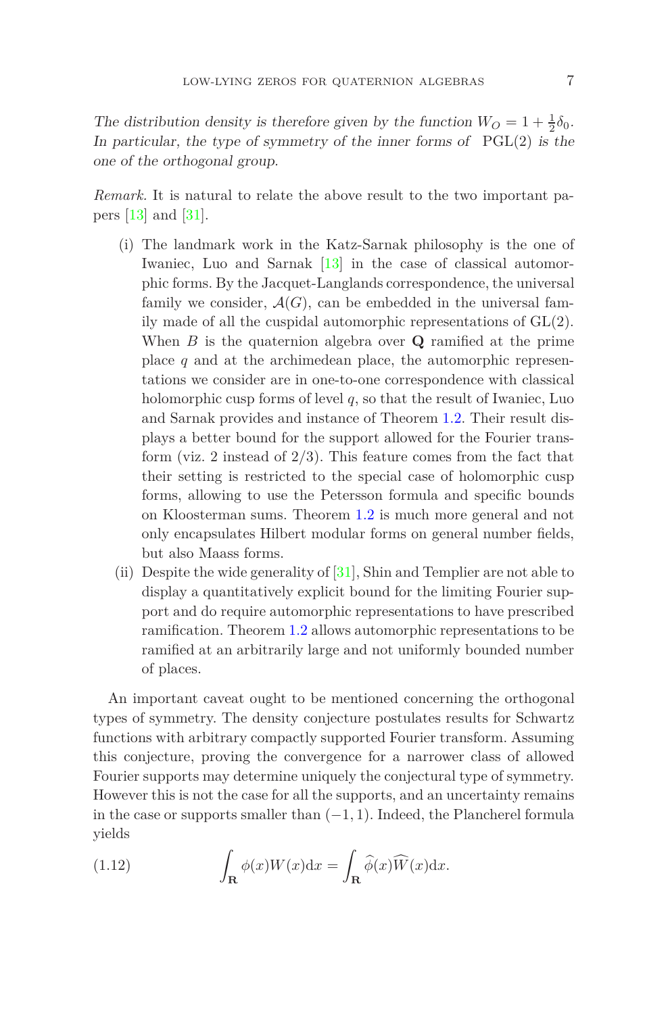The distribution density is therefore given by the function  $W_O = 1 + \frac{1}{2}\delta_0$ . In particular, the type of symmetry of the inner forms of  $PGL(2)$  is the one of the orthogonal group.

*Remark.* It is natural to relate the above result to the two important papers [\[13\]](#page-41-1) and [\[31\]](#page-42-8).

- (i) The landmark work in the Katz-Sarnak philosophy is the one of Iwaniec, Luo and Sarnak [\[13\]](#page-41-1) in the case of classical automorphic forms. By the Jacquet-Langlands correspondence, the universal family we consider,  $A(G)$ , can be embedded in the universal family made of all the cuspidal automorphic representations of GL(2). When *B* is the quaternion algebra over **Q** ramified at the prime place *q* and at the archimedean place, the automorphic representations we consider are in one-to-one correspondence with classical holomorphic cusp forms of level *q*, so that the result of Iwaniec, Luo and Sarnak provides and instance of Theorem [1.2.](#page-2-0) Their result displays a better bound for the support allowed for the Fourier transform (viz. 2 instead of 2*/*3). This feature comes from the fact that their setting is restricted to the special case of holomorphic cusp forms, allowing to use the Petersson formula and specific bounds on Kloosterman sums. Theorem [1.2](#page-2-0) is much more general and not only encapsulates Hilbert modular forms on general number fields, but also Maass forms.
- (ii) Despite the wide generality of [\[31\]](#page-42-8), Shin and Templier are not able to display a quantitatively explicit bound for the limiting Fourier support and do require automorphic representations to have prescribed ramification. Theorem [1.2](#page-2-0) allows automorphic representations to be ramified at an arbitrarily large and not uniformly bounded number of places.

An important caveat ought to be mentioned concerning the orthogonal types of symmetry. The density conjecture postulates results for Schwartz functions with arbitrary compactly supported Fourier transform. Assuming this conjecture, proving the convergence for a narrower class of allowed Fourier supports may determine uniquely the conjectural type of symmetry. However this is not the case for all the supports, and an uncertainty remains in the case or supports smaller than (−1*,* 1). Indeed, the Plancherel formula yields

(1.12) 
$$
\int_{\mathbf{R}} \phi(x)W(x)dx = \int_{\mathbf{R}} \widehat{\phi}(x)\widehat{W}(x)dx.
$$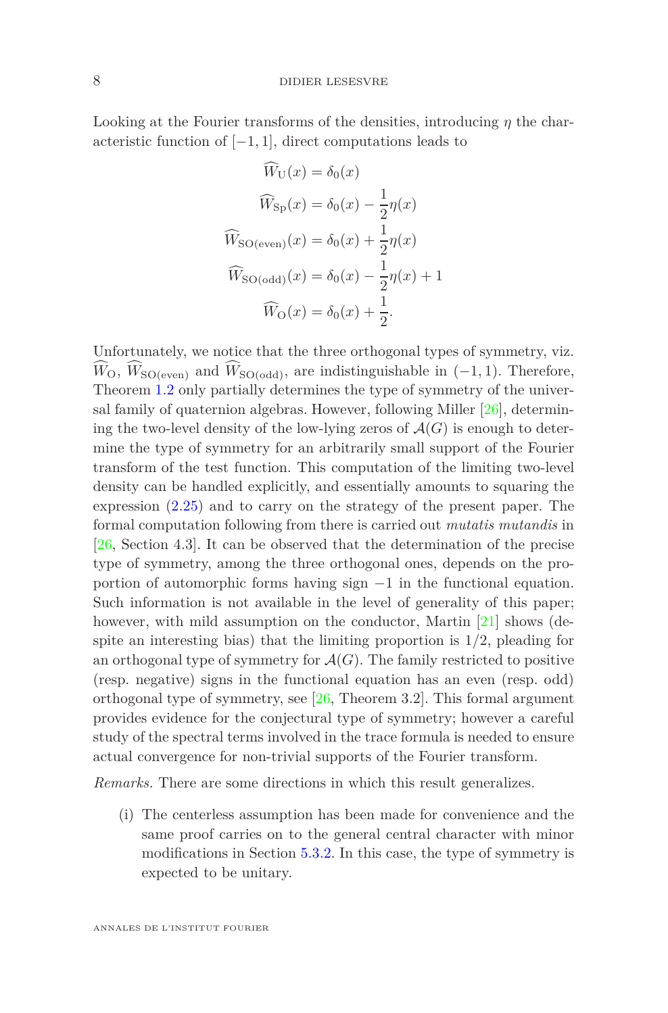Looking at the Fourier transforms of the densities, introducing *η* the characteristic function of  $[-1, 1]$ , direct computations leads to

$$
\widehat{W}_{\text{U}}(x) = \delta_0(x)
$$

$$
\widehat{W}_{\text{Sp}}(x) = \delta_0(x) - \frac{1}{2}\eta(x)
$$

$$
\widehat{W}_{\text{SO(even)}}(x) = \delta_0(x) + \frac{1}{2}\eta(x)
$$

$$
\widehat{W}_{\text{SO(odd)}}(x) = \delta_0(x) - \frac{1}{2}\eta(x) + 1
$$

$$
\widehat{W}_{\text{O}}(x) = \delta_0(x) + \frac{1}{2}.
$$

Unfortunately, we notice that the three orthogonal types of symmetry, viz.  $\widehat{W}_{\mathcal{O}}, \widehat{W}_{\mathcal{SO}(even)}$  and  $\widehat{W}_{\mathcal{SO}(odd)}$ , are indistinguishable in (−1, 1). Therefore, Theorem [1.2](#page-2-0) only partially determines the type of symmetry of the universal family of quaternion algebras. However, following Miller [\[26\]](#page-42-9), determining the two-level density of the low-lying zeros of  $\mathcal{A}(G)$  is enough to determine the type of symmetry for an arbitrarily small support of the Fourier transform of the test function. This computation of the limiting two-level density can be handled explicitly, and essentially amounts to squaring the expression [\(2.25\)](#page-17-0) and to carry on the strategy of the present paper. The formal computation following from there is carried out *mutatis mutandis* in [\[26,](#page-42-9) Section 4.3]. It can be observed that the determination of the precise type of symmetry, among the three orthogonal ones, depends on the proportion of automorphic forms having sign  $-1$  in the functional equation. Such information is not available in the level of generality of this paper; however, with mild assumption on the conductor, Martin [\[21\]](#page-42-10) shows (despite an interesting bias) that the limiting proportion is 1*/*2, pleading for an orthogonal type of symmetry for  $\mathcal{A}(G)$ . The family restricted to positive (resp. negative) signs in the functional equation has an even (resp. odd) orthogonal type of symmetry, see [\[26,](#page-42-9) Theorem 3.2]. This formal argument provides evidence for the conjectural type of symmetry; however a careful study of the spectral terms involved in the trace formula is needed to ensure actual convergence for non-trivial supports of the Fourier transform.

*Remarks.* There are some directions in which this result generalizes.

(i) The centerless assumption has been made for convenience and the same proof carries on to the general central character with minor modifications in Section [5.3.2.](#page-26-0) In this case, the type of symmetry is expected to be unitary.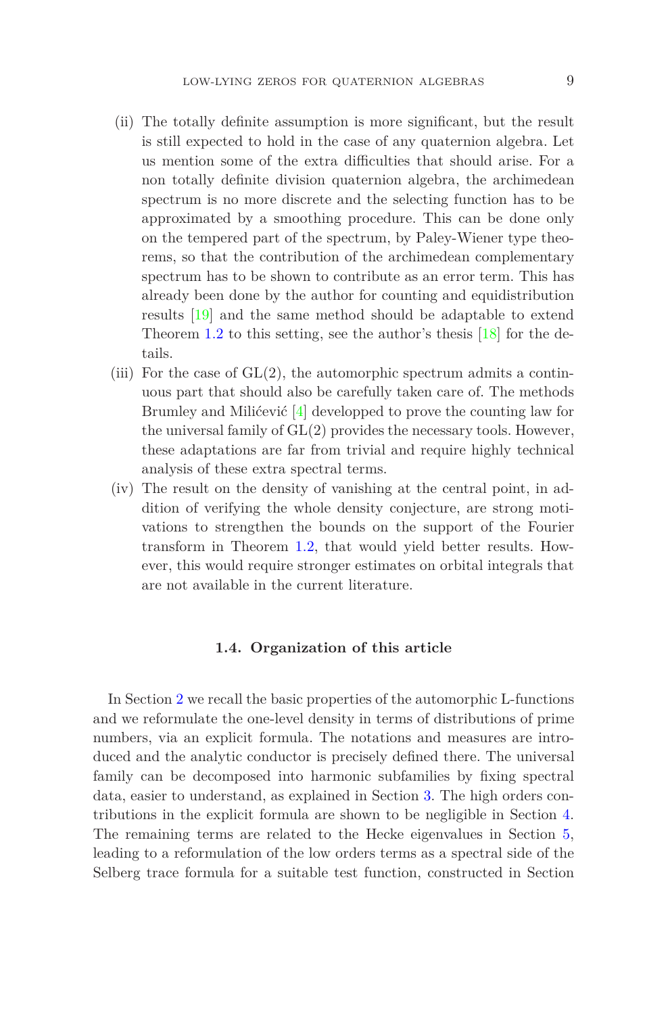- (ii) The totally definite assumption is more significant, but the result is still expected to hold in the case of any quaternion algebra. Let us mention some of the extra difficulties that should arise. For a non totally definite division quaternion algebra, the archimedean spectrum is no more discrete and the selecting function has to be approximated by a smoothing procedure. This can be done only on the tempered part of the spectrum, by Paley-Wiener type theorems, so that the contribution of the archimedean complementary spectrum has to be shown to contribute as an error term. This has already been done by the author for counting and equidistribution results [\[19\]](#page-42-1) and the same method should be adaptable to extend Theorem [1.2](#page-2-0) to this setting, see the author's thesis  $[18]$  for the details.
- (iii) For the case of  $GL(2)$ , the automorphic spectrum admits a continuous part that should also be carefully taken care of. The methods Brumley and Milićević [\[4\]](#page-41-6) developped to prove the counting law for the universal family of GL(2) provides the necessary tools. However, these adaptations are far from trivial and require highly technical analysis of these extra spectral terms.
- (iv) The result on the density of vanishing at the central point, in addition of verifying the whole density conjecture, are strong motivations to strengthen the bounds on the support of the Fourier transform in Theorem [1.2,](#page-2-0) that would yield better results. However, this would require stronger estimates on orbital integrals that are not available in the current literature.

### **1.4. Organization of this article**

In Section [2](#page-9-0) we recall the basic properties of the automorphic L-functions and we reformulate the one-level density in terms of distributions of prime numbers, via an explicit formula. The notations and measures are introduced and the analytic conductor is precisely defined there. The universal family can be decomposed into harmonic subfamilies by fixing spectral data, easier to understand, as explained in Section [3.](#page-17-1) The high orders contributions in the explicit formula are shown to be negligible in Section [4.](#page-21-0) The remaining terms are related to the Hecke eigenvalues in Section [5,](#page-23-0) leading to a reformulation of the low orders terms as a spectral side of the Selberg trace formula for a suitable test function, constructed in Section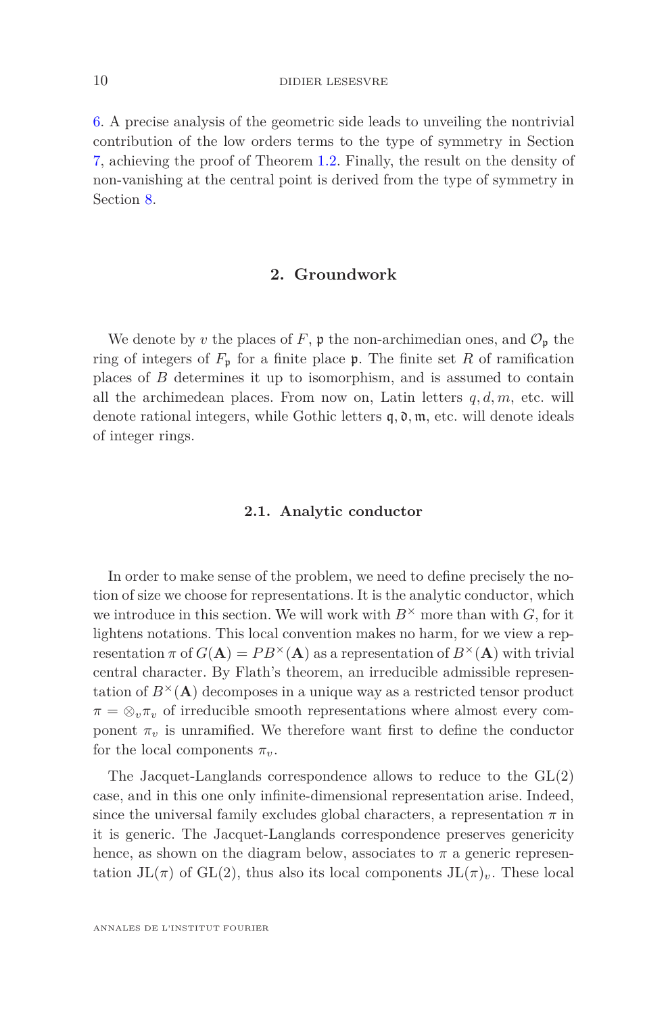[6.](#page-28-0) A precise analysis of the geometric side leads to unveiling the nontrivial contribution of the low orders terms to the type of symmetry in Section [7,](#page-34-0) achieving the proof of Theorem [1.2.](#page-2-0) Finally, the result on the density of non-vanishing at the central point is derived from the type of symmetry in Section [8.](#page-39-0)

# **2. Groundwork**

<span id="page-9-0"></span>We denote by *v* the places of F,  $\mathfrak p$  the non-archimedian ones, and  $\mathcal O_{\mathfrak p}$  the ring of integers of  $F_p$  for a finite place  $\mathfrak p$ . The finite set R of ramification places of *B* determines it up to isomorphism, and is assumed to contain all the archimedean places. From now on, Latin letters *q, d, m*, etc. will denote rational integers, while Gothic letters  $\mathfrak{q}, \mathfrak{d}, \mathfrak{m}$ , etc. will denote ideals of integer rings.

#### **2.1. Analytic conductor**

In order to make sense of the problem, we need to define precisely the notion of size we choose for representations. It is the analytic conductor, which we introduce in this section. We will work with  $B^{\times}$  more than with *G*, for it lightens notations. This local convention makes no harm, for we view a representation  $\pi$  of  $G(A) = PB^{\times}(A)$  as a representation of  $B^{\times}(A)$  with trivial central character. By Flath's theorem, an irreducible admissible representation of  $B^{\times}(\mathbf{A})$  decomposes in a unique way as a restricted tensor product  $\pi = \otimes_v \pi_v$  of irreducible smooth representations where almost every component  $\pi_v$  is unramified. We therefore want first to define the conductor for the local components  $\pi_{\nu}$ .

The Jacquet-Langlands correspondence allows to reduce to the GL(2) case, and in this one only infinite-dimensional representation arise. Indeed, since the universal family excludes global characters, a representation  $\pi$  in it is generic. The Jacquet-Langlands correspondence preserves genericity hence, as shown on the diagram below, associates to  $\pi$  a generic representation  $JL(\pi)$  of  $GL(2)$ , thus also its local components  $JL(\pi)_v$ . These local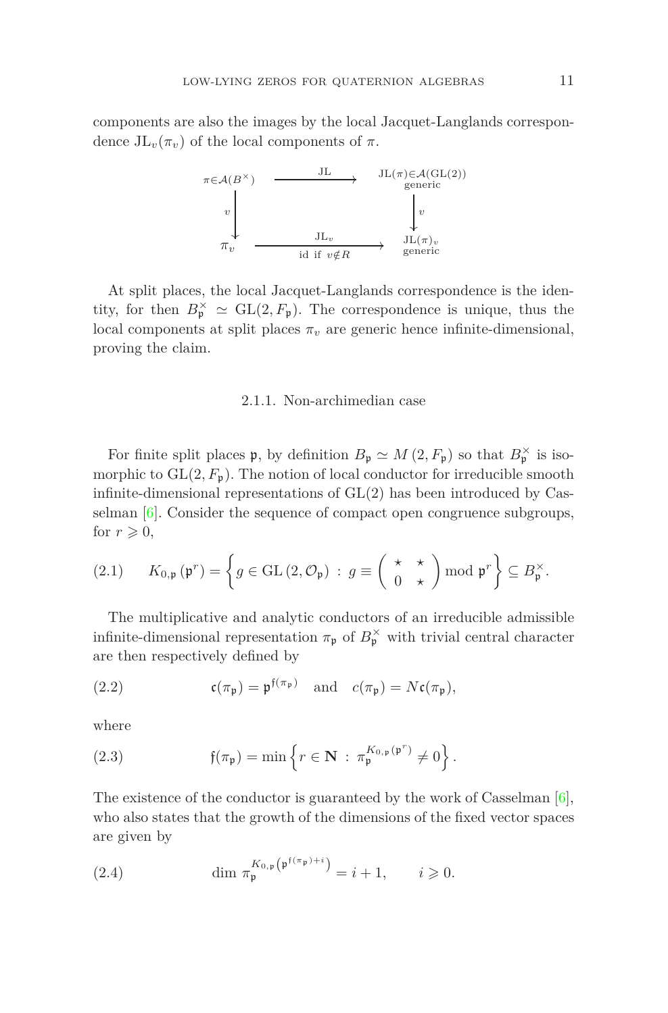components are also the images by the local Jacquet-Langlands correspondence  $JL_{\nu}(\pi_{\nu})$  of the local components of  $\pi$ .



At split places, the local Jacquet-Langlands correspondence is the identity, for then  $B_{\mathfrak{p}}^{\times} \simeq GL(2, F_{\mathfrak{p}})$ . The correspondence is unique, thus the local components at split places  $\pi$ <sup>*v*</sup> are generic hence infinite-dimensional, proving the claim.

### 2.1.1. Non-archimedian case

For finite split places  $\mathfrak{p}$ , by definition  $B_{\mathfrak{p}} \simeq M(2, F_{\mathfrak{p}})$  so that  $B_{\mathfrak{p}}^{\times}$  is isomorphic to  $GL(2, F_p)$ . The notion of local conductor for irreducible smooth infinite-dimensional representations of  $GL(2)$  has been introduced by Casselman [\[6\]](#page-41-7). Consider the sequence of compact open congruence subgroups, for  $r \geqslant 0$ ,

<span id="page-10-0"></span>(2.1) 
$$
K_{0,\mathfrak{p}}(\mathfrak{p}^r) = \left\{ g \in \text{GL}(2,\mathcal{O}_{\mathfrak{p}}) : g \equiv \left( \begin{array}{c} \star \\ 0 \end{array} \right) \times \text{mod } \mathfrak{p}^r \right\} \subseteq B_{\mathfrak{p}}^{\times}.
$$

The multiplicative and analytic conductors of an irreducible admissible infinite-dimensional representation  $\pi_{\mathfrak{p}}$  of  $B_{\mathfrak{p}}^{\times}$  with trivial central character are then respectively defined by

(2.2) 
$$
\mathfrak{c}(\pi_{\mathfrak{p}}) = \mathfrak{p}^{\mathfrak{f}(\pi_{\mathfrak{p}})} \quad \text{and} \quad c(\pi_{\mathfrak{p}}) = N\mathfrak{c}(\pi_{\mathfrak{p}}),
$$

where

(2.3) 
$$
\mathfrak{f}(\pi_{\mathfrak{p}}) = \min \left\{ r \in \mathbf{N} : \pi_{\mathfrak{p}}^{K_{0,\mathfrak{p}}(\mathfrak{p}^r)} \neq 0 \right\}.
$$

The existence of the conductor is guaranteed by the work of Casselman [\[6\]](#page-41-7), who also states that the growth of the dimensions of the fixed vector spaces are given by

(2.4) 
$$
\dim \pi_{\mathfrak{p}}^{K_{0,\mathfrak{p}}(\mathfrak{p}^{\mathfrak{f}(\pi_{\mathfrak{p}})+i})} = i+1, \qquad i \geq 0.
$$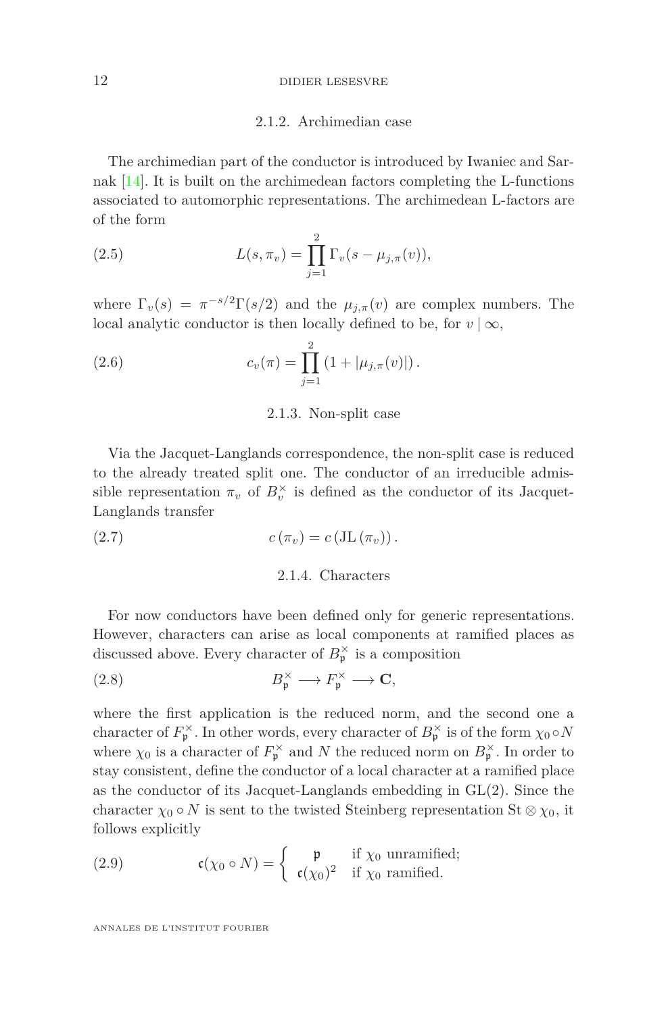#### 12 DIDIER LESESVRE

## 2.1.2. Archimedian case

The archimedian part of the conductor is introduced by Iwaniec and Sarnak  $[14]$ . It is built on the archimedean factors completing the L-functions associated to automorphic representations. The archimedean L-factors are of the form

(2.5) 
$$
L(s, \pi_v) = \prod_{j=1}^{2} \Gamma_v(s - \mu_{j,\pi}(v)),
$$

where  $\Gamma_v(s) = \pi^{-s/2} \Gamma(s/2)$  and the  $\mu_{j,\pi}(v)$  are complex numbers. The local analytic conductor is then locally defined to be, for  $v | \infty$ ,

(2.6) 
$$
c_v(\pi) = \prod_{j=1}^2 (1 + |\mu_{j,\pi}(v)|).
$$

#### 2.1.3. Non-split case

Via the Jacquet-Langlands correspondence, the non-split case is reduced to the already treated split one. The conductor of an irreducible admissible representation  $\pi_v$  of  $B_v^{\times}$  is defined as the conductor of its Jacquet-Langlands transfer

(2.7) 
$$
c(\pi_v) = c(\text{JL}(\pi_v)).
$$

# 2.1.4. Characters

For now conductors have been defined only for generic representations. However, characters can arise as local components at ramified places as discussed above. Every character of  $B_{\mathfrak{p}}^{\times}$  is a composition

(2.8) 
$$
B_{\mathfrak{p}}^{\times} \longrightarrow F_{\mathfrak{p}}^{\times} \longrightarrow \mathbf{C},
$$

where the first application is the reduced norm, and the second one a character of  $F_{\mathfrak{p}}^{\times}$ . In other words, every character of  $B_{\mathfrak{p}}^{\times}$  is of the form  $\chi_0 \circ N$ where  $\chi_0$  is a character of  $F_{\mathfrak{p}}^{\times}$  and *N* the reduced norm on  $B_{\mathfrak{p}}^{\times}$ . In order to stay consistent, define the conductor of a local character at a ramified place as the conductor of its Jacquet-Langlands embedding in GL(2). Since the character  $\chi_0 \circ N$  is sent to the twisted Steinberg representation St  $\otimes \chi_0$ , it follows explicitly

(2.9) 
$$
\mathfrak{c}(\chi_0 \circ N) = \begin{cases} \mathfrak{p} & \text{if } \chi_0 \text{ unramified;} \\ \mathfrak{c}(\chi_0)^2 & \text{if } \chi_0 \text{ ramified.} \end{cases}
$$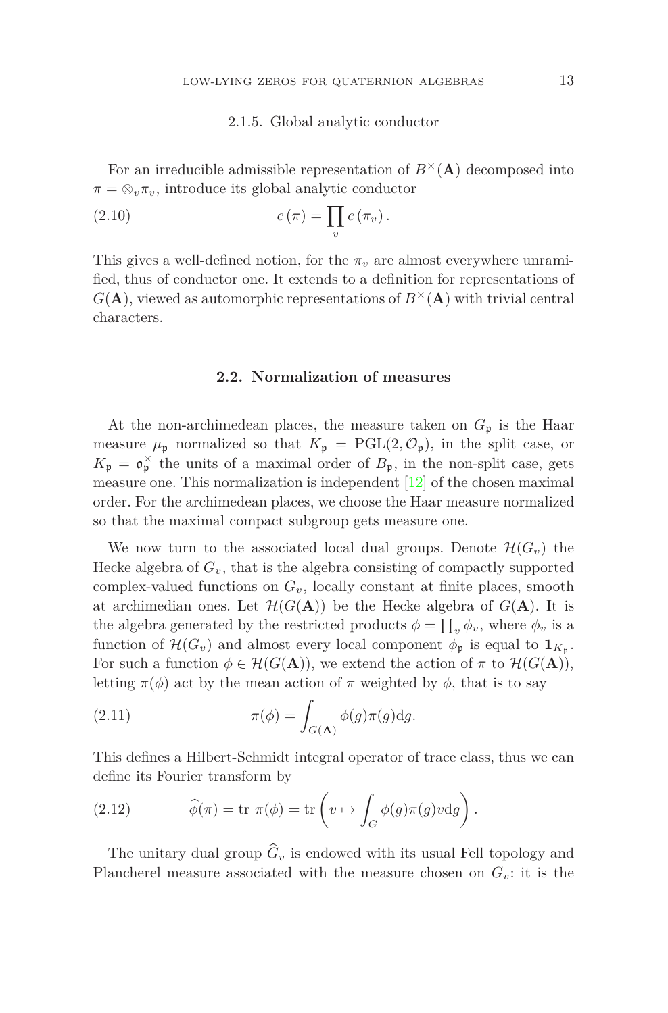#### 2.1.5. Global analytic conductor

For an irreducible admissible representation of  $B^{\times}(\mathbf{A})$  decomposed into  $\pi = \otimes_v \pi_v$ , introduce its global analytic conductor

(2.10) 
$$
c(\pi) = \prod_v c(\pi_v).
$$

This gives a well-defined notion, for the  $\pi$ <sup>*v*</sup> are almost everywhere unramified, thus of conductor one. It extends to a definition for representations of  $G(A)$ , viewed as automorphic representations of  $B^{\times}(A)$  with trivial central characters.

#### **2.2. Normalization of measures**

<span id="page-12-0"></span>At the non-archimedean places, the measure taken on  $G_{\mathfrak{p}}$  is the Haar measure  $\mu_{\mathfrak{p}}$  normalized so that  $K_{\mathfrak{p}} = \text{PGL}(2, \mathcal{O}_{\mathfrak{p}})$ , in the split case, or  $K_{\mathfrak{p}} = \mathfrak{o}_{\mathfrak{p}}^{\times}$  the units of a maximal order of  $B_{\mathfrak{p}}$ , in the non-split case, gets measure one. This normalization is independent  $\left[12\right]$  of the chosen maximal order. For the archimedean places, we choose the Haar measure normalized so that the maximal compact subgroup gets measure one.

We now turn to the associated local dual groups. Denote  $\mathcal{H}(G_v)$  the Hecke algebra of  $G_v$ , that is the algebra consisting of compactly supported complex-valued functions on  $G_v$ , locally constant at finite places, smooth at archimedian ones. Let  $\mathcal{H}(G(\mathbf{A}))$  be the Hecke algebra of  $G(\mathbf{A})$ . It is the algebra generated by the restricted products  $\phi = \prod_v \phi_v$ , where  $\phi_v$  is a function of  $\mathcal{H}(G_v)$  and almost every local component  $\phi_{\mathfrak{p}}$  is equal to  $\mathbf{1}_{K_{\mathfrak{p}}}.$ For such a function  $\phi \in \mathcal{H}(G(\mathbf{A}))$ , we extend the action of  $\pi$  to  $\mathcal{H}(G(\mathbf{A}))$ , letting  $\pi(\phi)$  act by the mean action of  $\pi$  weighted by  $\phi$ , that is to say

(2.11) 
$$
\pi(\phi) = \int_{G(\mathbf{A})} \phi(g)\pi(g) \mathrm{d}g.
$$

This defines a Hilbert-Schmidt integral operator of trace class, thus we can define its Fourier transform by

(2.12) 
$$
\widehat{\phi}(\pi) = \text{tr } \pi(\phi) = \text{tr} \left( v \mapsto \int_G \phi(g) \pi(g) v \, dg \right).
$$

The unitary dual group  $\widehat{G}_v$  is endowed with its usual Fell topology and Plancherel measure associated with the measure chosen on  $G_v$ : it is the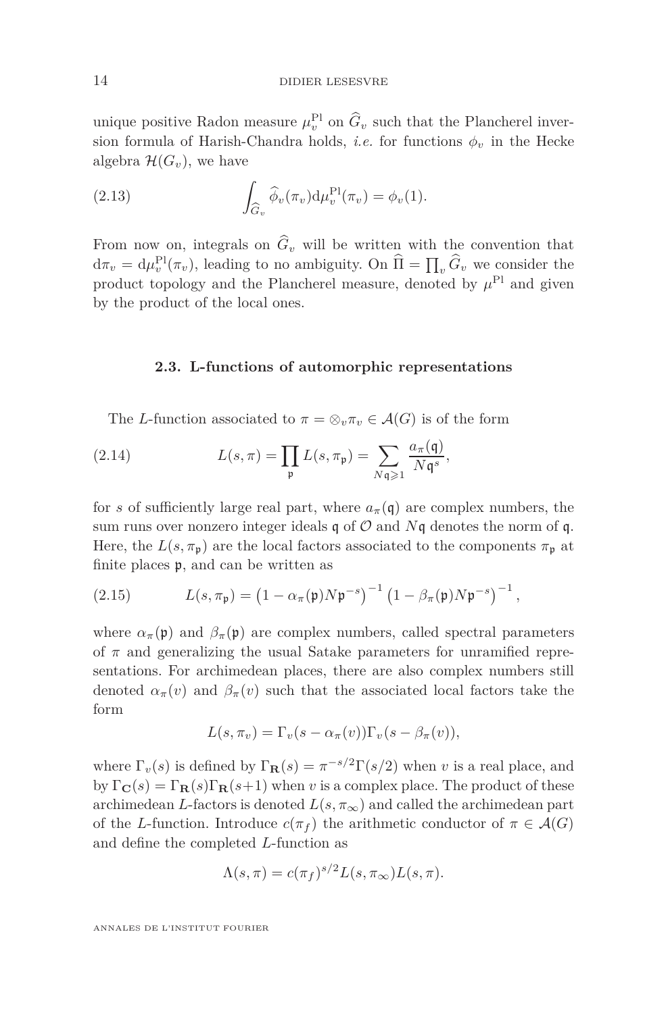unique positive Radon measure  $\mu_v^{\text{Pl}}$  on  $\tilde{G}_v$  such that the Plancherel inversion formula of Harish-Chandra holds, *i.e.* for functions  $\phi_v$  in the Hecke algebra  $\mathcal{H}(G_v)$ , we have

(2.13) 
$$
\int_{\widehat{G}_v} \widehat{\phi}_v(\pi_v) d\mu_v^{\text{Pl}}(\pi_v) = \phi_v(1).
$$

From now on, integrals on  $\hat{G}_v$  will be written with the convention that  $d\pi_v = d\mu_v^{\text{Pl}}(\pi_v)$ , leading to no ambiguity. On  $\widehat{\Pi} = \prod_v \widehat{G}_v$  we consider the product topology and the Plancherel measure, denoted by  $\mu^{\text{Pl}}$  and given by the product of the local ones.

### **2.3. L-functions of automorphic representations**

The *L*-function associated to  $\pi = \otimes_v \pi_v \in \mathcal{A}(G)$  is of the form

(2.14) 
$$
L(s,\pi) = \prod_{\mathfrak{p}} L(s,\pi_{\mathfrak{p}}) = \sum_{N\mathfrak{q}\geqslant 1} \frac{a_{\pi}(\mathfrak{q})}{N\mathfrak{q}^s},
$$

for *s* of sufficiently large real part, where  $a_{\pi}(\mathfrak{q})$  are complex numbers, the sum runs over nonzero integer ideals  $\mathfrak q$  of  $\mathcal O$  and  $N\mathfrak q$  denotes the norm of  $\mathfrak q$ . Here, the  $L(s, \pi_p)$  are the local factors associated to the components  $\pi_p$  at finite places p, and can be written as

<span id="page-13-0"></span>(2.15) 
$$
L(s,\pi_{\mathfrak{p}}) = (1 - \alpha_{\pi}(\mathfrak{p})N\mathfrak{p}^{-s})^{-1} (1 - \beta_{\pi}(\mathfrak{p})N\mathfrak{p}^{-s})^{-1},
$$

where  $\alpha_{\pi}(\mathfrak{p})$  and  $\beta_{\pi}(\mathfrak{p})$  are complex numbers, called spectral parameters of  $\pi$  and generalizing the usual Satake parameters for unramified representations. For archimedean places, there are also complex numbers still denoted  $\alpha_{\pi}(v)$  and  $\beta_{\pi}(v)$  such that the associated local factors take the form

$$
L(s, \pi_v) = \Gamma_v(s - \alpha_{\pi}(v))\Gamma_v(s - \beta_{\pi}(v)),
$$

where  $\Gamma_v(s)$  is defined by  $\Gamma_{\mathbf{R}}(s) = \pi^{-s/2} \Gamma(s/2)$  when *v* is a real place, and by  $\Gamma_{\mathbf{C}}(s) = \Gamma_{\mathbf{R}}(s)\Gamma_{\mathbf{R}}(s+1)$  when *v* is a complex place. The product of these archimedean *L*-factors is denoted  $L(s, \pi_{\infty})$  and called the archimedean part of the *L*-function. Introduce  $c(\pi_f)$  the arithmetic conductor of  $\pi \in \mathcal{A}(G)$ and define the completed *L*-function as

$$
\Lambda(s,\pi) = c(\pi_f)^{s/2} L(s,\pi_\infty) L(s,\pi).
$$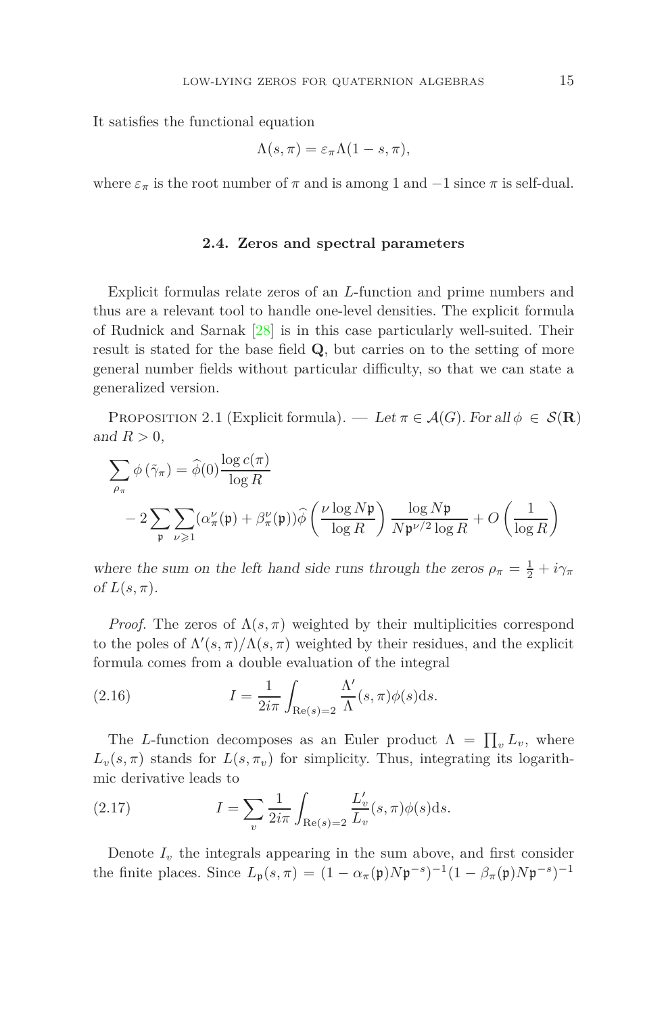It satisfies the functional equation

$$
\Lambda(s,\pi)=\varepsilon_{\pi}\Lambda(1-s,\pi),
$$

where  $\varepsilon_{\pi}$  is the root number of  $\pi$  and is among 1 and  $-1$  since  $\pi$  is self-dual.

#### **2.4. Zeros and spectral parameters**

Explicit formulas relate zeros of an *L*-function and prime numbers and thus are a relevant tool to handle one-level densities. The explicit formula of Rudnick and Sarnak [\[28\]](#page-42-4) is in this case particularly well-suited. Their result is stated for the base field **Q**, but carries on to the setting of more general number fields without particular difficulty, so that we can state a generalized version.

PROPOSITION 2.1 (Explicit formula). — Let  $\pi \in \mathcal{A}(G)$ . For all  $\phi \in \mathcal{S}(\mathbf{R})$ and  $R > 0$ ,

$$
\sum_{\rho_{\pi}} \phi(\tilde{\gamma}_{\pi}) = \hat{\phi}(0) \frac{\log c(\pi)}{\log R}
$$
  
-2 $\sum_{\mathfrak{p}} \sum_{\nu \geq 1} (\alpha_{\pi}^{\nu}(\mathfrak{p}) + \beta_{\pi}^{\nu}(\mathfrak{p})) \hat{\phi}\left(\frac{\nu \log N \mathfrak{p}}{\log R}\right) \frac{\log N \mathfrak{p}}{N \mathfrak{p}^{\nu/2} \log R} + O\left(\frac{1}{\log R}\right)$ 

where the sum on the left hand side runs through the zeros  $\rho_{\pi} = \frac{1}{2} + i\gamma_{\pi}$ of  $L(s, \pi)$ .

*Proof.* The zeros of  $\Lambda(s, \pi)$  weighted by their multiplicities correspond to the poles of  $\Lambda'(s,\pi)/\Lambda(s,\pi)$  weighted by their residues, and the explicit formula comes from a double evaluation of the integral

<span id="page-14-1"></span>(2.16) 
$$
I = \frac{1}{2i\pi} \int_{\text{Re}(s)=2} \frac{\Lambda'}{\Lambda}(s,\pi)\phi(s)ds.
$$

The *L*-function decomposes as an Euler product  $\Lambda = \prod_{v} L_v$ , where  $L_v(s, \pi)$  stands for  $L(s, \pi_v)$  for simplicity. Thus, integrating its logarithmic derivative leads to

<span id="page-14-0"></span>(2.17) 
$$
I = \sum_{v} \frac{1}{2i\pi} \int_{\text{Re}(s) = 2} \frac{L'_v}{L_v}(s, \pi) \phi(s) \, ds.
$$

Denote  $I_v$  the integrals appearing in the sum above, and first consider the finite places. Since  $L_{\mathfrak{p}}(s,\pi) = (1 - \alpha_{\pi}(\mathfrak{p})N\mathfrak{p}^{-s})^{-1}(1 - \beta_{\pi}(\mathfrak{p})N\mathfrak{p}^{-s})^{-1}$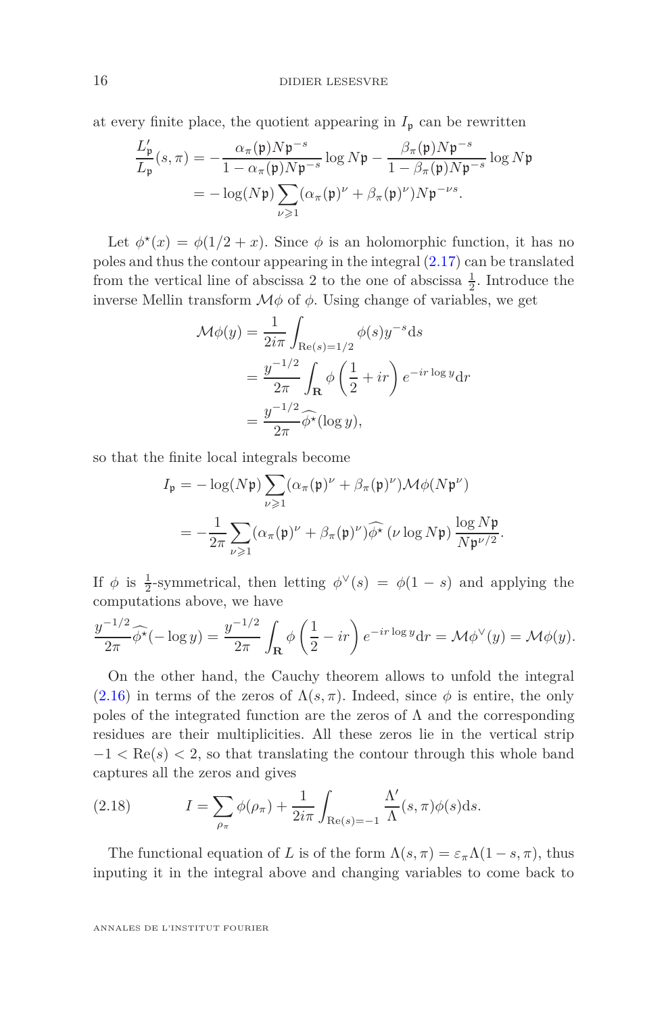at every finite place, the quotient appearing in  $I_p$  can be rewritten

$$
\frac{L'_{\mathfrak{p}}}{L_{\mathfrak{p}}}(s,\pi) = -\frac{\alpha_{\pi}(\mathfrak{p})N\mathfrak{p}^{-s}}{1 - \alpha_{\pi}(\mathfrak{p})N\mathfrak{p}^{-s}} \log N\mathfrak{p} - \frac{\beta_{\pi}(\mathfrak{p})N\mathfrak{p}^{-s}}{1 - \beta_{\pi}(\mathfrak{p})N\mathfrak{p}^{-s}} \log N\mathfrak{p}
$$

$$
= -\log(N\mathfrak{p})\sum_{\nu \geqslant 1} (\alpha_{\pi}(\mathfrak{p})^{\nu} + \beta_{\pi}(\mathfrak{p})^{\nu})N\mathfrak{p}^{-\nu s}.
$$

Let  $\phi^*(x) = \phi(1/2 + x)$ . Since  $\phi$  is an holomorphic function, it has no poles and thus the contour appearing in the integral [\(2.17\)](#page-14-0) can be translated from the vertical line of abscissa 2 to the one of abscissa  $\frac{1}{2}$ . Introduce the inverse Mellin transform  $\mathcal{M}\phi$  of  $\phi$ . Using change of variables, we get

$$
\mathcal{M}\phi(y) = \frac{1}{2i\pi} \int_{\text{Re}(s)=1/2} \phi(s)y^{-s}ds
$$
  
= 
$$
\frac{y^{-1/2}}{2\pi} \int_{\mathbf{R}} \phi\left(\frac{1}{2} + ir\right) e^{-ir\log y} dr
$$
  
= 
$$
\frac{y^{-1/2}}{2\pi} \widehat{\phi^*}(\log y),
$$

so that the finite local integrals become

$$
I_{\mathfrak{p}} = -\log(N\mathfrak{p}) \sum_{\nu \geq 1} (\alpha_{\pi}(\mathfrak{p})^{\nu} + \beta_{\pi}(\mathfrak{p})^{\nu}) \mathcal{M} \phi(N\mathfrak{p}^{\nu})
$$
  
= 
$$
-\frac{1}{2\pi} \sum_{\nu \geq 1} (\alpha_{\pi}(\mathfrak{p})^{\nu} + \beta_{\pi}(\mathfrak{p})^{\nu}) \widehat{\phi^{\star}} (\nu \log N\mathfrak{p}) \frac{\log N\mathfrak{p}}{N\mathfrak{p}^{\nu/2}}.
$$

If  $\phi$  is  $\frac{1}{2}$ -symmetrical, then letting  $\phi^{\vee}(s) = \phi(1-s)$  and applying the computations above, we have

$$
\frac{y^{-1/2}}{2\pi} \widehat{\phi^{\star}}(-\log y) = \frac{y^{-1/2}}{2\pi} \int_{\mathbf{R}} \phi\left(\frac{1}{2} - ir\right) e^{-ir\log y} dr = \mathcal{M}\phi^{\vee}(y) = \mathcal{M}\phi(y).
$$

On the other hand, the Cauchy theorem allows to unfold the integral [\(2.16\)](#page-14-1) in terms of the zeros of  $\Lambda(s, \pi)$ . Indeed, since  $\phi$  is entire, the only poles of the integrated function are the zeros of  $\Lambda$  and the corresponding residues are their multiplicities. All these zeros lie in the vertical strip −1 *<* Re(*s*) *<* 2, so that translating the contour through this whole band captures all the zeros and gives

(2.18) 
$$
I = \sum_{\rho_{\pi}} \phi(\rho_{\pi}) + \frac{1}{2i\pi} \int_{\text{Re}(s)=-1} \frac{\Lambda'}{\Lambda}(s,\pi)\phi(s)ds.
$$

The functional equation of *L* is of the form  $\Lambda(s, \pi) = \varepsilon_{\pi} \Lambda(1 - s, \pi)$ , thus inputing it in the integral above and changing variables to come back to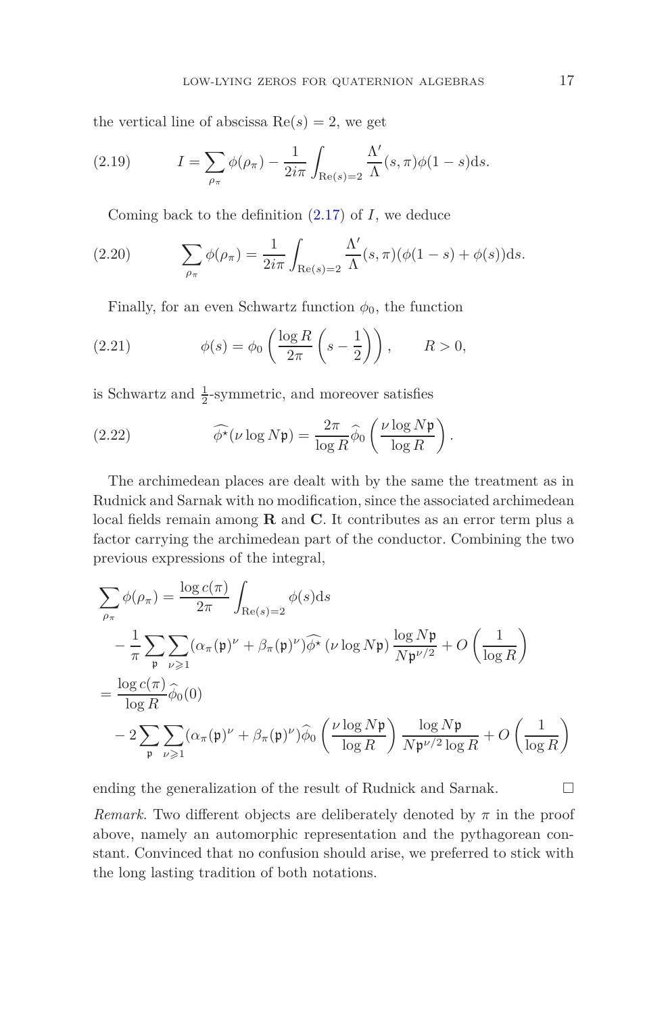the vertical line of abscissa  $Re(s) = 2$ , we get

(2.19) 
$$
I = \sum_{\rho_{\pi}} \phi(\rho_{\pi}) - \frac{1}{2i\pi} \int_{\text{Re}(s)=2} \frac{\Lambda'}{\Lambda}(s,\pi)\phi(1-s)ds.
$$

Coming back to the definition [\(2.17\)](#page-14-0) of *I*, we deduce

(2.20) 
$$
\sum_{\rho_{\pi}} \phi(\rho_{\pi}) = \frac{1}{2i\pi} \int_{\text{Re}(s)=2} \frac{\Lambda'}{\Lambda}(s,\pi)(\phi(1-s) + \phi(s))ds.
$$

Finally, for an even Schwartz function  $\phi_0$ , the function

(2.21) 
$$
\phi(s) = \phi_0 \left( \frac{\log R}{2\pi} \left( s - \frac{1}{2} \right) \right), \qquad R > 0,
$$

is Schwartz and  $\frac{1}{2}$ -symmetric, and moreover satisfies

(2.22) 
$$
\widehat{\phi^*}(\nu \log N\mathfrak{p}) = \frac{2\pi}{\log R} \widehat{\phi}_0 \left( \frac{\nu \log N\mathfrak{p}}{\log R} \right).
$$

The archimedean places are dealt with by the same the treatment as in Rudnick and Sarnak with no modification, since the associated archimedean local fields remain among **R** and **C**. It contributes as an error term plus a factor carrying the archimedean part of the conductor. Combining the two previous expressions of the integral,

$$
\sum_{\rho_{\pi}} \phi(\rho_{\pi}) = \frac{\log c(\pi)}{2\pi} \int_{\text{Re}(s)=2} \phi(s) ds
$$
  
\n
$$
- \frac{1}{\pi} \sum_{\mathfrak{p}} \sum_{\nu \geqslant 1} (\alpha_{\pi}(\mathfrak{p})^{\nu} + \beta_{\pi}(\mathfrak{p})^{\nu}) \widehat{\phi^{\star}} (\nu \log N \mathfrak{p}) \frac{\log N \mathfrak{p}}{N \mathfrak{p}^{\nu/2}} + O\left(\frac{1}{\log R}\right)
$$
  
\n
$$
= \frac{\log c(\pi)}{\log R} \widehat{\phi}_0(0)
$$
  
\n
$$
- 2 \sum_{\mathfrak{p}} \sum_{\nu \geqslant 1} (\alpha_{\pi}(\mathfrak{p})^{\nu} + \beta_{\pi}(\mathfrak{p})^{\nu}) \widehat{\phi}_0 \left(\frac{\nu \log N \mathfrak{p}}{\log R}\right) \frac{\log N \mathfrak{p}}{N \mathfrak{p}^{\nu/2} \log R} + O\left(\frac{1}{\log R}\right)
$$

ending the generalization of the result of Rudnick and Sarnak.  $\Box$ 

*Remark.* Two different objects are deliberately denoted by  $\pi$  in the proof above, namely an automorphic representation and the pythagorean constant. Convinced that no confusion should arise, we preferred to stick with the long lasting tradition of both notations.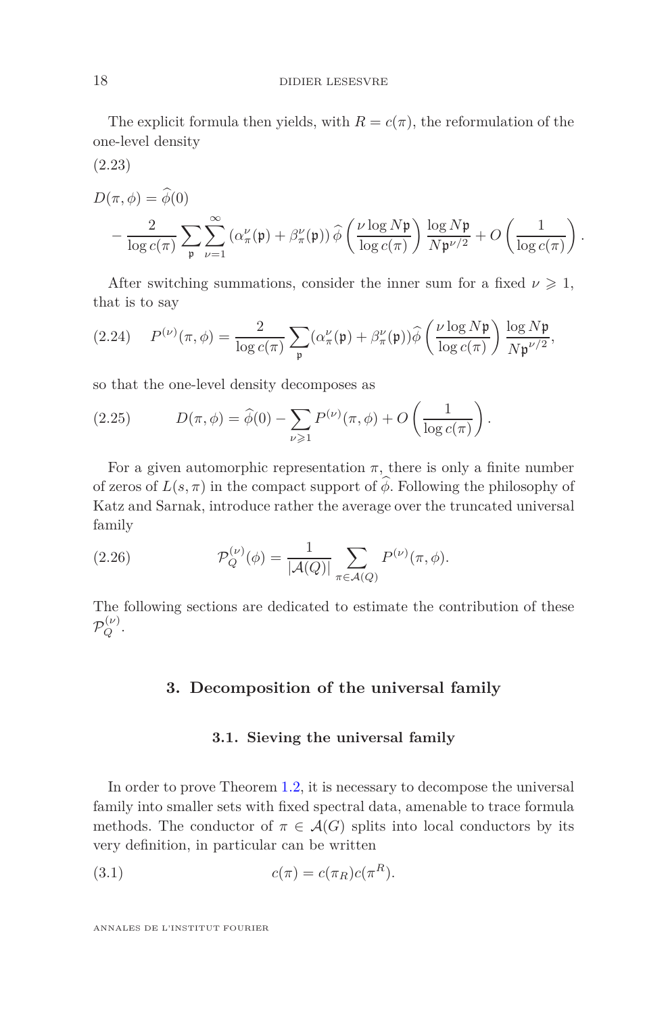The explicit formula then yields, with  $R = c(\pi)$ , the reformulation of the one-level density

<span id="page-17-4"></span>(2.23)

$$
D(\pi, \phi) = \widehat{\phi}(0)
$$
  
-  $\frac{2}{\log c(\pi)} \sum_{\mathfrak{p}} \sum_{\nu=1}^{\infty} (\alpha_{\pi}^{\nu}(\mathfrak{p}) + \beta_{\pi}^{\nu}(\mathfrak{p})) \widehat{\phi}\left(\frac{\nu \log N \mathfrak{p}}{\log c(\pi)}\right) \frac{\log N \mathfrak{p}}{N \mathfrak{p}^{\nu/2}} + O\left(\frac{1}{\log c(\pi)}\right).$ 

After switching summations, consider the inner sum for a fixed  $\nu \geq 1$ , that is to say

<span id="page-17-3"></span>(2.24) 
$$
P^{(\nu)}(\pi,\phi) = \frac{2}{\log c(\pi)} \sum_{\mathfrak{p}} (\alpha_{\pi}^{\nu}(\mathfrak{p}) + \beta_{\pi}^{\nu}(\mathfrak{p})) \widehat{\phi} \left( \frac{\nu \log N \mathfrak{p}}{\log c(\pi)} \right) \frac{\log N \mathfrak{p}}{N \mathfrak{p}^{\nu/2}},
$$

so that the one-level density decomposes as

<span id="page-17-0"></span>(2.25) 
$$
D(\pi,\phi) = \widehat{\phi}(0) - \sum_{\nu \geq 1} P^{(\nu)}(\pi,\phi) + O\left(\frac{1}{\log c(\pi)}\right).
$$

For a given automorphic representation  $\pi$ , there is only a finite number of zeros of  $L(s, \pi)$  in the compact support of  $\widehat{\phi}$ . Following the philosophy of Katz and Sarnak, introduce rather the average over the truncated universal family

<span id="page-17-2"></span>(2.26) 
$$
\mathcal{P}_Q^{(\nu)}(\phi) = \frac{1}{|\mathcal{A}(Q)|} \sum_{\pi \in \mathcal{A}(Q)} P^{(\nu)}(\pi, \phi).
$$

<span id="page-17-1"></span>The following sections are dedicated to estimate the contribution of these  $\mathcal{P}_Q^{(\nu)}.$ 

### **3. Decomposition of the universal family**

### **3.1. Sieving the universal family**

In order to prove Theorem [1.2,](#page-2-0) it is necessary to decompose the universal family into smaller sets with fixed spectral data, amenable to trace formula methods. The conductor of  $\pi \in \mathcal{A}(G)$  splits into local conductors by its very definition, in particular can be written

(3.1) 
$$
c(\pi) = c(\pi_R)c(\pi^R).
$$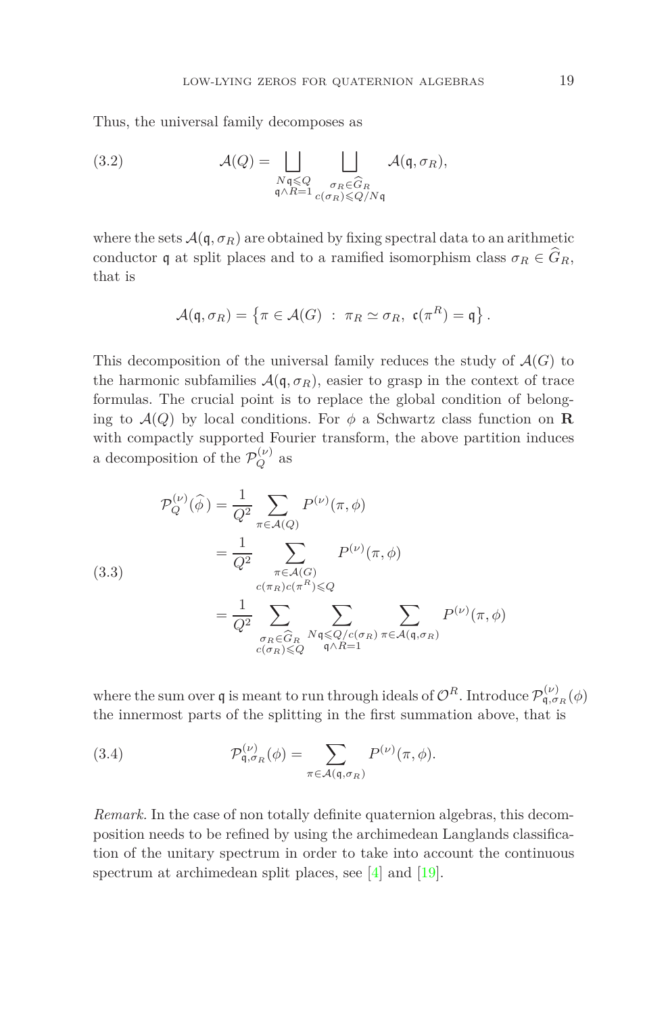Thus, the universal family decomposes as

<span id="page-18-1"></span>(3.2) 
$$
\mathcal{A}(Q) = \bigsqcup_{\substack{N\mathfrak{q} \leq Q \\ \mathfrak{q} \wedge R = 1}} \bigsqcup_{\substack{\sigma_R \in \widehat{G}_R \\ c(\sigma_R) \leq Q/N\mathfrak{q}}} \mathcal{A}(\mathfrak{q}, \sigma_R),
$$

where the sets  $\mathcal{A}(\mathfrak{q}, \sigma_R)$  are obtained by fixing spectral data to an arithmetic conductor **q** at split places and to a ramified isomorphism class  $\sigma_R \in \widehat{G}_R$ , that is

$$
\mathcal{A}(\mathfrak{q}, \sigma_R) = \left\{ \pi \in \mathcal{A}(G) \; : \; \pi_R \simeq \sigma_R, \; \mathfrak{c}(\pi^R) = \mathfrak{q} \right\}.
$$

This decomposition of the universal family reduces the study of  $\mathcal{A}(G)$  to the harmonic subfamilies  $\mathcal{A}(\mathfrak{q}, \sigma_R)$ , easier to grasp in the context of trace formulas. The crucial point is to replace the global condition of belonging to  $\mathcal{A}(Q)$  by local conditions. For  $\phi$  a Schwartz class function on **R** with compactly supported Fourier transform, the above partition induces a decomposition of the  $\mathcal{P}_Q^{(\nu)}$  as

(3.3)  
\n
$$
\mathcal{P}_Q^{(\nu)}(\widehat{\phi}) = \frac{1}{Q^2} \sum_{\pi \in \mathcal{A}(Q)} P^{(\nu)}(\pi, \phi)
$$
\n
$$
= \frac{1}{Q^2} \sum_{\substack{\pi \in \mathcal{A}(G) \\ c(\pi_R)c(\pi^R) \leq Q}} P^{(\nu)}(\pi, \phi)
$$
\n
$$
= \frac{1}{Q^2} \sum_{\substack{\sigma_R \in \widehat{G}_R \\ c(\sigma_R) \leq Q}} \sum_{\substack{N \neq \emptyset \\ q \land R = 1}} \sum_{\pi \in \mathcal{A}(q, \sigma_R)} P^{(\nu)}(\pi, \phi)
$$

where the sum over  $\mathfrak q$  is meant to run through ideals of  $\mathcal O^R$ . Introduce  $\mathcal P_{\mathfrak q,\sigma_R}^{(\nu)}(\phi)$ the innermost parts of the splitting in the first summation above, that is

<span id="page-18-0"></span>(3.4) 
$$
\mathcal{P}_{\mathfrak{q},\sigma_R}^{(\nu)}(\phi) = \sum_{\pi \in \mathcal{A}(\mathfrak{q},\sigma_R)} P^{(\nu)}(\pi,\phi).
$$

*Remark.* In the case of non totally definite quaternion algebras, this decomposition needs to be refined by using the archimedean Langlands classification of the unitary spectrum in order to take into account the continuous spectrum at archimedean split places, see [\[4\]](#page-41-6) and [\[19\]](#page-42-1).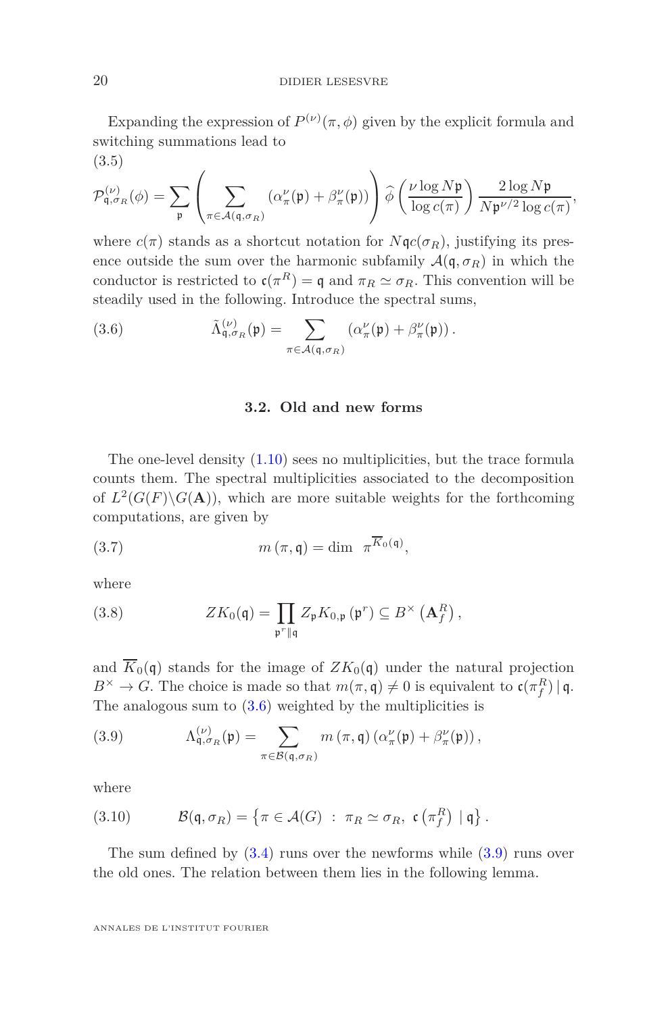Expanding the expression of  $P^{(\nu)}(\pi,\phi)$  given by the explicit formula and switching summations lead to (3.5)

$$
\mathcal{P}_{\mathfrak{q},\sigma_R}^{(\nu)}(\phi) = \sum_{\mathfrak{p}} \left( \sum_{\pi \in \mathcal{A}(\mathfrak{q},\sigma_R)} (\alpha''_{\pi}(\mathfrak{p}) + \beta''_{\pi}(\mathfrak{p})) \right) \widehat{\phi} \left( \frac{\nu \log N \mathfrak{p}}{\log c(\pi)} \right) \frac{2 \log N \mathfrak{p}}{N \mathfrak{p}^{\nu/2} \log c(\pi)},
$$

where  $c(\pi)$  stands as a shortcut notation for  $N\mathfrak{q}c(\sigma_R)$ , justifying its presence outside the sum over the harmonic subfamily  $\mathcal{A}(\mathfrak{q}, \sigma_R)$  in which the conductor is restricted to  $\mathfrak{c}(\pi^R) = \mathfrak{q}$  and  $\pi_R \simeq \sigma_R$ . This convention will be steadily used in the following. Introduce the spectral sums,

<span id="page-19-0"></span>(3.6) 
$$
\tilde{\Lambda}_{\mathfrak{q},\sigma_R}^{(\nu)}(\mathfrak{p}) = \sum_{\pi \in \mathcal{A}(\mathfrak{q},\sigma_R)} \left( \alpha''_{\pi}(\mathfrak{p}) + \beta''_{\pi}(\mathfrak{p}) \right).
$$

#### **3.2. Old and new forms**

The one-level density [\(1.10\)](#page-4-1) sees no multiplicities, but the trace formula counts them. The spectral multiplicities associated to the decomposition of  $L^2(G(F)\backslash G(\mathbf{A}))$ , which are more suitable weights for the forthcoming computations, are given by

(3.7) 
$$
m(\pi, \mathfrak{q}) = \dim \pi^{\overline{K}_0(\mathfrak{q})},
$$

where

(3.8) 
$$
ZK_0(\mathfrak{q}) = \prod_{\mathfrak{p}^r \parallel \mathfrak{q}} Z_{\mathfrak{p}} K_{0,\mathfrak{p}}(\mathfrak{p}^r) \subseteq B^{\times} (\mathbf{A}_f^R),
$$

and  $\overline{K}_0(\mathfrak{q})$  stands for the image of  $ZK_0(\mathfrak{q})$  under the natural projection  $B^{\times} \to G$ . The choice is made so that  $m(\pi, \mathfrak{q}) \neq 0$  is equivalent to  $\mathfrak{c}(\pi_f^R) \mid \mathfrak{q}$ . The analogous sum to  $(3.6)$  weighted by the multiplicities is

<span id="page-19-1"></span>(3.9) 
$$
\Lambda_{\mathfrak{q},\sigma_R}^{(\nu)}(\mathfrak{p}) = \sum_{\pi \in \mathcal{B}(\mathfrak{q},\sigma_R)} m(\pi,\mathfrak{q}) (\alpha_{\pi}^{\nu}(\mathfrak{p}) + \beta_{\pi}^{\nu}(\mathfrak{p})),
$$

where

(3.10) 
$$
\mathcal{B}(\mathfrak{q}, \sigma_R) = \left\{ \pi \in \mathcal{A}(G) : \pi_R \simeq \sigma_R, \mathfrak{c}(\pi_f^R) \mid \mathfrak{q} \right\}.
$$

The sum defined by  $(3.4)$  runs over the newforms while  $(3.9)$  runs over the old ones. The relation between them lies in the following lemma.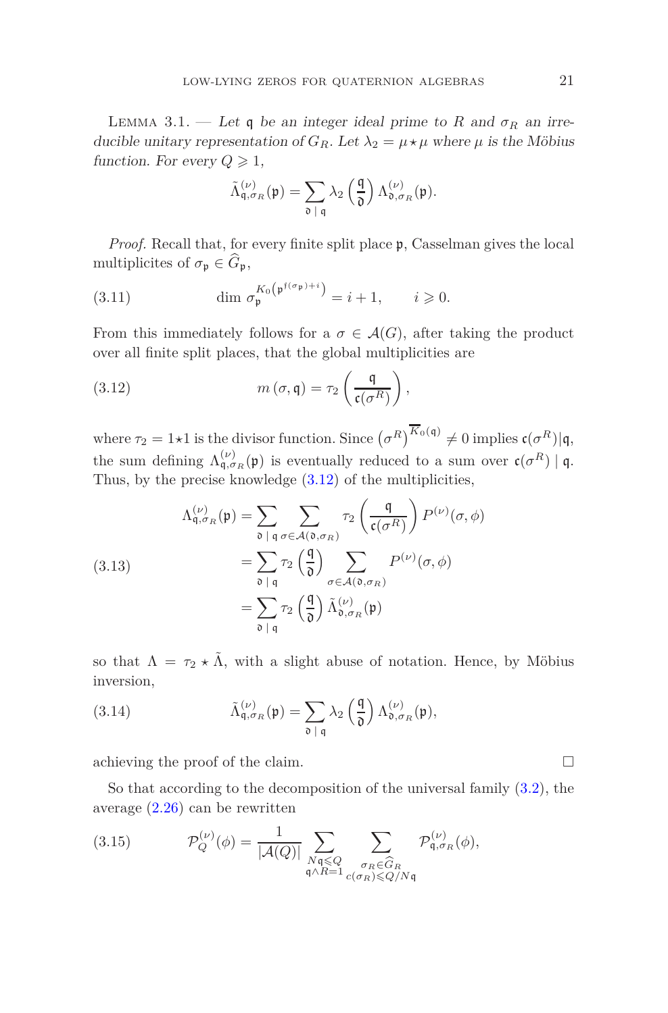LEMMA 3.1. — Let q be an integer ideal prime to R and  $\sigma_R$  an irreducible unitary representation of  $G_R$ . Let  $\lambda_2 = \mu \star \mu$  where  $\mu$  is the Möbius function. For every  $Q \geq 1$ ,

$$
\tilde{\Lambda}_{\mathfrak{q},\sigma_R}^{(\nu)}(\mathfrak{p}) = \sum_{\mathfrak{d} \;|\; \mathfrak{q}} \lambda_2 \left(\frac{\mathfrak{q}}{\mathfrak{d}}\right) \Lambda_{\mathfrak{d},\sigma_R}^{(\nu)}(\mathfrak{p}).
$$

*Proof.* Recall that, for every finite split place  $\mathfrak{p}$ , Casselman gives the local multiplicites of  $\sigma_{\mathfrak{p}} \in \widehat{G}_{\mathfrak{p}},$ 

(3.11) 
$$
\dim \sigma_{\mathfrak{p}}^{K_0(\mathfrak{p}^{\mathfrak{f}(\sigma_{\mathfrak{p}})+i})} = i+1, \qquad i \geq 0.
$$

From this immediately follows for a  $\sigma \in \mathcal{A}(G)$ , after taking the product over all finite split places, that the global multiplicities are

<span id="page-20-0"></span>(3.12) 
$$
m(\sigma, \mathfrak{q}) = \tau_2 \left( \frac{\mathfrak{q}}{\mathfrak{c}(\sigma^R)} \right),
$$

where  $\tau_2 = 1 \star 1$  is the divisor function. Since  $(\sigma^R)^{K_0(\mathfrak{q})} \neq 0$  implies  $\mathfrak{c}(\sigma^R) | \mathfrak{q},$ the sum defining  $\Lambda_{\mathfrak{q},\sigma_R}^{(\nu)}(\mathfrak{p})$  is eventually reduced to a sum over  $\mathfrak{c}(\sigma^R) \mid \mathfrak{q}$ . Thus, by the precise knowledge [\(3.12\)](#page-20-0) of the multiplicities,

(3.13)  
\n
$$
\Lambda_{\mathfrak{q},\sigma_R}^{(\nu)}(\mathfrak{p}) = \sum_{\mathfrak{d} \mid \mathfrak{q}} \sum_{\sigma \in \mathcal{A}(\mathfrak{d},\sigma_R)} \tau_2 \left(\frac{\mathfrak{q}}{\mathfrak{c}(\sigma^R)}\right) P^{(\nu)}(\sigma,\phi)
$$
\n
$$
= \sum_{\mathfrak{d} \mid \mathfrak{q}} \tau_2 \left(\frac{\mathfrak{q}}{\mathfrak{d}}\right) \sum_{\sigma \in \mathcal{A}(\mathfrak{d},\sigma_R)} P^{(\nu)}(\sigma,\phi)
$$
\n
$$
= \sum_{\mathfrak{d} \mid \mathfrak{q}} \tau_2 \left(\frac{\mathfrak{q}}{\mathfrak{d}}\right) \tilde{\Lambda}_{\mathfrak{d},\sigma_R}^{(\nu)}(\mathfrak{p})
$$

so that  $\Lambda = \tau_2 \star \tilde{\Lambda}$ , with a slight abuse of notation. Hence, by Möbius inversion,

(3.14) 
$$
\tilde{\Lambda}_{\mathfrak{q},\sigma_R}^{(\nu)}(\mathfrak{p}) = \sum_{\mathfrak{d} \;|\; \mathfrak{q}} \lambda_2 \left(\frac{\mathfrak{q}}{\mathfrak{d}}\right) \Lambda_{\mathfrak{d},\sigma_R}^{(\nu)}(\mathfrak{p}),
$$

achieving the proof of the claim.

So that according to the decomposition of the universal family [\(3.2\)](#page-18-1), the average [\(2.26\)](#page-17-2) can be rewritten

(3.15) 
$$
\mathcal{P}_Q^{(\nu)}(\phi) = \frac{1}{|\mathcal{A}(Q)|} \sum_{\substack{N \mathfrak{q} \leq Q \\ \mathfrak{q} \wedge R = 1}} \sum_{\substack{\sigma_R \in \widehat{G}_R \\ c(\sigma_R) \leq Q/N\mathfrak{q}}} \mathcal{P}_{\mathfrak{q}, \sigma_R}^{(\nu)}(\phi),
$$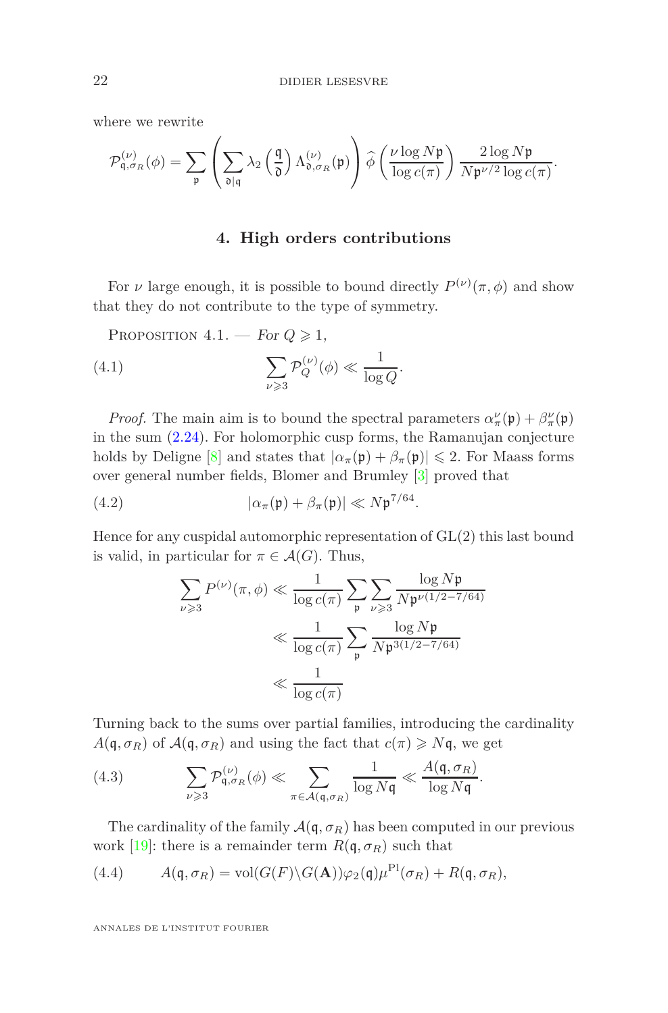where we rewrite

$$
\mathcal{P}_{\mathfrak{q},\sigma_R}^{(\nu)}(\phi)=\sum_{\mathfrak{p}}\left(\sum_{\mathfrak{d}|\mathfrak{q}}\lambda_2\left(\frac{\mathfrak{q}}{\mathfrak{d}}\right)\Lambda_{\mathfrak{d},\sigma_R}^{(\nu)}(\mathfrak{p})\right)\widehat{\phi}\left(\frac{\nu\log N\mathfrak{p}}{\log c(\pi)}\right)\frac{2\log N\mathfrak{p}}{N\mathfrak{p}^{\nu/2}\log c(\pi)}.
$$

### **4. High orders contributions**

<span id="page-21-3"></span><span id="page-21-0"></span>For *ν* large enough, it is possible to bound directly  $P^{(\nu)}(\pi, \phi)$  and show that they do not contribute to the type of symmetry.

PROPOSITION  $4.1$ . — For  $Q \ge 1$ ,

(4.1) 
$$
\sum_{\nu \geqslant 3} \mathcal{P}_Q^{(\nu)}(\phi) \ll \frac{1}{\log Q}.
$$

*Proof.* The main aim is to bound the spectral parameters  $\alpha_{\pi}^{\nu}(\mathfrak{p}) + \beta_{\pi}^{\nu}(\mathfrak{p})$ in the sum [\(2.24\)](#page-17-3). For holomorphic cusp forms, the Ramanujan conjecture holds by Deligne [\[8\]](#page-41-9) and states that  $|\alpha_{\pi}(\mathfrak{p}) + \beta_{\pi}(\mathfrak{p})| \leq 2$ . For Maass forms over general number fields, Blomer and Brumley [\[3\]](#page-41-10) proved that

(4.2) 
$$
|\alpha_{\pi}(\mathfrak{p}) + \beta_{\pi}(\mathfrak{p})| \ll N \mathfrak{p}^{7/64}.
$$

Hence for any cuspidal automorphic representation of GL(2) this last bound is valid, in particular for  $\pi \in \mathcal{A}(G)$ . Thus,

$$
\sum_{\nu \geqslant 3} P^{(\nu)}(\pi, \phi) \ll \frac{1}{\log c(\pi)} \sum_{\mathfrak{p}} \sum_{\nu \geqslant 3} \frac{\log N\mathfrak{p}}{N\mathfrak{p}^{\nu(1/2 - 7/64)}}
$$

$$
\ll \frac{1}{\log c(\pi)} \sum_{\mathfrak{p}} \frac{\log N\mathfrak{p}}{N\mathfrak{p}^{3(1/2 - 7/64)}}
$$

$$
\ll \frac{1}{\log c(\pi)}
$$

Turning back to the sums over partial families, introducing the cardinality  $A(q, \sigma_R)$  of  $A(q, \sigma_R)$  and using the fact that  $c(\pi) \geq Nq$ , we get

<span id="page-21-1"></span>(4.3) 
$$
\sum_{\nu \geqslant 3} \mathcal{P}_{\mathfrak{q}, \sigma_R}^{(\nu)}(\phi) \ll \sum_{\pi \in \mathcal{A}(\mathfrak{q}, \sigma_R)} \frac{1}{\log N\mathfrak{q}} \ll \frac{A(\mathfrak{q}, \sigma_R)}{\log N\mathfrak{q}}.
$$

The cardinality of the family  $\mathcal{A}(\mathfrak{q}, \sigma_R)$  has been computed in our previous work [\[19\]](#page-42-1): there is a remainder term  $R(\mathfrak{q}, \sigma_R)$  such that

<span id="page-21-2"></span>(4.4) 
$$
A(\mathfrak{q}, \sigma_R) = \text{vol}(G(F) \backslash G(\mathbf{A})) \varphi_2(\mathfrak{q}) \mu^{\text{Pl}}(\sigma_R) + R(\mathfrak{q}, \sigma_R),
$$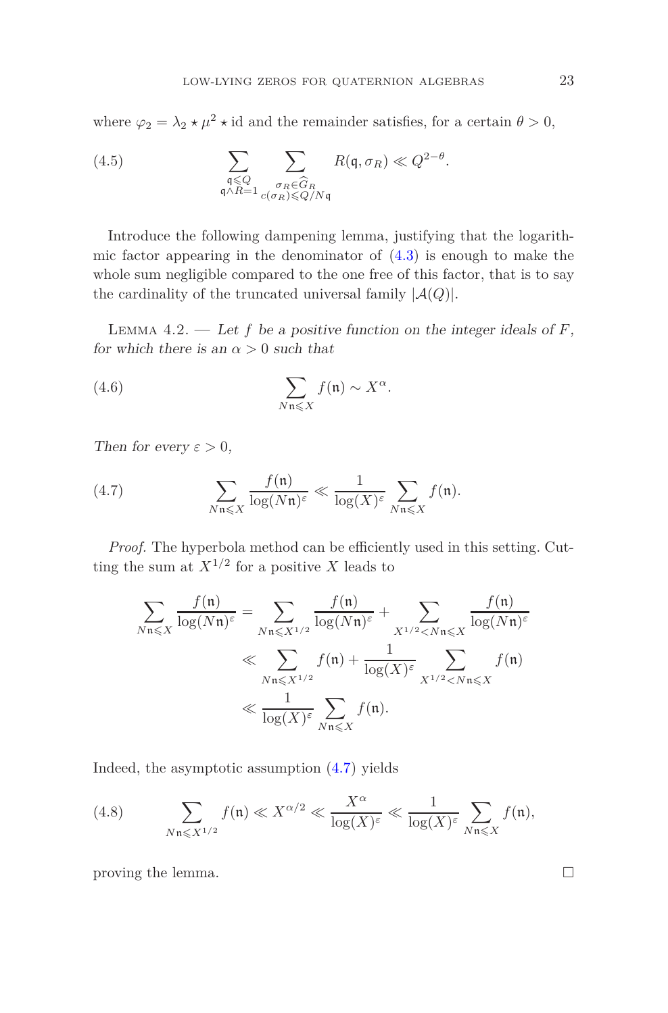where  $\varphi_2 = \lambda_2 \star \mu^2 \star \text{id}$  and the remainder satisfies, for a certain  $\theta > 0$ ,

(4.5) 
$$
\sum_{\substack{\mathfrak{q} \leq Q \\ \mathfrak{q} \wedge R = 1}} \sum_{\substack{\sigma_R \in \widehat{G}_R \\ \sigma_R \leq Q/N\mathfrak{q}}} R(\mathfrak{q}, \sigma_R) \ll Q^{2-\theta}.
$$

Introduce the following dampening lemma, justifying that the logarithmic factor appearing in the denominator of  $(4.3)$  is enough to make the whole sum negligible compared to the one free of this factor, that is to say the cardinality of the truncated universal family  $|A(Q)|$ .

<span id="page-22-1"></span>LEMMA 4.2. — Let  $f$  be a positive function on the integer ideals of  $F$ , for which there is an  $\alpha > 0$  such that

(4.6) 
$$
\sum_{N\mathfrak{n}\leqslant X} f(\mathfrak{n}) \sim X^{\alpha}.
$$

Then for every  $\varepsilon > 0$ ,

<span id="page-22-0"></span>(4.7) 
$$
\sum_{N\mathfrak{n}\leqslant X}\frac{f(\mathfrak{n})}{\log(N\mathfrak{n})^{\varepsilon}}\ll \frac{1}{\log(X)^{\varepsilon}}\sum_{N\mathfrak{n}\leqslant X}f(\mathfrak{n}).
$$

*Proof.* The hyperbola method can be efficiently used in this setting. Cutting the sum at  $X^{1/2}$  for a positive *X* leads to

$$
\sum_{N\mathfrak{n}\leqslant X} \frac{f(\mathfrak{n})}{\log(N\mathfrak{n})^{\varepsilon}} = \sum_{N\mathfrak{n}\leqslant X^{1/2}} \frac{f(\mathfrak{n})}{\log(N\mathfrak{n})^{\varepsilon}} + \sum_{X^{1/2} < N\mathfrak{n}\leqslant X} \frac{f(\mathfrak{n})}{\log(N\mathfrak{n})^{\varepsilon}}
$$
\n
$$
\ll \sum_{N\mathfrak{n}\leqslant X^{1/2}} f(\mathfrak{n}) + \frac{1}{\log(X)^{\varepsilon}} \sum_{X^{1/2} < N\mathfrak{n} \leqslant X} f(\mathfrak{n})
$$
\n
$$
\ll \frac{1}{\log(X)^{\varepsilon}} \sum_{N\mathfrak{n}\leqslant X} f(\mathfrak{n}).
$$

Indeed, the asymptotic assumption [\(4.7\)](#page-22-0) yields

(4.8) 
$$
\sum_{N\mathfrak{n}\leqslant X^{1/2}} f(\mathfrak{n}) \ll X^{\alpha/2} \ll \frac{X^{\alpha}}{\log(X)^{\varepsilon}} \ll \frac{1}{\log(X)^{\varepsilon}} \sum_{N\mathfrak{n}\leqslant X} f(\mathfrak{n}),
$$

proving the lemma.  $\Box$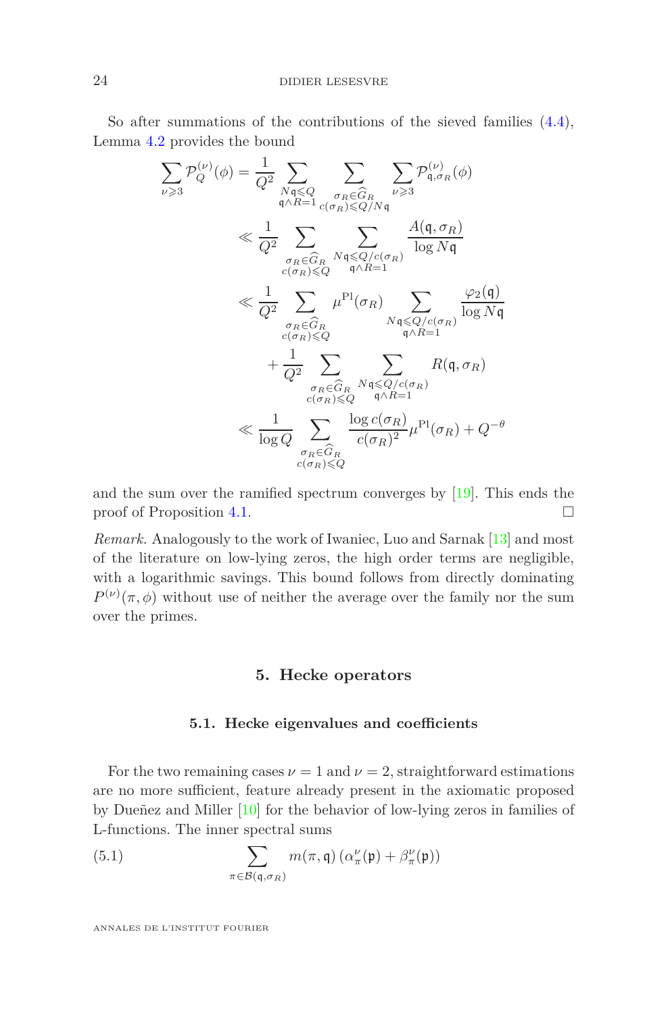So after summations of the contributions of the sieved families [\(4.4\)](#page-21-2), Lemma [4.2](#page-22-1) provides the bound

$$
\sum_{\nu \geqslant 3} \mathcal{P}_Q^{(\nu)}(\phi) = \frac{1}{Q^2} \sum_{\substack{N \leqslant Q \\ q \wedge R = 1}} \sum_{\substack{\sigma_R \in \widehat{G}_R \\ \sigma_R \leqslant Q/N \mathfrak{q}}} \sum_{\substack{\nu \geqslant 3 \\ \nu \geqslant 3}} \mathcal{P}_{\mathfrak{q}, \sigma_R}^{(\nu)}(\phi)
$$
\n
$$
\ll \frac{1}{Q^2} \sum_{\substack{\sigma_R \in \widehat{G}_R \\ c(\sigma_R) \leqslant Q}} \sum_{\substack{\mathfrak{q} \mid \mathfrak{q} \leqslant Q/c(\sigma_R) \\ \mathfrak{q} \wedge R = 1}} \frac{A(\mathfrak{q}, \sigma_R)}{\log N \mathfrak{q}}
$$
\n
$$
\ll \frac{1}{Q^2} \sum_{\substack{\sigma_R \in \widehat{G}_R \\ c(\sigma_R) \leqslant Q}} \mu^{\text{Pl}}(\sigma_R) \sum_{\substack{N \mathfrak{q} \leqslant Q/c(\sigma_R) \\ \mathfrak{q} \wedge R = 1}} \frac{\varphi_2(\mathfrak{q})}{\log N \mathfrak{q}}
$$
\n
$$
+ \frac{1}{Q^2} \sum_{\substack{\sigma_R \in \widehat{G}_R \\ c(\sigma_R) \leqslant Q}} \sum_{\substack{N \mathfrak{q} \leqslant Q/c(\sigma_R) \\ \mathfrak{q} \wedge R = 1}} R(\mathfrak{q}, \sigma_R)
$$
\n
$$
\ll \frac{1}{\log Q} \sum_{\substack{\sigma_R \in \widehat{G}_R \\ c(\sigma_R) \leqslant Q}} \frac{\log c(\sigma_R)}{c(\sigma_R)^2} \mu^{\text{Pl}}(\sigma_R) + Q^{-\theta}
$$

and the sum over the ramified spectrum converges by [\[19\]](#page-42-1). This ends the proof of Proposition [4.1.](#page-21-3)

*Remark.* Analogously to the work of Iwaniec, Luo and Sarnak [\[13\]](#page-41-1) and most of the literature on low-lying zeros, the high order terms are negligible, with a logarithmic savings. This bound follows from directly dominating  $P^{(\nu)}(\pi,\phi)$  without use of neither the average over the family nor the sum over the primes.

#### **5. Hecke operators**

#### **5.1. Hecke eigenvalues and coefficients**

<span id="page-23-1"></span><span id="page-23-0"></span>For the two remaining cases  $\nu = 1$  and  $\nu = 2$ , straightforward estimations are no more sufficient, feature already present in the axiomatic proposed by Dueñez and Miller [\[10\]](#page-41-11) for the behavior of low-lying zeros in families of L-functions. The inner spectral sums

(5.1) 
$$
\sum_{\pi \in \mathcal{B}(\mathfrak{q}, \sigma_R)} m(\pi, \mathfrak{q}) \left( \alpha''_{\pi}(\mathfrak{p}) + \beta''_{\pi}(\mathfrak{p}) \right)
$$

ANNALES DE L'INSTITUT FOURIER

*ν*>3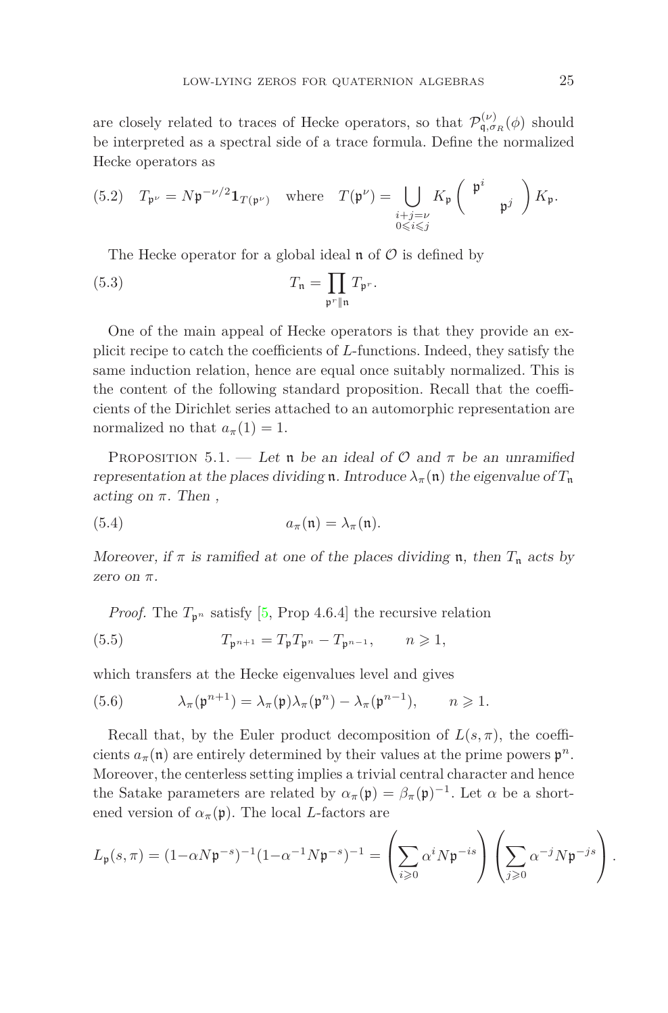are closely related to traces of Hecke operators, so that  $\mathcal{P}_{\mathfrak{q},\sigma_R}^{(\nu)}(\phi)$  should be interpreted as a spectral side of a trace formula. Define the normalized Hecke operators as

(5.2) 
$$
T_{\mathfrak{p}^{\nu}} = N\mathfrak{p}^{-\nu/2} \mathbf{1}_{T(\mathfrak{p}^{\nu})}
$$
 where  $T(\mathfrak{p}^{\nu}) = \bigcup_{\substack{i+j=\nu \\ 0 \leq i \leq j}} K_{\mathfrak{p}} \begin{pmatrix} \mathfrak{p}^{i} \\ \mathfrak{p}^{j} \end{pmatrix} K_{\mathfrak{p}}.$ 

The Hecke operator for a global ideal  $\mathfrak n$  of  $\mathcal O$  is defined by

(5.3) 
$$
T_{\mathfrak{n}} = \prod_{\mathfrak{p}^r \parallel \mathfrak{n}} T_{\mathfrak{p}^r}.
$$

One of the main appeal of Hecke operators is that they provide an explicit recipe to catch the coefficients of *L*-functions. Indeed, they satisfy the same induction relation, hence are equal once suitably normalized. This is the content of the following standard proposition. Recall that the coefficients of the Dirichlet series attached to an automorphic representation are normalized no that  $a_{\pi}(1) = 1$ .

PROPOSITION 5.1. — Let **n** be an ideal of  $\mathcal{O}$  and  $\pi$  be an unramified representation at the places dividing **n**. Introduce  $\lambda_{\pi}(\mathbf{n})$  the eigenvalue of  $T_{\mathbf{n}}$ acting on  $\pi$ . Then,

(5.4) 
$$
a_{\pi}(\mathfrak{n}) = \lambda_{\pi}(\mathfrak{n}).
$$

Moreover, if  $\pi$  is ramified at one of the places dividing **n**, then  $T_n$  acts by zero on *π*.

<span id="page-24-0"></span>*Proof.* The  $T_{p^n}$  satisfy [\[5,](#page-41-12) Prop 4.6.4] the recursive relation

(5.5) 
$$
T_{\mathfrak{p}^{n+1}} = T_{\mathfrak{p}} T_{\mathfrak{p}^n} - T_{\mathfrak{p}^{n-1}}, \qquad n \geqslant 1,
$$

which transfers at the Hecke eigenvalues level and gives

(5.6) 
$$
\lambda_{\pi}(\mathfrak{p}^{n+1}) = \lambda_{\pi}(\mathfrak{p})\lambda_{\pi}(\mathfrak{p}^n) - \lambda_{\pi}(\mathfrak{p}^{n-1}), \qquad n \geqslant 1.
$$

Recall that, by the Euler product decomposition of  $L(s, \pi)$ , the coefficients  $a_{\pi}(\mathfrak{n})$  are entirely determined by their values at the prime powers  $\mathfrak{p}^n$ . Moreover, the centerless setting implies a trivial central character and hence the Satake parameters are related by  $\alpha_{\pi}(\mathfrak{p}) = \beta_{\pi}(\mathfrak{p})^{-1}$ . Let  $\alpha$  be a shortened version of  $\alpha_{\pi}(\mathfrak{p})$ . The local *L*-factors are

$$
L_{\mathfrak{p}}(s,\pi)=(1-\alpha N\mathfrak{p}^{-s})^{-1}(1-\alpha^{-1}N\mathfrak{p}^{-s})^{-1}=\left(\sum_{i\geqslant 0}\alpha^iN\mathfrak{p}^{-is}\right)\left(\sum_{j\geqslant 0}\alpha^{-j}N\mathfrak{p}^{-js}\right).
$$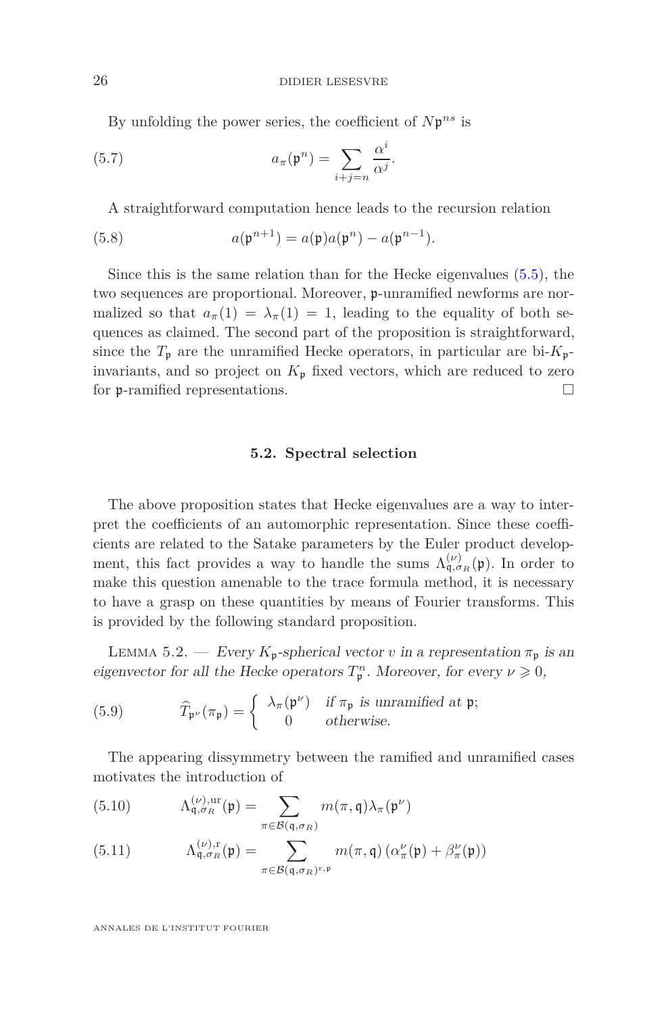By unfolding the power series, the coefficient of *N*p *ns* is

(5.7) 
$$
a_{\pi}(\mathfrak{p}^n) = \sum_{i+j=n} \frac{\alpha^i}{\alpha^j}.
$$

A straightforward computation hence leads to the recursion relation

(5.8) 
$$
a(\mathfrak{p}^{n+1}) = a(\mathfrak{p})a(\mathfrak{p}^n) - a(\mathfrak{p}^{n-1}).
$$

Since this is the same relation than for the Hecke eigenvalues [\(5.5\)](#page-24-0), the two sequences are proportional. Moreover, p-unramified newforms are normalized so that  $a_{\pi}(1) = \lambda_{\pi}(1) = 1$ , leading to the equality of both sequences as claimed. The second part of the proposition is straightforward, since the  $T_p$  are the unramified Hecke operators, in particular are bi- $K_p$ invariants, and so project on  $K_{\mathfrak{p}}$  fixed vectors, which are reduced to zero for p-ramified representations.

### **5.2. Spectral selection**

The above proposition states that Hecke eigenvalues are a way to interpret the coefficients of an automorphic representation. Since these coefficients are related to the Satake parameters by the Euler product development, this fact provides a way to handle the sums  $\Lambda_{\mathfrak{q},\sigma_R}^{(\nu)}(\mathfrak{p})$ . In order to make this question amenable to the trace formula method, it is necessary to have a grasp on these quantities by means of Fourier transforms. This is provided by the following standard proposition.

<span id="page-25-0"></span>LEMMA 5.2. — Every  $K_p$ -spherical vector *v* in a representation  $\pi_p$  is an eigenvector for all the Hecke operators  $T_{\mathfrak{p}}^n$ . Moreover, for every  $\nu \geq 0$ ,

(5.9) 
$$
\widehat{T}_{\mathfrak{p}^{\nu}}(\pi_{\mathfrak{p}}) = \begin{cases} \lambda_{\pi}(\mathfrak{p}^{\nu}) & \text{if } \pi_{\mathfrak{p}} \text{ is unramified at } \mathfrak{p}; \\ 0 & \text{otherwise.} \end{cases}
$$

The appearing dissymmetry between the ramified and unramified cases motivates the introduction of

(5.10) 
$$
\Lambda_{\mathfrak{q},\sigma_R}^{(\nu),\text{ur}}(\mathfrak{p}) = \sum_{\pi \in \mathcal{B}(\mathfrak{q},\sigma_R)} m(\pi,\mathfrak{q}) \lambda_{\pi}(\mathfrak{p}^{\nu})
$$

(5.11) 
$$
\Lambda_{\mathfrak{q},\sigma_R}^{(\nu),r}(\mathfrak{p}) = \sum_{\pi \in \mathcal{B}(\mathfrak{q},\sigma_R)^{r,\mathfrak{p}}} m(\pi,\mathfrak{q}) \left( \alpha_{\pi}^{\nu}(\mathfrak{p}) + \beta_{\pi}^{\nu}(\mathfrak{p}) \right)
$$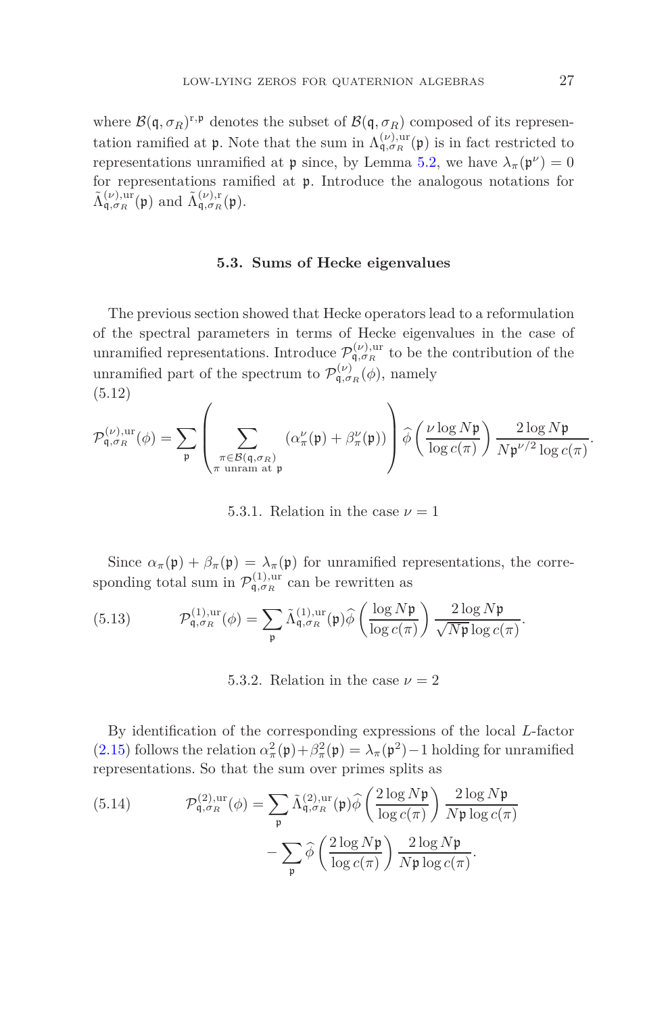where  $\mathcal{B}(\mathfrak{q}, \sigma_R)^{r, \mathfrak{p}}$  denotes the subset of  $\mathcal{B}(\mathfrak{q}, \sigma_R)$  composed of its representation ramified at **p**. Note that the sum in  $\Lambda_{\mathfrak{q},\sigma_R}^{(\nu),\text{ur}}(\mathfrak{p})$  is in fact restricted to representations unramified at  $\mathfrak p$  since, by Lemma [5.2,](#page-25-0) we have  $\lambda_{\pi}(\mathfrak p^{\nu}) = 0$ for representations ramified at p. Introduce the analogous notations for  $\tilde{\Lambda}_{\mathfrak{q},\sigma_R}^{(\nu),\mathrm{ur}}(\mathfrak{p})$  and  $\tilde{\Lambda}_{\mathfrak{q},\sigma_R}^{(\nu),\mathrm{r}}(\mathfrak{p})$ .

#### **5.3. Sums of Hecke eigenvalues**

The previous section showed that Hecke operators lead to a reformulation of the spectral parameters in terms of Hecke eigenvalues in the case of unramified representations. Introduce  $\mathcal{P}_{\mathfrak{q},\sigma_R}^{(\nu),\text{ur}}$  to be the contribution of the unramified part of the spectrum to  $\mathcal{P}_{\mathsf{q},\sigma_R}^{(\nu)}(\phi)$ , namely (5.12)

<span id="page-26-3"></span>
$$
\mathcal{P}_{\mathfrak{q},\sigma_R}^{(\nu),\mathrm{ur}}(\phi) = \sum_{\mathfrak{p}} \left( \sum_{\substack{\pi \in \mathcal{B}(\mathfrak{q},\sigma_R) \\ \pi \text{ unram at } \mathfrak{p}}} (\alpha^\nu_\pi(\mathfrak{p}) + \beta^\nu_\pi(\mathfrak{p})) \right) \widehat{\phi} \left( \frac{\nu \log N \mathfrak{p}}{\log c(\pi)} \right) \frac{2 \log N \mathfrak{p}}{N \mathfrak{p}^{\nu/2} \log c(\pi)}
$$

5.3.1. Relation in the case  $\nu = 1$ 

Since  $\alpha_{\pi}(\mathfrak{p}) + \beta_{\pi}(\mathfrak{p}) = \lambda_{\pi}(\mathfrak{p})$  for unramified representations, the corresponding total sum in  $\mathcal{P}_{\mathfrak{q},\sigma_R}^{(1),\text{ur}}$  can be rewritten as

<span id="page-26-0"></span>(5.13) 
$$
\mathcal{P}_{\mathfrak{q},\sigma_R}^{(1),\mathrm{ur}}(\phi) = \sum_{\mathfrak{p}} \tilde{\Lambda}_{\mathfrak{q},\sigma_R}^{(1),\mathrm{ur}}(\mathfrak{p}) \hat{\phi} \left( \frac{\log N\mathfrak{p}}{\log c(\pi)} \right) \frac{2\log N\mathfrak{p}}{\sqrt{N\mathfrak{p}}\log c(\pi)}.
$$

<span id="page-26-2"></span>5.3.2. Relation in the case  $\nu = 2$ 

By identification of the corresponding expressions of the local *L*-factor [\(2.15\)](#page-13-0) follows the relation  $\alpha_{\pi}^2(\mathfrak{p}) + \beta_{\pi}^2(\mathfrak{p}) = \lambda_{\pi}(\mathfrak{p}^2) - 1$  holding for unramified representations. So that the sum over primes splits as

<span id="page-26-1"></span>(5.14) 
$$
\mathcal{P}_{\mathfrak{q},\sigma_R}^{(2),\mathrm{ur}}(\phi) = \sum_{\mathfrak{p}} \tilde{\Lambda}_{\mathfrak{q},\sigma_R}^{(2),\mathrm{ur}}(\mathfrak{p}) \widehat{\phi} \left( \frac{2 \log N \mathfrak{p}}{\log c(\pi)} \right) \frac{2 \log N \mathfrak{p}}{N \mathfrak{p} \log c(\pi)} - \sum_{\mathfrak{p}} \widehat{\phi} \left( \frac{2 \log N \mathfrak{p}}{\log c(\pi)} \right) \frac{2 \log N \mathfrak{p}}{N \mathfrak{p} \log c(\pi)}.
$$

*.*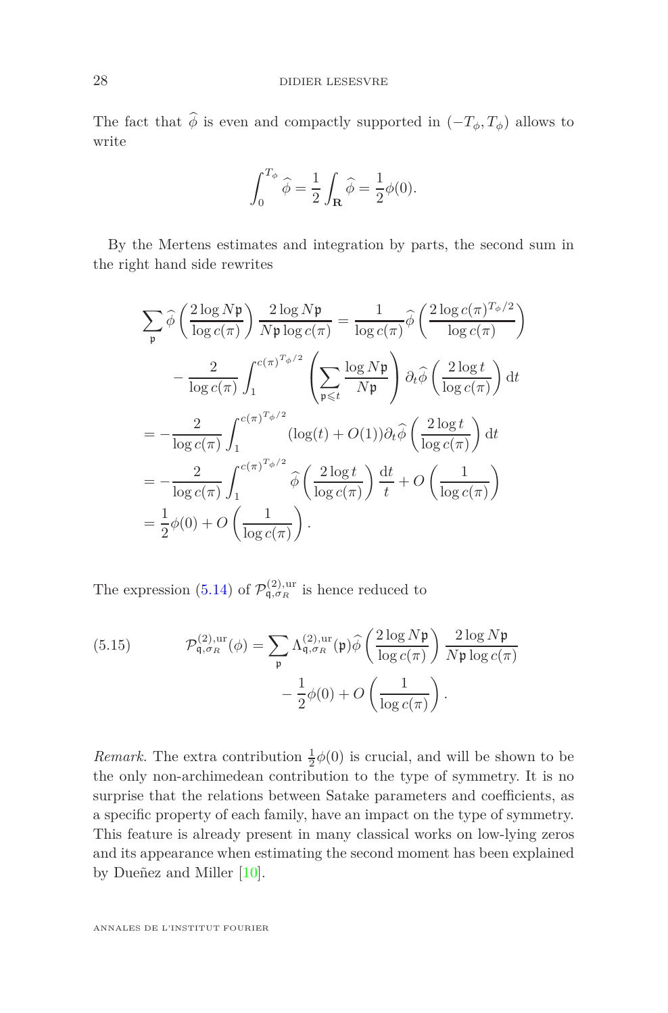The fact that  $\hat{\phi}$  is even and compactly supported in  $(-T_{\phi}, T_{\phi})$  allows to write

$$
\int_0^{T_{\phi}} \widehat{\phi} = \frac{1}{2} \int_{\mathbf{R}} \widehat{\phi} = \frac{1}{2} \phi(0).
$$

By the Mertens estimates and integration by parts, the second sum in the right hand side rewrites

$$
\sum_{\mathfrak{p}} \widehat{\phi} \left( \frac{2 \log N \mathfrak{p}}{\log c(\pi)} \right) \frac{2 \log N \mathfrak{p}}{N \mathfrak{p} \log c(\pi)} = \frac{1}{\log c(\pi)} \widehat{\phi} \left( \frac{2 \log c(\pi)^{T_{\phi}/2}}{\log c(\pi)} \right)
$$

$$
- \frac{2}{\log c(\pi)} \int_{1}^{c(\pi)^{T_{\phi}/2}} \left( \sum_{\mathfrak{p} \leq t} \frac{\log N \mathfrak{p}}{N \mathfrak{p}} \right) \partial_{t} \widehat{\phi} \left( \frac{2 \log t}{\log c(\pi)} \right) dt
$$

$$
= - \frac{2}{\log c(\pi)} \int_{1}^{c(\pi)^{T_{\phi}/2}} (\log(t) + O(1)) \partial_{t} \widehat{\phi} \left( \frac{2 \log t}{\log c(\pi)} \right) dt
$$

$$
= - \frac{2}{\log c(\pi)} \int_{1}^{c(\pi)^{T_{\phi}/2}} \widehat{\phi} \left( \frac{2 \log t}{\log c(\pi)} \right) \frac{dt}{t} + O \left( \frac{1}{\log c(\pi)} \right)
$$

$$
= \frac{1}{2} \phi(0) + O \left( \frac{1}{\log c(\pi)} \right).
$$

The expression [\(5.14\)](#page-26-1) of  $\mathcal{P}_{q,\sigma_R}^{(2),\text{ur}}$  is hence reduced to

<span id="page-27-0"></span>(5.15) 
$$
\mathcal{P}_{\mathfrak{q},\sigma_R}^{(2),\text{ur}}(\phi) = \sum_{\mathfrak{p}} \Lambda_{\mathfrak{q},\sigma_R}^{(2),\text{ur}}(\mathfrak{p}) \widehat{\phi} \left( \frac{2 \log N \mathfrak{p}}{\log c(\pi)} \right) \frac{2 \log N \mathfrak{p}}{N \mathfrak{p} \log c(\pi)} -\frac{1}{2} \phi(0) + O\left( \frac{1}{\log c(\pi)} \right).
$$

*Remark*. The extra contribution  $\frac{1}{2}\phi(0)$  is crucial, and will be shown to be the only non-archimedean contribution to the type of symmetry. It is no surprise that the relations between Satake parameters and coefficients, as a specific property of each family, have an impact on the type of symmetry. This feature is already present in many classical works on low-lying zeros and its appearance when estimating the second moment has been explained by Dueñez and Miller [\[10\]](#page-41-11).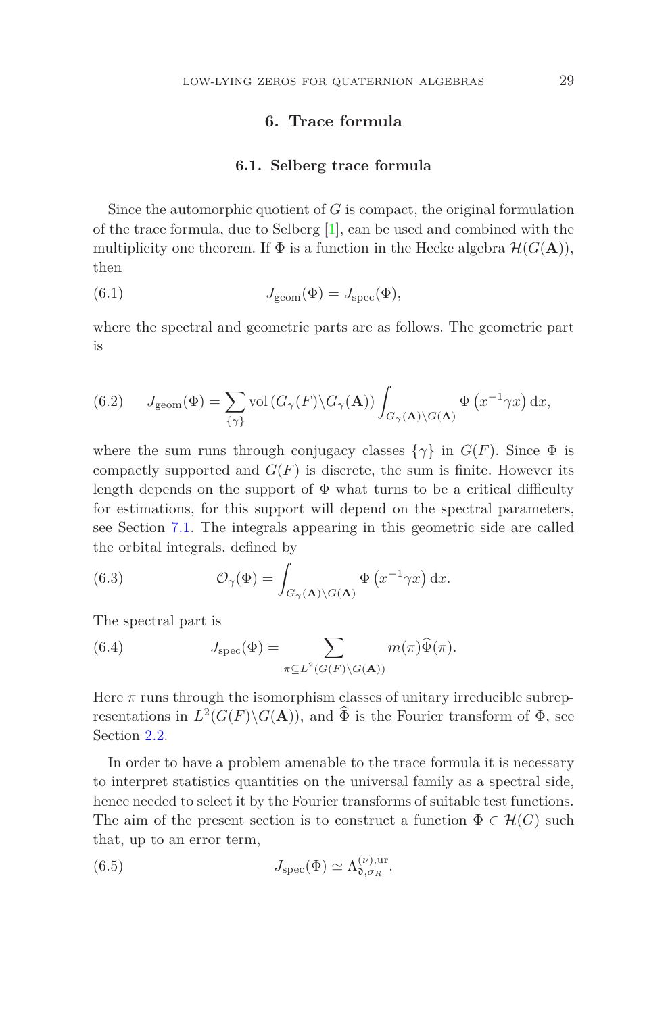# **6. Trace formula**

#### **6.1. Selberg trace formula**

<span id="page-28-0"></span>Since the automorphic quotient of *G* is compact, the original formulation of the trace formula, due to Selberg [\[1\]](#page-41-13), can be used and combined with the multiplicity one theorem. If  $\Phi$  is a function in the Hecke algebra  $\mathcal{H}(G(\mathbf{A})),$ then

(6.1) 
$$
J_{\text{geom}}(\Phi) = J_{\text{spec}}(\Phi),
$$

where the spectral and geometric parts are as follows. The geometric part is

(6.2) 
$$
J_{\text{geom}}(\Phi) = \sum_{\{\gamma\}} \text{vol}\left(G_{\gamma}(F)\backslash G_{\gamma}(\mathbf{A})\right) \int_{G_{\gamma}(\mathbf{A})\backslash G(\mathbf{A})} \Phi\left(x^{-1}\gamma x\right) \mathrm{d}x,
$$

where the sum runs through conjugacy classes  $\{\gamma\}$  in  $G(F)$ . Since  $\Phi$  is compactly supported and  $G(F)$  is discrete, the sum is finite. However its length depends on the support of  $\Phi$  what turns to be a critical difficulty for estimations, for this support will depend on the spectral parameters, see Section [7.1.](#page-34-1) The integrals appearing in this geometric side are called the orbital integrals, defined by

(6.3) 
$$
\mathcal{O}_{\gamma}(\Phi) = \int_{G_{\gamma}(\mathbf{A}) \backslash G(\mathbf{A})} \Phi(x^{-1} \gamma x) dx.
$$

The spectral part is

<span id="page-28-2"></span>(6.4) 
$$
J_{\text{spec}}(\Phi) = \sum_{\pi \subseteq L^2(G(F) \backslash G(\mathbf{A}))} m(\pi) \widehat{\Phi}(\pi).
$$

Here  $\pi$  runs through the isomorphism classes of unitary irreducible subrepresentations in  $L^2(G(F) \backslash G(\mathbf{A}))$ , and  $\overline{\Phi}$  is the Fourier transform of  $\Phi$ , see Section [2.2.](#page-12-0)

In order to have a problem amenable to the trace formula it is necessary to interpret statistics quantities on the universal family as a spectral side, hence needed to select it by the Fourier transforms of suitable test functions. The aim of the present section is to construct a function  $\Phi \in \mathcal{H}(G)$  such that, up to an error term,

<span id="page-28-1"></span>(6.5) 
$$
J_{\rm spec}(\Phi) \simeq \Lambda_{\mathfrak{d},\sigma_R}^{(\nu),\rm ur}.
$$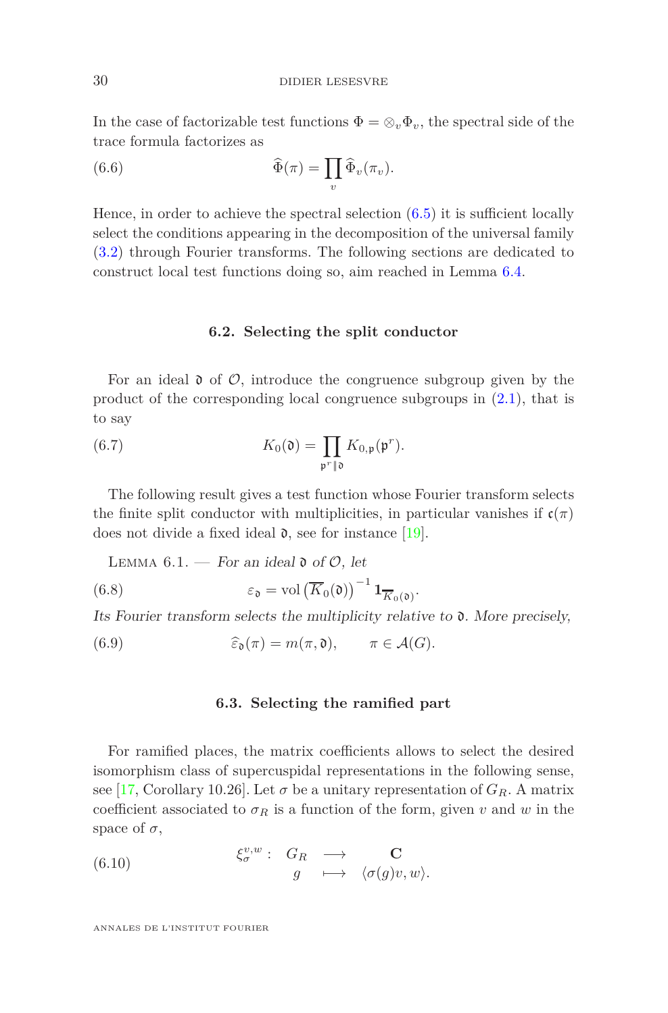In the case of factorizable test functions  $\Phi = \otimes_v \Phi_v$ , the spectral side of the trace formula factorizes as

(6.6) 
$$
\widehat{\Phi}(\pi) = \prod_v \widehat{\Phi}_v(\pi_v).
$$

Hence, in order to achieve the spectral selection  $(6.5)$  it is sufficient locally select the conditions appearing in the decomposition of the universal family [\(3.2\)](#page-18-1) through Fourier transforms. The following sections are dedicated to construct local test functions doing so, aim reached in Lemma [6.4.](#page-31-0)

### **6.2. Selecting the split conductor**

<span id="page-29-0"></span>For an ideal  $\mathfrak d$  of  $\mathcal O$ , introduce the congruence subgroup given by the product of the corresponding local congruence subgroups in  $(2.1)$ , that is to say

(6.7) 
$$
K_0(\mathfrak{d}) = \prod_{\mathfrak{p}^r \parallel \mathfrak{d}} K_{0,\mathfrak{p}}(\mathfrak{p}^r).
$$

The following result gives a test function whose Fourier transform selects the finite split conductor with multiplicities, in particular vanishes if  $\mathfrak{c}(\pi)$ does not divide a fixed ideal  $\mathfrak d$ , see for instance [\[19\]](#page-42-1).

<span id="page-29-2"></span>LEMMA  $6.1.$  – For an ideal  $\mathfrak d$  of  $\mathcal O$ , let

(6.8) 
$$
\varepsilon_{\mathfrak{d}} = \text{vol}\left(\overline{K}_0(\mathfrak{d})\right)^{-1} \mathbf{1}_{\overline{K}_0(\mathfrak{d})}.
$$

Its Fourier transform selects the multiplicity relative to  $\mathfrak{d}$ . More precisely,

<span id="page-29-1"></span>(6.9) 
$$
\widehat{\varepsilon}_{\mathfrak{d}}(\pi) = m(\pi, \mathfrak{d}), \qquad \pi \in \mathcal{A}(G).
$$

### **6.3. Selecting the ramified part**

For ramified places, the matrix coefficients allows to select the desired isomorphism class of supercuspidal representations in the following sense, see [\[17,](#page-41-14) Corollary 10.26]. Let  $\sigma$  be a unitary representation of  $G_R$ . A matrix coefficient associated to  $\sigma_R$  is a function of the form, given *v* and *w* in the space of  $\sigma$ ,

(6.10) 
$$
\begin{array}{rcl}\n\xi_{\sigma}^{v,w} : & G_R \longrightarrow & \mathbf{C} \\
g & \longmapsto & \langle \sigma(g)v, w \rangle.\n\end{array}
$$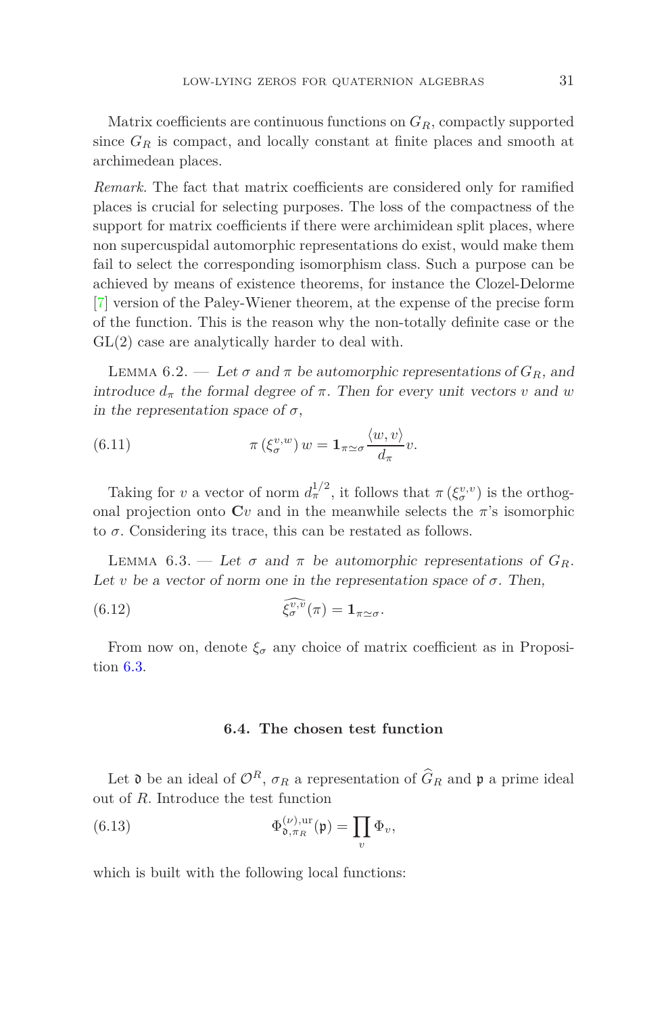Matrix coefficients are continuous functions on *GR*, compactly supported since  $G_R$  is compact, and locally constant at finite places and smooth at archimedean places.

*Remark.* The fact that matrix coefficients are considered only for ramified places is crucial for selecting purposes. The loss of the compactness of the support for matrix coefficients if there were archimidean split places, where non supercuspidal automorphic representations do exist, would make them fail to select the corresponding isomorphism class. Such a purpose can be achieved by means of existence theorems, for instance the Clozel-Delorme [\[7\]](#page-41-15) version of the Paley-Wiener theorem, at the expense of the precise form of the function. This is the reason why the non-totally definite case or the GL(2) case are analytically harder to deal with.

LEMMA 6.2. — Let  $\sigma$  and  $\pi$  be automorphic representations of  $G_R$ , and introduce  $d_{\pi}$  the formal degree of  $\pi$ . Then for every unit vectors *v* and *w* in the representation space of  $\sigma$ ,

(6.11) 
$$
\pi\left(\xi_{\sigma}^{v,w}\right)w=\mathbf{1}_{\pi\simeq\sigma}\frac{\langle w,v\rangle}{d_{\pi}}v.
$$

Taking for *v* a vector of norm  $d_{\pi}^{1/2}$ , it follows that  $\pi(\xi_{\sigma}^{v,v})$  is the orthogonal projection onto  $\mathbf{C}v$  and in the meanwhile selects the  $\pi$ 's isomorphic to  $\sigma$ . Considering its trace, this can be restated as follows.

<span id="page-30-0"></span>LEMMA 6.3. — Let  $\sigma$  and  $\pi$  be automorphic representations of  $G_R$ . Let *v* be a vector of norm one in the representation space of  $\sigma$ . Then,

(6.12) 
$$
\widehat{\xi_{\sigma}^{v,v}}(\pi) = \mathbf{1}_{\pi \simeq \sigma}.
$$

From now on, denote  $\xi_{\sigma}$  any choice of matrix coefficient as in Proposition [6.3.](#page-30-0)

#### **6.4. The chosen test function**

Let  $\mathfrak d$  be an ideal of  $\mathcal O^R$ ,  $\sigma_R$  a representation of  $\widehat G_R$  and  $\mathfrak p$  a prime ideal out of *R*. Introduce the test function

(6.13) 
$$
\Phi_{\mathfrak{d},\pi_R}^{(\nu),\mathrm{ur}}(\mathfrak{p}) = \prod_v \Phi_v,
$$

which is built with the following local functions: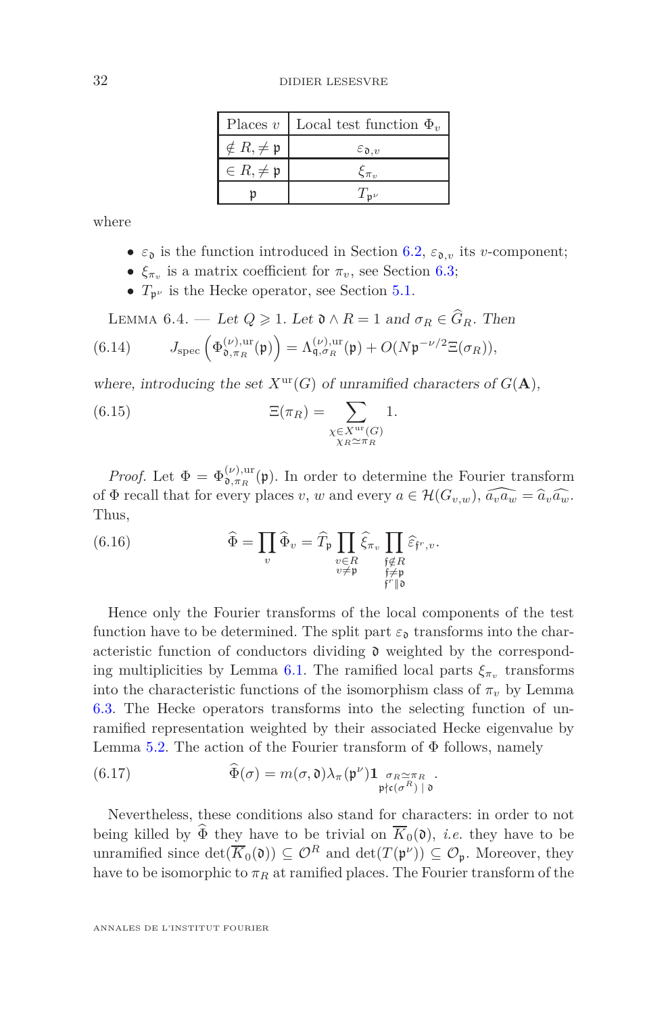|                               | Places v   Local test function $\Phi_v$ |
|-------------------------------|-----------------------------------------|
| $\notin R, \neq \mathfrak{p}$ | $\varepsilon_{\mathfrak{d},v}$          |
| $\in R, \neq \mathfrak{p}$    | $\xi_{\pi_n}$                           |
|                               | $T_{\mathbf{n}\nu}$                     |

where

- $\varepsilon_{\mathfrak{d}}$  is the function introduced in Section [6.2,](#page-29-0)  $\varepsilon_{\mathfrak{d},v}$  its *v*-component;
- $\xi_{\pi_v}$  is a matrix coefficient for  $\pi_v$ , see Section [6.3;](#page-29-1)
- $T_{p^{\nu}}$  is the Hecke operator, see Section [5.1.](#page-23-1)

<span id="page-31-0"></span>LEMMA 6.4. — Let  $Q \geq 1$ . Let  $\mathfrak{d} \wedge R = 1$  and  $\sigma_R \in \widehat{G}_R$ . Then (6.14)  $J_{\text{spec}}\left(\Phi_{\mathfrak{d},\pi_R}^{(\nu),\text{ur}}(\mathfrak{p})\right) = \Lambda_{\mathfrak{q},\sigma_R}^{(\nu),\text{ur}}(\mathfrak{p}) + O(N\mathfrak{p}^{-\nu/2}\Xi(\sigma_R)),$ 

where, introducing the set  $X^{\text{ur}}(G)$  of unramified characters of  $G(\mathbf{A})$ ,

(6.15) 
$$
\Xi(\pi_R) = \sum_{\substack{\chi \in X^{\text{ur}}(G) \\ \chi_R \simeq \pi_R}} 1.
$$

*Proof.* Let  $\Phi = \Phi_{\mathfrak{d}, \pi_R}^{(\nu), \text{ur}}(\mathfrak{p})$ . In order to determine the Fourier transform of  $\Phi$  recall that for every places *v*, *w* and every  $a \in \mathcal{H}(G_{v,w}), \widehat{a_v a_w} = \widehat{a}_v \widehat{a_w}$ . Thus,

(6.16) 
$$
\widehat{\Phi} = \prod_{v} \widehat{\Phi}_v = \widehat{T}_{\mathfrak{p}} \prod_{\substack{v \in R \\ v \neq \mathfrak{p}}} \widehat{\xi}_{\pi_v} \prod_{\substack{\mathfrak{f} \notin R \\ \mathfrak{f} \neq \mathfrak{p} \\ \mathfrak{f}' \parallel \mathfrak{d}}} \widehat{\varepsilon}_{\mathfrak{f}'',v}.
$$

Hence only the Fourier transforms of the local components of the test function have to be determined. The split part  $\varepsilon_{\mathfrak{d}}$  transforms into the characteristic function of conductors dividing  $\mathfrak d$  weighted by the correspond-ing multiplicities by Lemma [6.1.](#page-29-2) The ramified local parts  $\xi_{\pi_v}$  transforms into the characteristic functions of the isomorphism class of  $\pi$ <sup>*v*</sup> by Lemma [6.3.](#page-30-0) The Hecke operators transforms into the selecting function of unramified representation weighted by their associated Hecke eigenvalue by Lemma [5.2.](#page-25-0) The action of the Fourier transform of  $\Phi$  follows, namely

(6.17) 
$$
\widehat{\Phi}(\sigma) = m(\sigma, \mathfrak{d}) \lambda_{\pi}(\mathfrak{p}^{\nu}) \mathbf{1}_{\substack{\sigma_R \simeq \pi_R \\ \mathfrak{p} \nmid c(\sigma^R) \mid \mathfrak{d}}}.
$$

Nevertheless, these conditions also stand for characters: in order to not being killed by  $\widehat{\Phi}$  they have to be trivial on  $\overline{K}_0(\mathfrak{d})$ , *i.e.* they have to be unramified since  $\det(\overline{K}_0(\mathfrak{d})) \subseteq \mathcal{O}^R$  and  $\det(T(\mathfrak{p}^{\nu})) \subseteq \mathcal{O}_{\mathfrak{p}}$ . Moreover, they have to be isomorphic to  $\pi_R$  at ramified places. The Fourier transform of the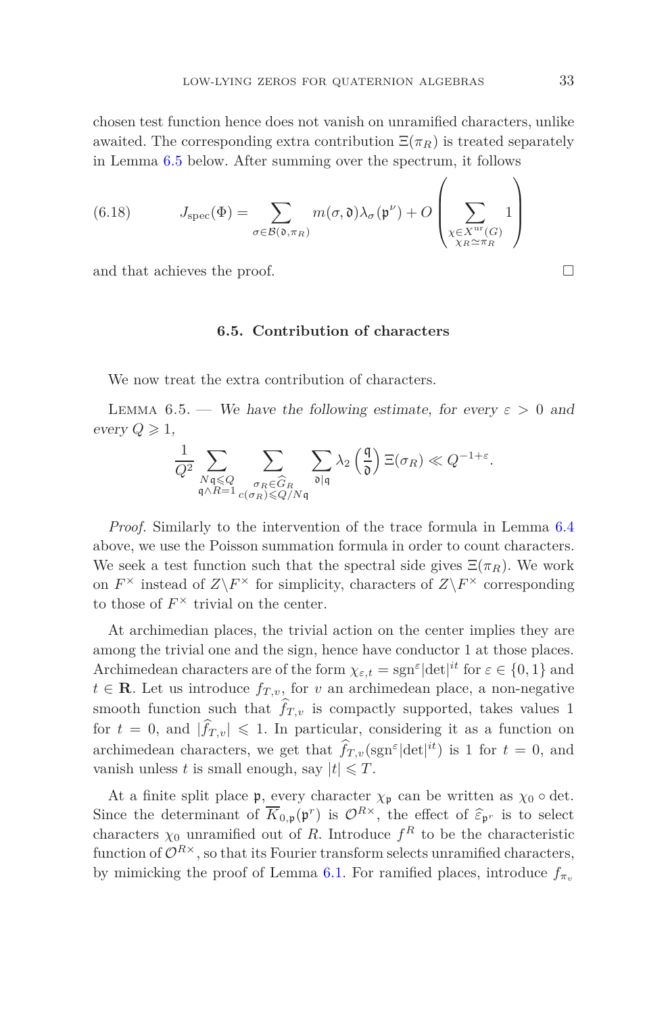chosen test function hence does not vanish on unramified characters, unlike awaited. The corresponding extra contribution  $\Xi(\pi_R)$  is treated separately in Lemma [6.5](#page-32-0) below. After summing over the spectrum, it follows

(6.18) 
$$
J_{\text{spec}}(\Phi) = \sum_{\sigma \in \mathcal{B}(\mathfrak{d}, \pi_R)} m(\sigma, \mathfrak{d}) \lambda_{\sigma}(\mathfrak{p}^{\nu}) + O\left(\sum_{\substack{\chi \in X^{\text{ur}}(G) \\ \chi_R \simeq \pi_R}} 1\right)
$$

and that achieves the proof.

#### **6.5. Contribution of characters**

<span id="page-32-0"></span>We now treat the extra contribution of characters.

LEMMA 6.5. — We have the following estimate, for every  $\varepsilon > 0$  and every  $Q \geq 1$ ,

$$
\frac{1}{Q^2}\sum_{\substack{N\mathfrak{q}\leqslant Q\\ \mathfrak{q}\wedge R=1}}\sum_{\substack{\sigma_R\in \widehat{G}_R\\ c(\sigma_R)\leqslant Q/N\mathfrak{q}}}\sum_{\mathfrak{d}|\mathfrak{q}}\lambda_2\left(\frac{\mathfrak{q}}{\mathfrak{d}}\right)\Xi(\sigma_R)\ll Q^{-1+\varepsilon}.
$$

*Proof.* Similarly to the intervention of the trace formula in Lemma [6.4](#page-31-0) above, we use the Poisson summation formula in order to count characters. We seek a test function such that the spectral side gives  $\Xi(\pi_R)$ . We work on  $F^{\times}$  instead of  $Z\backslash F^{\times}$  for simplicity, characters of  $Z\backslash F^{\times}$  corresponding to those of  $F^{\times}$  trivial on the center.

At archimedian places, the trivial action on the center implies they are among the trivial one and the sign, hence have conductor 1 at those places. Archimedean characters are of the form  $\chi_{\varepsilon,t} = \text{sgn}^{\varepsilon} |\text{det}|^{it}$  for  $\varepsilon \in \{0,1\}$  and  $t \in \mathbf{R}$ . Let us introduce  $f_{T,v}$ , for *v* an archimedean place, a non-negative smooth function such that  $\hat{f}_{T,v}$  is compactly supported, takes values 1 for  $t = 0$ , and  $|\hat{f}_{T,v}| \leq 1$ . In particular, considering it as a function on archimedean characters, we get that  $\hat{f}_{T,v}(\text{sgn}^{\epsilon}|\text{det}|^{it})$  is 1 for  $t=0$ , and vanish unless *t* is small enough, say  $|t| \leq T$ .

At a finite split place  $\mathfrak{p}$ , every character  $\chi_{\mathfrak{p}}$  can be written as  $\chi_0 \circ \det$ . Since the determinant of  $\overline{K}_{0,p}(\mathfrak{p}^r)$  is  $\mathcal{O}^{R\times}$ , the effect of  $\widehat{\epsilon}_{\mathfrak{p}^r}$  is to select characters  $\chi_0$  unramified out of *R*. Introduce  $f^R$  to be the characteristic function of  $\mathcal{O}^{R\times}$ , so that its Fourier transform selects unramified characters, by mimicking the proof of Lemma [6.1.](#page-29-2) For ramified places, introduce  $f_{\pi_v}$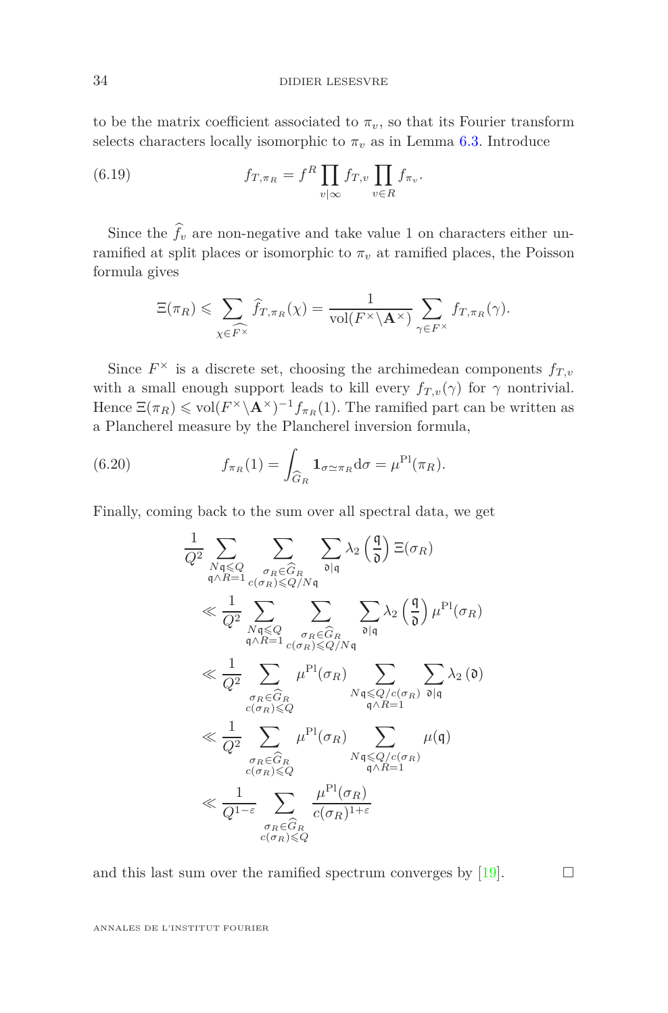to be the matrix coefficient associated to  $\pi_v$ , so that its Fourier transform selects characters locally isomorphic to  $\pi_v$  as in Lemma [6.3.](#page-30-0) Introduce

(6.19) 
$$
f_{T,\pi_R} = f^R \prod_{v|\infty} f_{T,v} \prod_{v \in R} f_{\pi_v}.
$$

Since the  $\hat{f}_v$  are non-negative and take value 1 on characters either unramified at split places or isomorphic to  $\pi_v$  at ramified places, the Poisson formula gives

$$
\Xi(\pi_R) \leqslant \sum_{\chi \in \widehat{F^\times}} \widehat{f}_{T,\pi_R}(\chi) = \frac{1}{\text{vol}(F^\times \backslash \mathbf{A}^\times)} \sum_{\gamma \in F^\times} f_{T,\pi_R}(\gamma).
$$

Since  $F^{\times}$  is a discrete set, choosing the archimedean components  $f_{T,v}$ with a small enough support leads to kill every  $f_{T,v}(\gamma)$  for  $\gamma$  nontrivial. Hence  $\Xi(\pi_R) \leq \text{vol}(F^\times \backslash \mathbf{A}^\times)^{-1} f_{\pi_R}(1)$ . The ramified part can be written as a Plancherel measure by the Plancherel inversion formula,

(6.20) 
$$
f_{\pi_R}(1) = \int_{\widehat{G}_R} \mathbf{1}_{\sigma \simeq \pi_R} \mathrm{d}\sigma = \mu^{\mathrm{Pl}}(\pi_R).
$$

Finally, coming back to the sum over all spectral data, we get

$$
\frac{1}{Q^2} \sum_{\substack{N \leq Q \\ q \land R = 1}} \sum_{\substack{\sigma_R \in \widehat{G}_R \\ \sigma_R \leq Q \text{ s.t.} \\ q \land R = 1}} \sum_{\substack{\sigma_R \in \widehat{G}_R \\ \sigma_R \leq Q \text{ s.t.} \\ q \land R = 1}} \sum_{\substack{\sigma_R \in \widehat{G}_R \\ \sigma_R \in \widehat{G}_R \\ \sigma_R \in \widehat{G}_R}} \sum_{\substack{\sigma_R \in \widehat{G}_R \\ \sigma_R \leq Q/\mathcal{N}\mathfrak{q} \\ \sigma_R \leq Q/\mathcal{N}\mathfrak{q}}} \sum_{\substack{\sigma_R \in \widehat{G}_R \\ \sigma_R \leq Q/\mathcal{C}(\sigma_R) \\ \sigma_R \in \widehat{G}_R}} \sum_{\substack{N \leq Q/c(\sigma_R) \\ \sigma_R \geq Q}} \sum_{\substack{\sigma_R \in \widehat{G}_R \\ \sigma_R \leq Q/\mathcal{C}(\sigma_R) \\ \sigma_R \geq Q}} \sum_{\substack{\sigma_R \in \widehat{G}_R \\ \sigma_R \leq Q/\mathcal{C}(\sigma_R) \\ \sigma_R \geq Q}} \mu^{\text{Pl}}(\sigma_R) \sum_{\substack{\sigma_R \in \widehat{G}_R \\ \sigma_R \geq Q/\mathcal{C}(\sigma_R) \\ \sigma_R \geq Q}} \mu(\mathfrak{q})
$$

and this last sum over the ramified spectrum converges by [\[19\]](#page-42-1).  $\Box$ 

ANNALES DE L'INSTITUT FOURIER

j,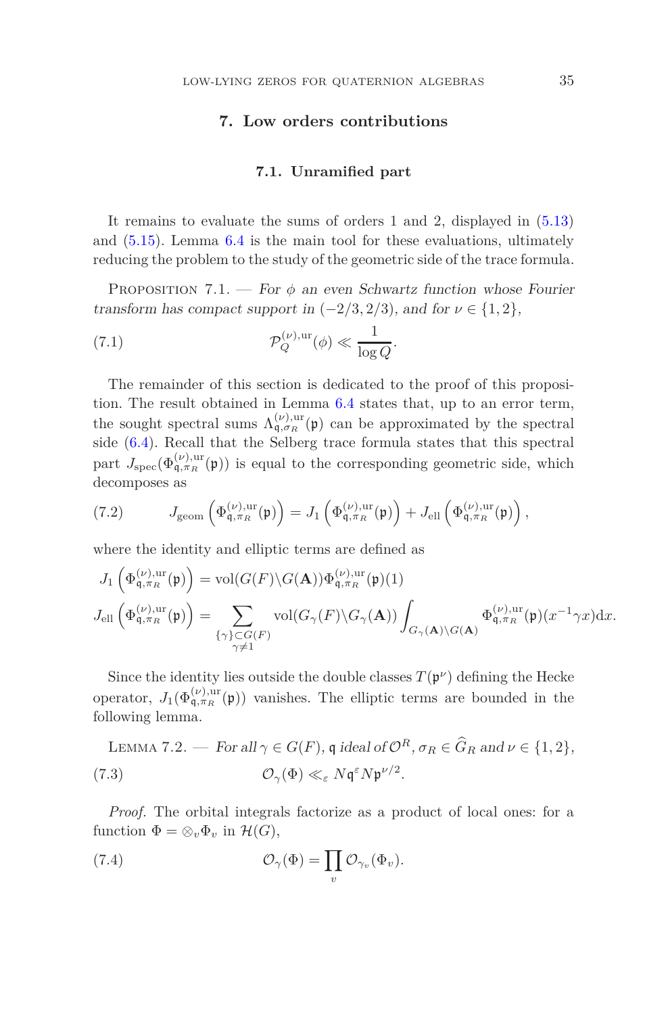# **7. Low orders contributions**

#### **7.1. Unramified part**

<span id="page-34-1"></span><span id="page-34-0"></span>It remains to evaluate the sums of orders 1 and 2, displayed in [\(5.13\)](#page-26-2) and [\(5.15\)](#page-27-0). Lemma [6.4](#page-31-0) is the main tool for these evaluations, ultimately reducing the problem to the study of the geometric side of the trace formula.

<span id="page-34-3"></span>Proposition 7.1. — For *φ* an even Schwartz function whose Fourier transform has compact support in  $(-2/3, 2/3)$ , and for  $\nu \in \{1, 2\}$ ,

(7.1) 
$$
\mathcal{P}_Q^{(\nu),{\rm ur}}(\phi) \ll \frac{1}{\log Q}.
$$

The remainder of this section is dedicated to the proof of this proposition. The result obtained in Lemma [6.4](#page-31-0) states that, up to an error term, the sought spectral sums  $\Lambda_{\mathfrak{q},\sigma_R}^{(\nu),\text{ur}}(\mathfrak{p})$  can be approximated by the spectral side [\(6.4\)](#page-28-2). Recall that the Selberg trace formula states that this spectral part  $J_{\text{spec}}(\Phi_{\mathfrak{q},\pi_R}^{(\nu),\text{ur}}(\mathfrak{p}))$  is equal to the corresponding geometric side, which decomposes as

(7.2) 
$$
J_{\text{geom}}\left(\Phi_{\mathfrak{q},\pi_R}^{(\nu),\text{ur}}(\mathfrak{p})\right) = J_1\left(\Phi_{\mathfrak{q},\pi_R}^{(\nu),\text{ur}}(\mathfrak{p})\right) + J_{\text{ell}}\left(\Phi_{\mathfrak{q},\pi_R}^{(\nu),\text{ur}}(\mathfrak{p})\right),
$$

where the identity and elliptic terms are defined as

$$
J_1\left(\Phi_{\mathfrak{q},\pi_R}^{(\nu),ur}(\mathfrak{p})\right) = \text{vol}(G(F)\backslash G(\mathbf{A}))\Phi_{\mathfrak{q},\pi_R}^{(\nu),ur}(\mathfrak{p})(1)
$$
  

$$
J_{\text{ell}}\left(\Phi_{\mathfrak{q},\pi_R}^{(\nu),ur}(\mathfrak{p})\right) = \sum_{\substack{\{\gamma\} \subset G(F) \\ \gamma \neq 1}} \text{vol}(G_{\gamma}(F)\backslash G_{\gamma}(\mathbf{A})) \int_{G_{\gamma}(\mathbf{A})\backslash G(\mathbf{A})} \Phi_{\mathfrak{q},\pi_R}^{(\nu),ur}(\mathfrak{p})(x^{-1}\gamma x) dx.
$$

Since the identity lies outside the double classes  $T(\mathfrak{p}^{\nu})$  defining the Hecke operator,  $J_1(\Phi_{\mathfrak{q},\pi_R}^{(\nu),\text{ur}}(\mathfrak{p}))$  vanishes. The elliptic terms are bounded in the following lemma.

<span id="page-34-2"></span>LEMMA 7.2. — For all 
$$
\gamma \in G(F)
$$
,  $\mathfrak{q}$  ideal of  $\mathcal{O}^R$ ,  $\sigma_R \in \widehat{G}_R$  and  $\nu \in \{1, 2\}$ ,  
(7.3)  $\mathcal{O}_{\gamma}(\Phi) \ll_{\varepsilon} N \mathfrak{q}^{\varepsilon} N \mathfrak{p}^{\nu/2}$ .

*Proof.* The orbital integrals factorize as a product of local ones: for a function  $\Phi = \otimes_v \Phi_v$  in  $\mathcal{H}(G)$ ,

(7.4) 
$$
\mathcal{O}_{\gamma}(\Phi) = \prod_{v} \mathcal{O}_{\gamma_{v}}(\Phi_{v}).
$$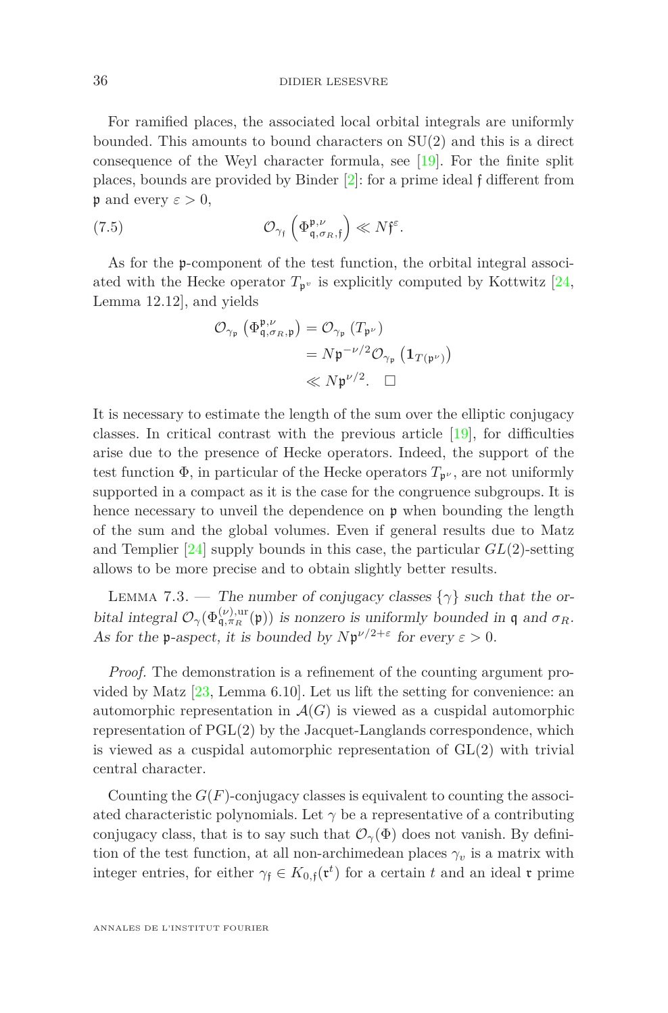#### 36 DIDIER LESESVRE

For ramified places, the associated local orbital integrals are uniformly bounded. This amounts to bound characters on SU(2) and this is a direct consequence of the Weyl character formula, see [\[19\]](#page-42-1). For the finite split places, bounds are provided by Binder [\[2\]](#page-41-16): for a prime ideal f different from  $\mathfrak p$  and every  $\varepsilon > 0$ ,

(7.5) 
$$
\mathcal{O}_{\gamma_{\mathfrak{f}}} \left( \Phi^{\mathfrak{p}, \nu}_{\mathfrak{q}, \sigma_R, \mathfrak{f}} \right) \ll N \mathfrak{f}^{\varepsilon}.
$$

As for the p-component of the test function, the orbital integral associated with the Hecke operator  $T_{p}$ <sup>*v*</sup> is explicitly computed by Kottwitz [\[24,](#page-42-12) Lemma 12.12], and yields

$$
\begin{aligned} \mathcal{O}_{\gamma_{\mathfrak{p}}}\left(\Phi^{\mathfrak{p}, \nu}_{\mathfrak{q}, \sigma_R, \mathfrak{p}}\right) &= \mathcal{O}_{\gamma_{\mathfrak{p}}}\left(T_{\mathfrak{p}^{\nu}}\right) \\ &= N\mathfrak{p}^{-\nu/2}\mathcal{O}_{\gamma_{\mathfrak{p}}}\left(\mathbf{1}_{T(\mathfrak{p}^{\nu})}\right) \\ &\ll N\mathfrak{p}^{\nu/2}. \quad \Box \end{aligned}
$$

It is necessary to estimate the length of the sum over the elliptic conjugacy classes. In critical contrast with the previous article  $[19]$ , for difficulties arise due to the presence of Hecke operators. Indeed, the support of the test function  $\Phi$ , in particular of the Hecke operators  $T_{\mathfrak{p}^{\nu}}$ , are not uniformly supported in a compact as it is the case for the congruence subgroups. It is hence necessary to unveil the dependence on  $\mathfrak p$  when bounding the length of the sum and the global volumes. Even if general results due to Matz and Templier [\[24\]](#page-42-12) supply bounds in this case, the particular *GL*(2)-setting allows to be more precise and to obtain slightly better results.

<span id="page-35-0"></span>LEMMA 7.3. — The number of conjugacy classes  $\{\gamma\}$  such that the orbital integral  $\mathcal{O}_{\gamma}(\Phi_{\mathfrak{q},\pi_R}^{(\nu),\text{ur}}(\mathfrak{p}))$  is nonzero is uniformly bounded in  $\mathfrak{q}$  and  $\sigma_R$ . As for the **p**-aspect, it is bounded by  $N\mathfrak{p}^{\nu/2+\epsilon}$  for every  $\epsilon > 0$ .

*Proof.* The demonstration is a refinement of the counting argument provided by Matz [\[23,](#page-42-13) Lemma 6.10]. Let us lift the setting for convenience: an automorphic representation in  $\mathcal{A}(G)$  is viewed as a cuspidal automorphic representation of PGL(2) by the Jacquet-Langlands correspondence, which is viewed as a cuspidal automorphic representation of  $GL(2)$  with trivial central character.

Counting the  $G(F)$ -conjugacy classes is equivalent to counting the associated characteristic polynomials. Let  $\gamma$  be a representative of a contributing conjugacy class, that is to say such that  $\mathcal{O}_{\gamma}(\Phi)$  does not vanish. By definition of the test function, at all non-archimedean places  $\gamma_v$  is a matrix with integer entries, for either  $\gamma_f \in K_{0,f}(\mathfrak{r}^t)$  for a certain *t* and an ideal **r** prime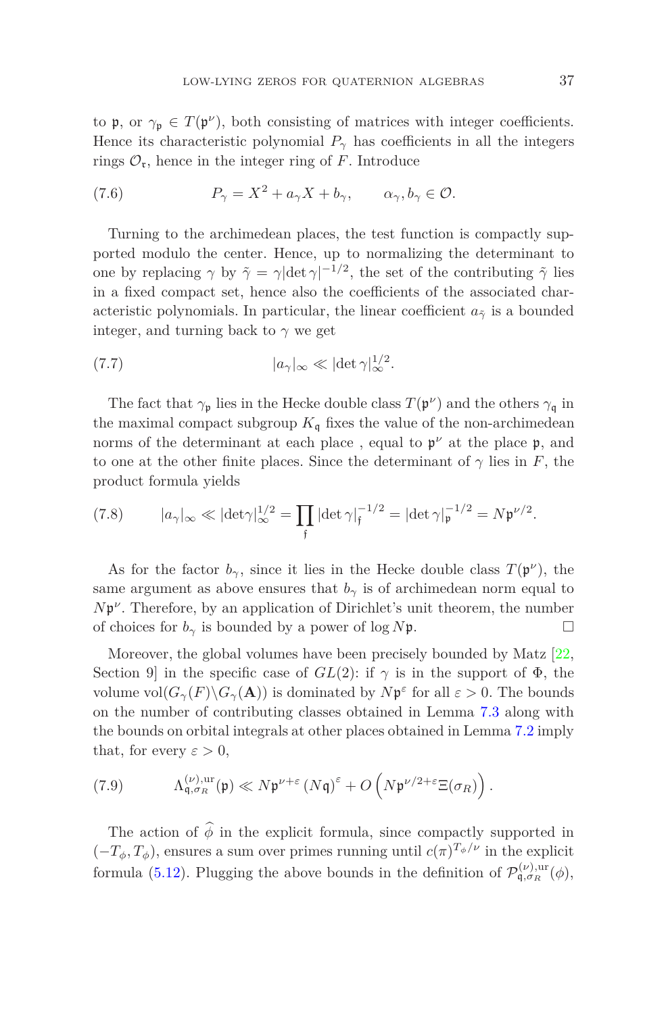to  $\mathfrak{p}$ , or  $\gamma_{\mathfrak{p}} \in T(\mathfrak{p}^{\nu})$ , both consisting of matrices with integer coefficients. Hence its characteristic polynomial  $P_\gamma$  has coefficients in all the integers rings  $\mathcal{O}_r$ , hence in the integer ring of *F*. Introduce

(7.6) 
$$
P_{\gamma} = X^2 + a_{\gamma} X + b_{\gamma}, \qquad \alpha_{\gamma}, b_{\gamma} \in \mathcal{O}.
$$

Turning to the archimedean places, the test function is compactly supported modulo the center. Hence, up to normalizing the determinant to one by replacing  $\gamma$  by  $\tilde{\gamma} = \gamma |\det \gamma|^{-1/2}$ , the set of the contributing  $\tilde{\gamma}$  lies in a fixed compact set, hence also the coefficients of the associated characteristic polynomials. In particular, the linear coefficient  $a_{\tilde{\gamma}}$  is a bounded integer, and turning back to  $\gamma$  we get

(7.7) 
$$
|a_{\gamma}|_{\infty} \ll |\det \gamma|_{\infty}^{1/2}.
$$

The fact that  $\gamma_{\mathfrak{p}}$  lies in the Hecke double class  $T(\mathfrak{p}^{\nu})$  and the others  $\gamma_{\mathfrak{q}}$  in the maximal compact subgroup  $K_{\mathfrak{q}}$  fixes the value of the non-archimedean norms of the determinant at each place, equal to  $\mathfrak{p}^{\nu}$  at the place  $\mathfrak{p}$ , and to one at the other finite places. Since the determinant of  $\gamma$  lies in *F*, the product formula yields

(7.8) 
$$
|a_{\gamma}|_{\infty} \ll |\text{det} \gamma|_{\infty}^{1/2} = \prod_{\mathfrak{f}} |\text{det} \gamma|_{\mathfrak{f}}^{-1/2} = |\text{det} \gamma|_{\mathfrak{p}}^{-1/2} = N \mathfrak{p}^{\nu/2}.
$$

As for the factor  $b_{\gamma}$ , since it lies in the Hecke double class  $T(\mathfrak{p}^{\nu})$ , the same argument as above ensures that  $b<sub>γ</sub>$  is of archimedean norm equal to *N*<sup>p</sup><sup>*ν*</sup>. Therefore, by an application of Dirichlet's unit theorem, the number of choices for  $b_\gamma$  is bounded by a power of log  $N\mathfrak{p}$ .

Moreover, the global volumes have been precisely bounded by Matz [\[22,](#page-42-14) Section 9 in the specific case of  $GL(2)$ : if  $\gamma$  is in the support of  $\Phi$ , the volume  $\text{vol}(G_{\gamma}(F) \backslash G_{\gamma}(\mathbf{A}))$  is dominated by  $N \mathfrak{p}^{\varepsilon}$  for all  $\varepsilon > 0$ . The bounds on the number of contributing classes obtained in Lemma [7.3](#page-35-0) along with the bounds on orbital integrals at other places obtained in Lemma [7.2](#page-34-2) imply that, for every  $\varepsilon > 0$ ,

(7.9) 
$$
\Lambda_{\mathfrak{q},\sigma_R}^{(\nu),\mathrm{ur}}(\mathfrak{p}) \ll N\mathfrak{p}^{\nu+\varepsilon} (N\mathfrak{q})^{\varepsilon} + O\left(N\mathfrak{p}^{\nu/2+\varepsilon} \Xi(\sigma_R)\right).
$$

The action of  $\hat{\phi}$  in the explicit formula, since compactly supported in  $(-T_{\phi}, T_{\phi})$ , ensures a sum over primes running until  $c(\pi)^{T_{\phi}/\nu}$  in the explicit formula [\(5.12\)](#page-26-3). Plugging the above bounds in the definition of  $\mathcal{P}_{\mathfrak{q},\sigma_R}^{(\nu),\text{ur}}(\phi)$ ,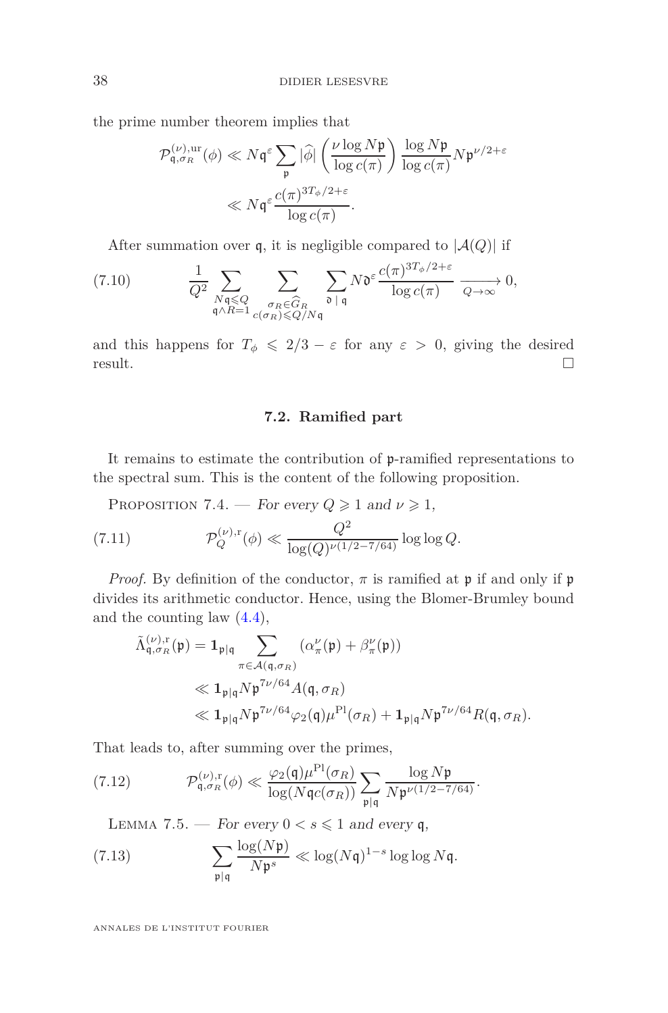the prime number theorem implies that

$$
\mathcal{P}_{\mathfrak{q},\sigma_R}^{(\nu),\mathrm{ur}}(\phi) \ll N\mathfrak{q}^{\varepsilon} \sum_{\mathfrak{p}} |\widehat{\phi}| \left( \frac{\nu \log N\mathfrak{p}}{\log c(\pi)} \right) \frac{\log N\mathfrak{p}}{\log c(\pi)} N\mathfrak{p}^{\nu/2+\varepsilon}
$$

$$
\ll N\mathfrak{q}^{\varepsilon} \frac{c(\pi)^{3T_{\phi}/2+\varepsilon}}{\log c(\pi)}.
$$

After summation over q, it is negligible compared to  $|\mathcal{A}(Q)|$  if

$$
(7.10) \qquad \frac{1}{Q^2} \sum_{\substack{N\mathfrak{q} \leq Q \\ \mathfrak{q} \wedge R = 1}} \sum_{\substack{\sigma_R \in \widehat{G}_R \\ c(\sigma_R) \leq Q/N\mathfrak{q}}} \sum_{\mathfrak{d} \,|\, \mathfrak{q}} N \mathfrak{d}^{\varepsilon} \frac{c(\pi)^{3T_{\phi}/2 + \varepsilon}}{\log c(\pi)} \xrightarrow[Q \to \infty]{} 0,
$$

and this happens for  $T_{\phi} \leq 2/3 - \varepsilon$  for any  $\varepsilon > 0$ , giving the desired result. result.  $\Box$ 

### **7.2. Ramified part**

<span id="page-37-1"></span>It remains to estimate the contribution of p-ramified representations to the spectral sum. This is the content of the following proposition.

PROPOSITION 7.4. — For every  $Q \geq 1$  and  $\nu \geq 1$ ,  $(7.11)$  $Q^2$ <br>  $Q^2$ <br>  $\frac{Q^2}{\log(Q)^\nu(1)}$  $\frac{Q}{\log(Q)^{\nu(1/2-7/64)}}\log\log Q.$ 

*Proof.* By definition of the conductor,  $\pi$  is ramified at  $\mathfrak{p}$  if and only if  $\mathfrak{p}$ divides its arithmetic conductor. Hence, using the Blomer-Brumley bound and the counting law [\(4.4\)](#page-21-2),

$$
\tilde{\Lambda}_{\mathfrak{q},\sigma_R}^{(\nu),r}(\mathfrak{p}) = \mathbf{1}_{\mathfrak{p}|\mathfrak{q}} \sum_{\pi \in \mathcal{A}(\mathfrak{q},\sigma_R)} (\alpha_{\pi}^{\nu}(\mathfrak{p}) + \beta_{\pi}^{\nu}(\mathfrak{p}))
$$
\n
$$
\ll \mathbf{1}_{\mathfrak{p}|\mathfrak{q}} N \mathfrak{p}^{7\nu/64} A(\mathfrak{q},\sigma_R)
$$
\n
$$
\ll \mathbf{1}_{\mathfrak{p}|\mathfrak{q}} N \mathfrak{p}^{7\nu/64} \varphi_2(\mathfrak{q}) \mu^{\text{Pl}}(\sigma_R) + \mathbf{1}_{\mathfrak{p}|\mathfrak{q}} N \mathfrak{p}^{7\nu/64} R(\mathfrak{q},\sigma_R).
$$

That leads to, after summing over the primes,

(7.12) 
$$
\mathcal{P}_{\mathfrak{q},\sigma_R}^{(\nu),r}(\phi) \ll \frac{\varphi_2(\mathfrak{q})\mu^{\mathrm{Pl}}(\sigma_R)}{\log(N\mathfrak{q}c(\sigma_R))}\sum_{\mathfrak{p}|\mathfrak{q}}\frac{\log N\mathfrak{p}}{N\mathfrak{p}^{\nu(1/2-7/64)}}.
$$

<span id="page-37-0"></span>LEMMA 7.5. — For every  $0 < s \leq 1$  and every q,

(7.13) 
$$
\sum_{\mathfrak{p}|\mathfrak{q}} \frac{\log(N\mathfrak{p})}{N\mathfrak{p}^s} \ll \log(N\mathfrak{q})^{1-s} \log \log N\mathfrak{q}.
$$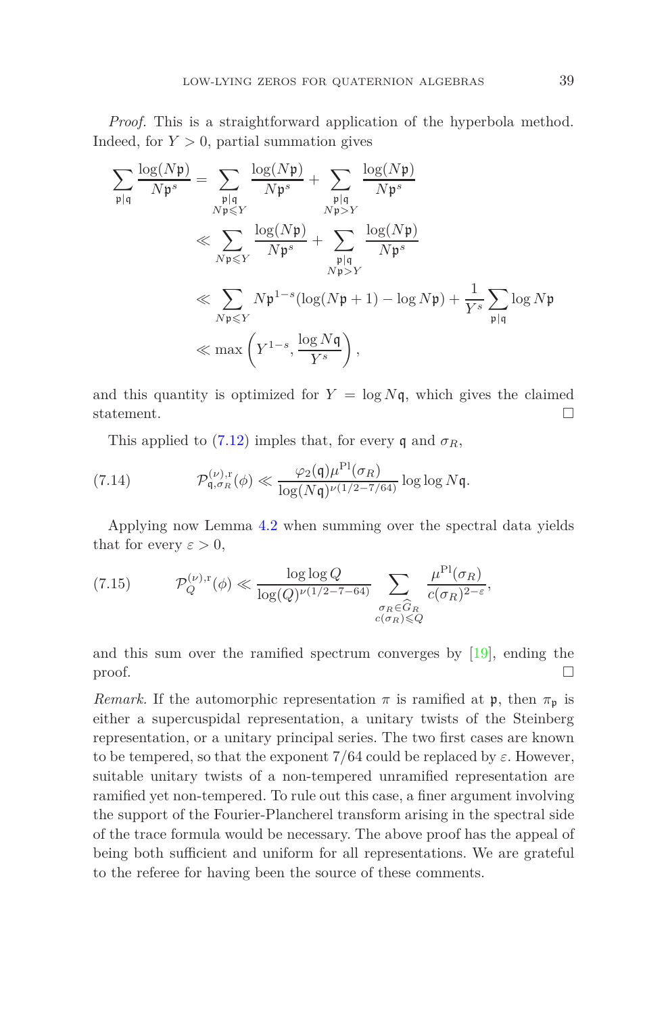*Proof.* This is a straightforward application of the hyperbola method. Indeed, for  $Y > 0$ , partial summation gives

$$
\sum_{\substack{\mathfrak{p}|\mathfrak{q} \\ \mathfrak{p} \neq \mathfrak{p}}} \frac{\log(N\mathfrak{p})}{N\mathfrak{p}^s} = \sum_{\substack{\mathfrak{p}|\mathfrak{q} \\ N\mathfrak{p} \leq Y}} \frac{\log(N\mathfrak{p})}{N\mathfrak{p}^s} + \sum_{\substack{\mathfrak{p}|\mathfrak{q} \\ N\mathfrak{p} > Y}} \frac{\log(N\mathfrak{p})}{N\mathfrak{p}^s} \ll \sum_{\substack{N\mathfrak{p} \leq Y \\ N\mathfrak{p} \leq Y}} \frac{\log(N\mathfrak{p})}{N\mathfrak{p}^s} + \sum_{\substack{\mathfrak{p}|\mathfrak{q} \\ N\mathfrak{p} > Y}} \frac{\log(N\mathfrak{p})}{N\mathfrak{p}^s} \ll \sum_{\substack{N\mathfrak{p} \leq Y \\ N\mathfrak{p} \leq Y}} N\mathfrak{p}^{1-s} (\log(N\mathfrak{p} + 1) - \log N\mathfrak{p}) + \frac{1}{Y^s} \sum_{\substack{\mathfrak{p}|\mathfrak{q} \\ \mathfrak{p} \mid \mathfrak{q}}} \log N\mathfrak{p} \ll \max\left(Y^{1-s}, \frac{\log N\mathfrak{q}}{Y^s}\right),
$$

and this quantity is optimized for  $Y = \log N\mathfrak{q}$ , which gives the claimed statement.  $\Box$ 

This applied to [\(7.12\)](#page-37-0) imples that, for every q and  $\sigma_R$ ,

(7.14) 
$$
\mathcal{P}_{\mathfrak{q}, \sigma_R}^{(\nu), r}(\phi) \ll \frac{\varphi_2(\mathfrak{q})\mu^{\mathrm{Pl}}(\sigma_R)}{\log(N\mathfrak{q})^{\nu(1/2-7/64)}} \log \log N\mathfrak{q}.
$$

Applying now Lemma [4.2](#page-22-1) when summing over the spectral data yields that for every  $\varepsilon > 0$ ,

(7.15) 
$$
\mathcal{P}_Q^{(\nu),r}(\phi) \ll \frac{\log \log Q}{\log(Q)^{\nu(1/2 - 7 - 64)}} \sum_{\substack{\sigma_R \in \widehat{G}_R \\ c(\sigma_R) \leq Q}} \frac{\mu^{\text{Pl}}(\sigma_R)}{c(\sigma_R)^{2 - \varepsilon}},
$$

and this sum over the ramified spectrum converges by [\[19\]](#page-42-1), ending the proof.  $\Box$ 

*Remark.* If the automorphic representation  $\pi$  is ramified at  $\mathfrak{p}$ , then  $\pi_{\mathfrak{p}}$  is either a supercuspidal representation, a unitary twists of the Steinberg representation, or a unitary principal series. The two first cases are known to be tempered, so that the exponent  $7/64$  could be replaced by  $\varepsilon$ . However, suitable unitary twists of a non-tempered unramified representation are ramified yet non-tempered. To rule out this case, a finer argument involving the support of the Fourier-Plancherel transform arising in the spectral side of the trace formula would be necessary. The above proof has the appeal of being both sufficient and uniform for all representations. We are grateful to the referee for having been the source of these comments.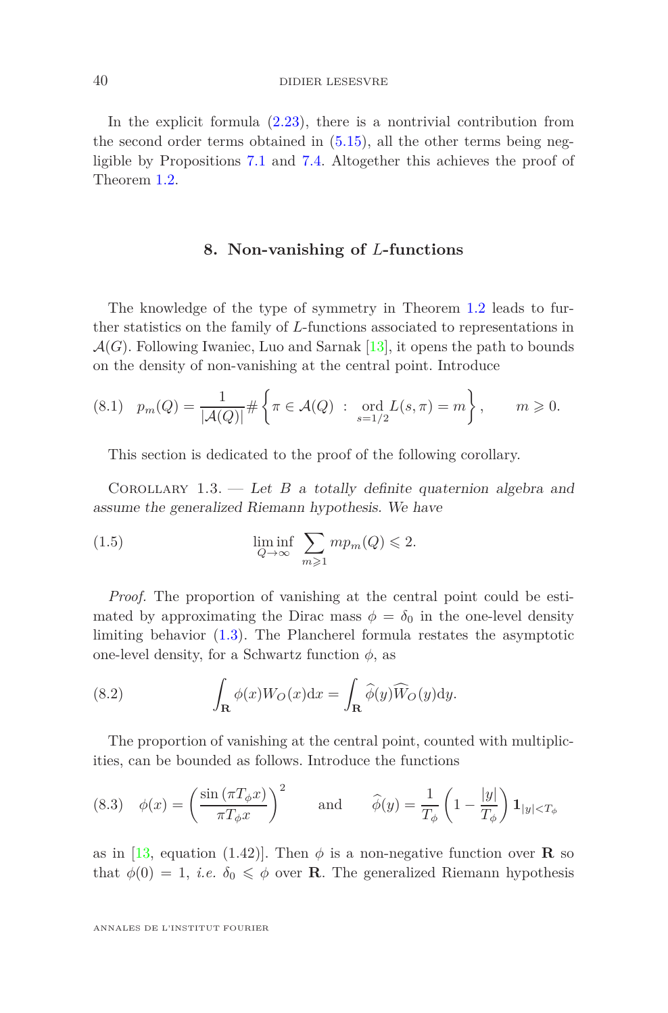#### 40 DIDIER LESESVRE

In the explicit formula  $(2.23)$ , there is a nontrivial contribution from the second order terms obtained in [\(5.15\)](#page-27-0), all the other terms being negligible by Propositions [7.1](#page-34-3) and [7.4.](#page-37-1) Altogether this achieves the proof of Theorem [1.2.](#page-2-0)

### **8. Non-vanishing of** *L***-functions**

<span id="page-39-0"></span>The knowledge of the type of symmetry in Theorem [1.2](#page-2-0) leads to further statistics on the family of *L*-functions associated to representations in  $\mathcal{A}(G)$ . Following Iwaniec, Luo and Sarnak [\[13\]](#page-41-1), it opens the path to bounds on the density of non-vanishing at the central point. Introduce

$$
(8.1) \quad p_m(Q) = \frac{1}{|\mathcal{A}(Q)|} \# \left\{ \pi \in \mathcal{A}(Q) \ : \ \text{ord}_{s=1/2} L(s, \pi) = m \right\}, \qquad m \geq 0.
$$

This section is dedicated to the proof of the following corollary.

COROLLARY  $1.3.$  — Let *B* a totally definite quaternion algebra and assume the generalized Riemann hypothesis. We have

(1.5) 
$$
\liminf_{Q \to \infty} \sum_{m \geq 1} m p_m(Q) \leq 2.
$$

*Proof.* The proportion of vanishing at the central point could be estimated by approximating the Dirac mass  $\phi = \delta_0$  in the one-level density limiting behavior [\(1.3\)](#page-2-1). The Plancherel formula restates the asymptotic one-level density, for a Schwartz function  $\phi$ , as

<span id="page-39-1"></span>(8.2) 
$$
\int_{\mathbf{R}} \phi(x) W_O(x) dx = \int_{\mathbf{R}} \widehat{\phi}(y) \widehat{W}_O(y) dy.
$$

The proportion of vanishing at the central point, counted with multiplicities, can be bounded as follows. Introduce the functions

(8.3) 
$$
\phi(x) = \left(\frac{\sin(\pi T_\phi x)}{\pi T_\phi x}\right)^2
$$
 and  $\hat{\phi}(y) = \frac{1}{T_\phi} \left(1 - \frac{|y|}{T_\phi}\right) \mathbf{1}_{|y| < T_\phi}$ 

as in [\[13,](#page-41-1) equation (1.42)]. Then  $\phi$  is a non-negative function over **R** so that  $\phi(0) = 1$ , *i.e.*  $\delta_0 \leq \phi$  over **R**. The generalized Riemann hypothesis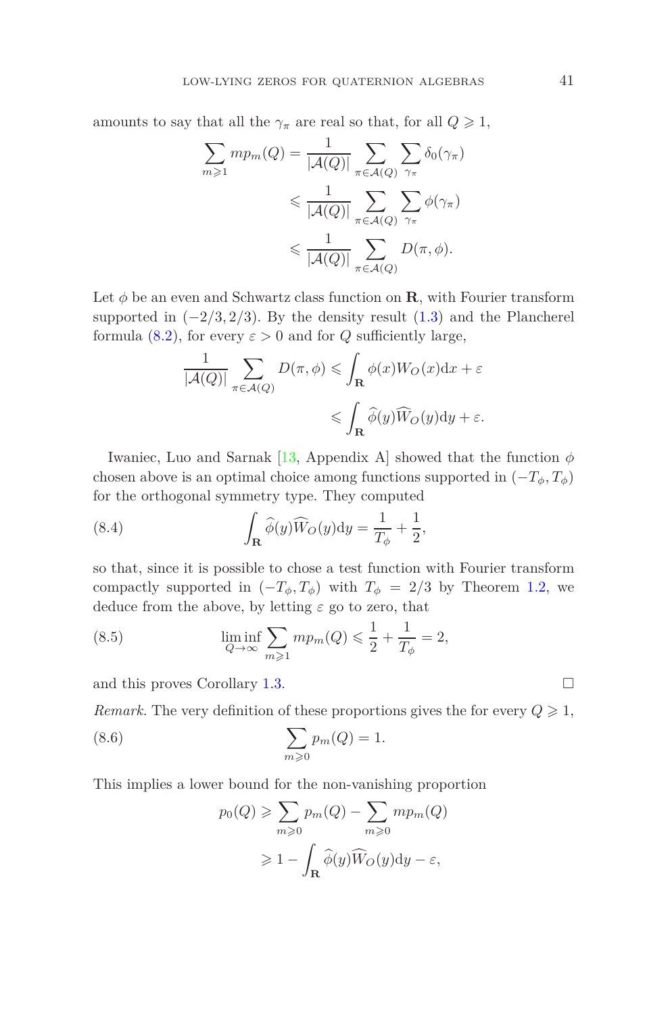amounts to say that all the  $\gamma_{\pi}$  are real so that, for all  $Q \geq 1$ ,

$$
\sum_{m\geq 1} mp_m(Q) = \frac{1}{|\mathcal{A}(Q)|} \sum_{\pi \in \mathcal{A}(Q)} \sum_{\gamma_{\pi}} \delta_0(\gamma_{\pi})
$$
  
\$\leqslant \frac{1}{|\mathcal{A}(Q)|} \sum\_{\pi \in \mathcal{A}(Q)} \sum\_{\gamma\_{\pi}} \phi(\gamma\_{\pi})\$  
\$\leqslant \frac{1}{|\mathcal{A}(Q)|} \sum\_{\pi \in \mathcal{A}(Q)} D(\pi, \phi).

Let  $\phi$  be an even and Schwartz class function on **R**, with Fourier transform supported in  $(-2/3, 2/3)$ . By the density result  $(1.3)$  and the Plancherel formula [\(8.2\)](#page-39-1), for every  $\varepsilon > 0$  and for *Q* sufficiently large,

$$
\frac{1}{|\mathcal{A}(Q)|} \sum_{\pi \in \mathcal{A}(Q)} D(\pi, \phi) \leqslant \int_{\mathbf{R}} \phi(x) W_O(x) dx + \varepsilon
$$

$$
\leqslant \int_{\mathbf{R}} \widehat{\phi}(y) \widehat{W}_O(y) dy + \varepsilon.
$$

Iwaniec, Luo and Sarnak [\[13,](#page-41-1) Appendix A] showed that the function *φ* chosen above is an optimal choice among functions supported in  $(-T_{\phi}, T_{\phi})$ for the orthogonal symmetry type. They computed

(8.4) 
$$
\int_{\mathbf{R}} \widehat{\phi}(y) \widehat{W}_O(y) dy = \frac{1}{T_{\phi}} + \frac{1}{2},
$$

so that, since it is possible to chose a test function with Fourier transform compactly supported in  $(-T_{\phi}, T_{\phi})$  with  $T_{\phi} = 2/3$  by Theorem [1.2,](#page-2-0) we deduce from the above, by letting *ε* go to zero, that

(8.5) 
$$
\liminf_{Q \to \infty} \sum_{m \ge 1} m p_m(Q) \le \frac{1}{2} + \frac{1}{T_{\phi}} = 2,
$$

and this proves Corollary [1.3.](#page-2-2)

*Remark.* The very definition of these proportions gives the for every  $Q \geq 1$ ,

(8.6) 
$$
\sum_{m\geqslant 0} p_m(Q) = 1.
$$

This implies a lower bound for the non-vanishing proportion

$$
p_0(Q) \ge \sum_{m\ge 0} p_m(Q) - \sum_{m\ge 0} mp_m(Q)
$$
  

$$
\ge 1 - \int_{\mathbf{R}} \widehat{\phi}(y) \widehat{W}_O(y) dy - \varepsilon,
$$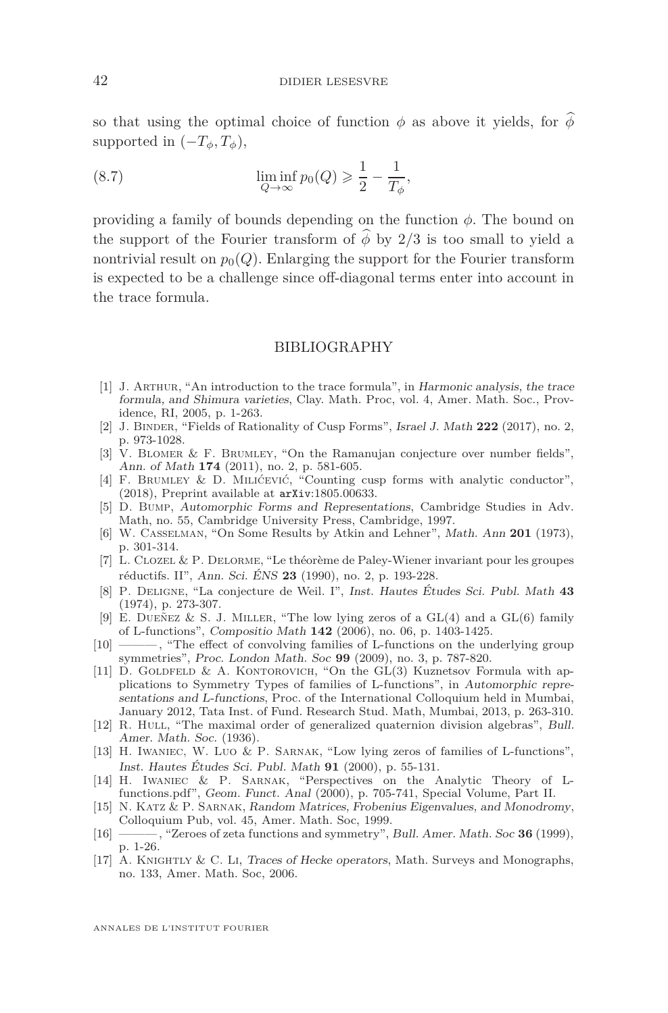so that using the optimal choice of function  $\phi$  as above it yields, for  $\phi$ supported in  $(-T_{\phi}, T_{\phi})$ ,

(8.7) 
$$
\liminf_{Q \to \infty} p_0(Q) \geq \frac{1}{2} - \frac{1}{T_{\phi}},
$$

providing a family of bounds depending on the function *φ*. The bound on the support of the Fourier transform of  $\phi$  by 2/3 is too small to yield a nontrivial result on  $p_0(Q)$ . Enlarging the support for the Fourier transform is expected to be a challenge since off-diagonal terms enter into account in the trace formula.

#### BIBLIOGRAPHY

- <span id="page-41-13"></span>[1] J. Arthur, "An introduction to the trace formula", in Harmonic analysis, the trace formula, and Shimura varieties, Clay. Math. Proc, vol. 4, Amer. Math. Soc., Providence, RI, 2005, p. 1-263.
- <span id="page-41-16"></span>[2] J. Binder, "Fields of Rationality of Cusp Forms", Israel J. Math **222** (2017), no. 2, p. 973-1028.
- <span id="page-41-10"></span>[3] V. Blomer & F. Brumley, "On the Ramanujan conjecture over number fields", Ann. of Math **174** (2011), no. 2, p. 581-605.
- <span id="page-41-6"></span>[4] F. BRUMLEY & D. MILIĆEVIĆ, "Counting cusp forms with analytic conductor", (2018), Preprint available at arXiv:1805.00633.
- <span id="page-41-12"></span>[5] D. Bump, Automorphic Forms and Representations, Cambridge Studies in Adv. Math, no. 55, Cambridge University Press, Cambridge, 1997.
- <span id="page-41-7"></span>[6] W. Casselman, "On Some Results by Atkin and Lehner", Math. Ann **201** (1973), p. 301-314.
- <span id="page-41-15"></span>[7] L. Clozel & P. Delorme, "Le théorème de Paley-Wiener invariant pour les groupes réductifs. II", Ann. Sci. ÉNS **23** (1990), no. 2, p. 193-228.
- <span id="page-41-9"></span>[8] P. Deligne, "La conjecture de Weil. I", Inst. Hautes Études Sci. Publ. Math **43** (1974), p. 273-307.
- <span id="page-41-3"></span>[9] E. DUEÑEZ & S. J. MILLER, "The low lying zeros of a  $GL(4)$  and a  $GL(6)$  family of L-functions", Compositio Math **142** (2006), no. 06, p. 1403-1425.
- <span id="page-41-11"></span>[10] ——— , "The effect of convolving families of L-functions on the underlying group symmetries", Proc. London Math. Soc **99** (2009), no. 3, p. 787-820.
- <span id="page-41-4"></span>[11] D. GOLDFELD & A. KONTOROVICH, "On the  $GL(3)$  Kuznetsov Formula with applications to Symmetry Types of families of L-functions", in Automorphic representations and L-functions, Proc. of the International Colloquium held in Mumbai, January 2012, Tata Inst. of Fund. Research Stud. Math, Mumbai, 2013, p. 263-310.
- <span id="page-41-8"></span>[12] R. HULL, "The maximal order of generalized quaternion division algebras", Bull. Amer. Math. Soc. (1936).
- <span id="page-41-1"></span>[13] H. Iwaniec, W. Luo & P. Sarnak, "Low lying zeros of families of L-functions", Inst. Hautes Études Sci. Publ. Math **91** (2000), p. 55-131.
- <span id="page-41-0"></span>[14] H. Iwaniec & P. Sarnak, "Perspectives on the Analytic Theory of Lfunctions.pdf", Geom. Funct. Anal (2000), p. 705-741, Special Volume, Part II.
- <span id="page-41-2"></span>[15] N. Katz & P. Sarnak, Random Matrices, Frobenius Eigenvalues, and Monodromy, Colloquium Pub, vol. 45, Amer. Math. Soc, 1999.
- <span id="page-41-5"></span>[16] ——— , "Zeroes of zeta functions and symmetry", Bull. Amer. Math. Soc **36** (1999), p. 1-26.
- <span id="page-41-14"></span>[17] A. Knightly & C. Li, Traces of Hecke operators, Math. Surveys and Monographs, no. 133, Amer. Math. Soc, 2006.